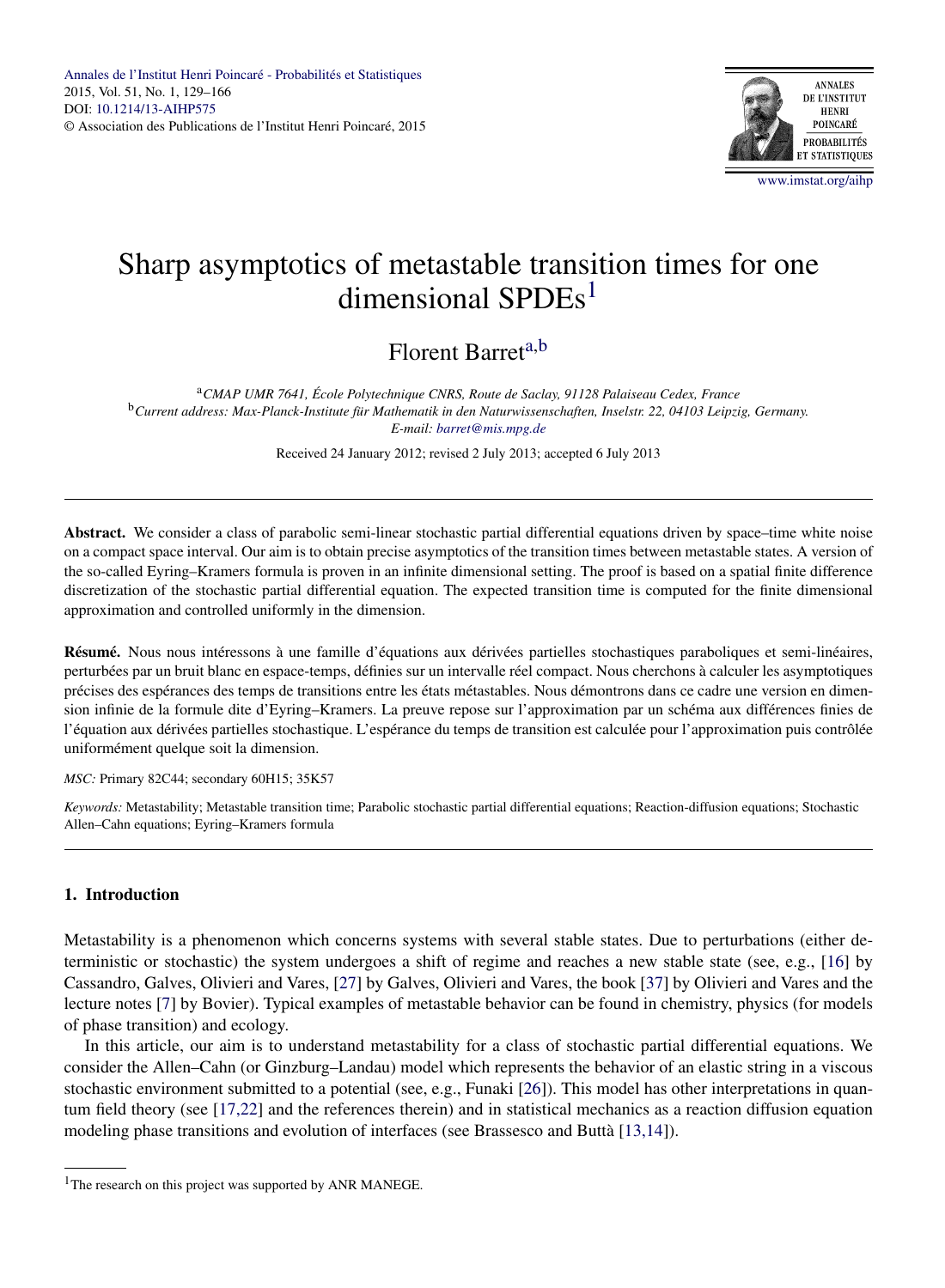

# Sharp asymptotics of metastable transition times for one dimensional SPD $Es<sup>1</sup>$

Florent Barreta,b

<sup>a</sup>*CMAP UMR 7641, École Polytechnique CNRS, Route de Saclay, 91128 Palaiseau Cedex, France* <sup>b</sup>*Current address: Max-Planck-Institute für Mathematik in den Naturwissenschaften, Inselstr. 22, 04103 Leipzig, Germany. E-mail: [barret@mis.mpg.de](mailto:barret@mis.mpg.de)*

Received 24 January 2012; revised 2 July 2013; accepted 6 July 2013

**Abstract.** We consider a class of parabolic semi-linear stochastic partial differential equations driven by space–time white noise on a compact space interval. Our aim is to obtain precise asymptotics of the transition times between metastable states. A version of the so-called Eyring–Kramers formula is proven in an infinite dimensional setting. The proof is based on a spatial finite difference discretization of the stochastic partial differential equation. The expected transition time is computed for the finite dimensional approximation and controlled uniformly in the dimension.

**Résumé.** Nous nous intéressons à une famille d'équations aux dérivées partielles stochastiques paraboliques et semi-linéaires, perturbées par un bruit blanc en espace-temps, définies sur un intervalle réel compact. Nous cherchons à calculer les asymptotiques précises des espérances des temps de transitions entre les états métastables. Nous démontrons dans ce cadre une version en dimension infinie de la formule dite d'Eyring–Kramers. La preuve repose sur l'approximation par un schéma aux différences finies de l'équation aux dérivées partielles stochastique. L'espérance du temps de transition est calculée pour l'approximation puis contrôlée uniformément quelque soit la dimension.

*MSC:* Primary 82C44; secondary 60H15; 35K57

*Keywords:* Metastability; Metastable transition time; Parabolic stochastic partial differential equations; Reaction-diffusion equations; Stochastic Allen–Cahn equations; Eyring–Kramers formula

# **1. Introduction**

Metastability is a phenomenon which concerns systems with several stable states. Due to perturbations (either deterministic or stochastic) the system undergoes a shift of regime and reaches a new stable state (see, e.g., [\[16\]](#page-36-0) by Cassandro, Galves, Olivieri and Vares, [\[27\]](#page-37-0) by Galves, Olivieri and Vares, the book [\[37\]](#page-37-0) by Olivieri and Vares and the lecture notes [\[7\]](#page-36-0) by Bovier). Typical examples of metastable behavior can be found in chemistry, physics (for models of phase transition) and ecology.

In this article, our aim is to understand metastability for a class of stochastic partial differential equations. We consider the Allen–Cahn (or Ginzburg–Landau) model which represents the behavior of an elastic string in a viscous stochastic environment submitted to a potential (see, e.g., Funaki [\[26\]](#page-37-0)). This model has other interpretations in quantum field theory (see [\[17,22\]](#page-36-0) and the references therein) and in statistical mechanics as a reaction diffusion equation modeling phase transitions and evolution of interfaces (see Brassesco and Buttà [\[13,14\]](#page-36-0)).

<sup>&</sup>lt;sup>1</sup>The research on this project was supported by ANR MANEGE.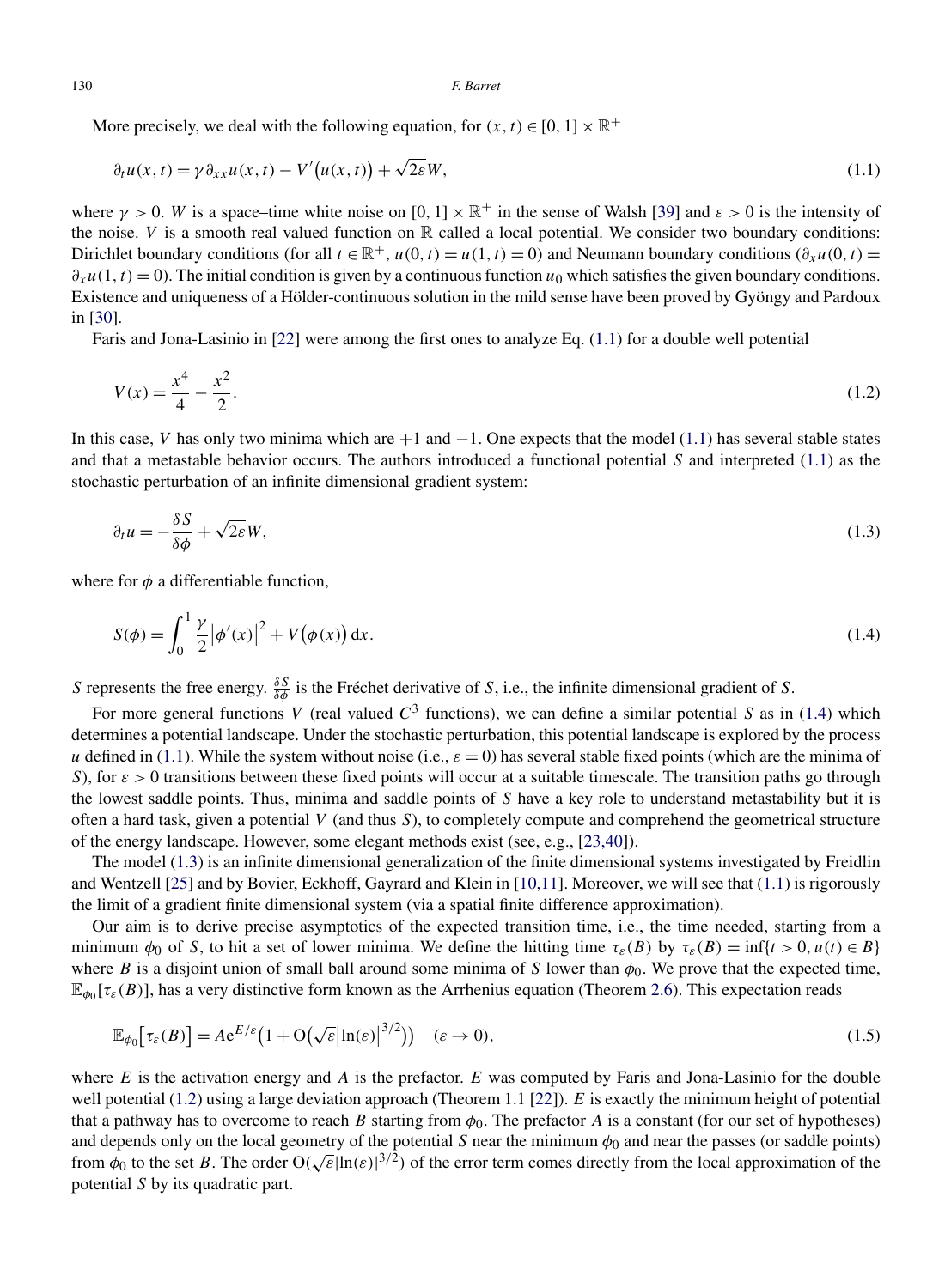<span id="page-1-0"></span>More precisely, we deal with the following equation, for  $(x, t) \in [0, 1] \times \mathbb{R}^+$ 

$$
\partial_t u(x,t) = \gamma \partial_{xx} u(x,t) - V'(u(x,t)) + \sqrt{2\varepsilon} W,
$$
\n(1.1)

where  $\gamma > 0$ . *W* is a space–time white noise on  $[0, 1] \times \mathbb{R}^+$  in the sense of Walsh [\[39\]](#page-37-0) and  $\varepsilon > 0$  is the intensity of the noise. *V* is a smooth real valued function on  $\mathbb R$  called a local potential. We consider two boundary conditions: Dirichlet boundary conditions (for all  $t \in \mathbb{R}^+$ ,  $u(0, t) = u(1, t) = 0$ ) and Neumann boundary conditions  $(\partial_x u(0, t))$  $∂<sub>x</sub>u(1, t) = 0$ ). The initial condition is given by a continuous function *u*<sub>0</sub> which satisfies the given boundary conditions. Existence and uniqueness of a Hölder-continuous solution in the mild sense have been proved by Gyöngy and Pardoux in [\[30\]](#page-37-0).

Faris and Jona-Lasinio in [\[22\]](#page-36-0) were among the first ones to analyze Eq. (1.1) for a double well potential

$$
V(x) = \frac{x^4}{4} - \frac{x^2}{2}.\tag{1.2}
$$

In this case, *V* has only two minima which are +1 and −1. One expects that the model (1.1) has several stable states and that a metastable behavior occurs. The authors introduced a functional potential *S* and interpreted (1.1) as the stochastic perturbation of an infinite dimensional gradient system:

$$
\partial_t u = -\frac{\delta S}{\delta \phi} + \sqrt{2\varepsilon} W,\tag{1.3}
$$

where for  $\phi$  a differentiable function,

$$
S(\phi) = \int_0^1 \frac{\gamma}{2} |\phi'(x)|^2 + V(\phi(x)) dx.
$$
 (1.4)

*S* represents the free energy.  $\frac{\delta S}{\delta \phi}$  is the Fréchet derivative of *S*, i.e., the infinite dimensional gradient of *S*.

For more general functions *V* (real valued  $C^3$  functions), we can define a similar potential *S* as in (1.4) which determines a potential landscape. Under the stochastic perturbation, this potential landscape is explored by the process *u* defined in (1.1). While the system without noise (i.e.,  $\varepsilon = 0$ ) has several stable fixed points (which are the minima of *S*), for  $\varepsilon > 0$  transitions between these fixed points will occur at a suitable timescale. The transition paths go through the lowest saddle points. Thus, minima and saddle points of *S* have a key role to understand metastability but it is often a hard task, given a potential *V* (and thus *S*), to completely compute and comprehend the geometrical structure of the energy landscape. However, some elegant methods exist (see, e.g., [\[23,40\]](#page-36-0)).

The model (1.3) is an infinite dimensional generalization of the finite dimensional systems investigated by Freidlin and Wentzell [\[25\]](#page-36-0) and by Bovier, Eckhoff, Gayrard and Klein in [\[10,11\]](#page-36-0). Moreover, we will see that (1.1) is rigorously the limit of a gradient finite dimensional system (via a spatial finite difference approximation).

Our aim is to derive precise asymptotics of the expected transition time, i.e., the time needed, starting from a minimum  $\phi_0$  of *S*, to hit a set of lower minima. We define the hitting time  $\tau_{\varepsilon}(B)$  by  $\tau_{\varepsilon}(B) = \inf\{t > 0, u(t) \in B\}$ where *B* is a disjoint union of small ball around some minima of *S* lower than  $\phi_0$ . We prove that the expected time,  $\mathbb{E}_{\phi_0}[\tau_{\varepsilon}(B)]$ , has a very distinctive form known as the Arrhenius equation (Theorem [2.6\)](#page-8-0). This expectation reads

$$
\mathbb{E}_{\phi_0}[\tau_{\varepsilon}(B)] = A e^{E/\varepsilon} \left( 1 + \mathcal{O}(\sqrt{\varepsilon} |\ln(\varepsilon)|^{3/2}) \right) \quad (\varepsilon \to 0), \tag{1.5}
$$

where *E* is the activation energy and *A* is the prefactor. *E* was computed by Faris and Jona-Lasinio for the double well potential (1.2) using a large deviation approach (Theorem 1.1 [\[22\]](#page-36-0)). *E* is exactly the minimum height of potential that a pathway has to overcome to reach *B* starting from  $\phi_0$ . The prefactor *A* is a constant (for our set of hypotheses) and depends only on the local geometry of the potential *S* near the minimum  $\phi_0$  and near the passes (or saddle points) from  $\phi_0$  to the set *B*. The order  $O(\sqrt{\varepsilon}|\ln(\varepsilon)|^{3/2})$  of the error term comes directly from the local approximation of the potential *S* by its quadratic part.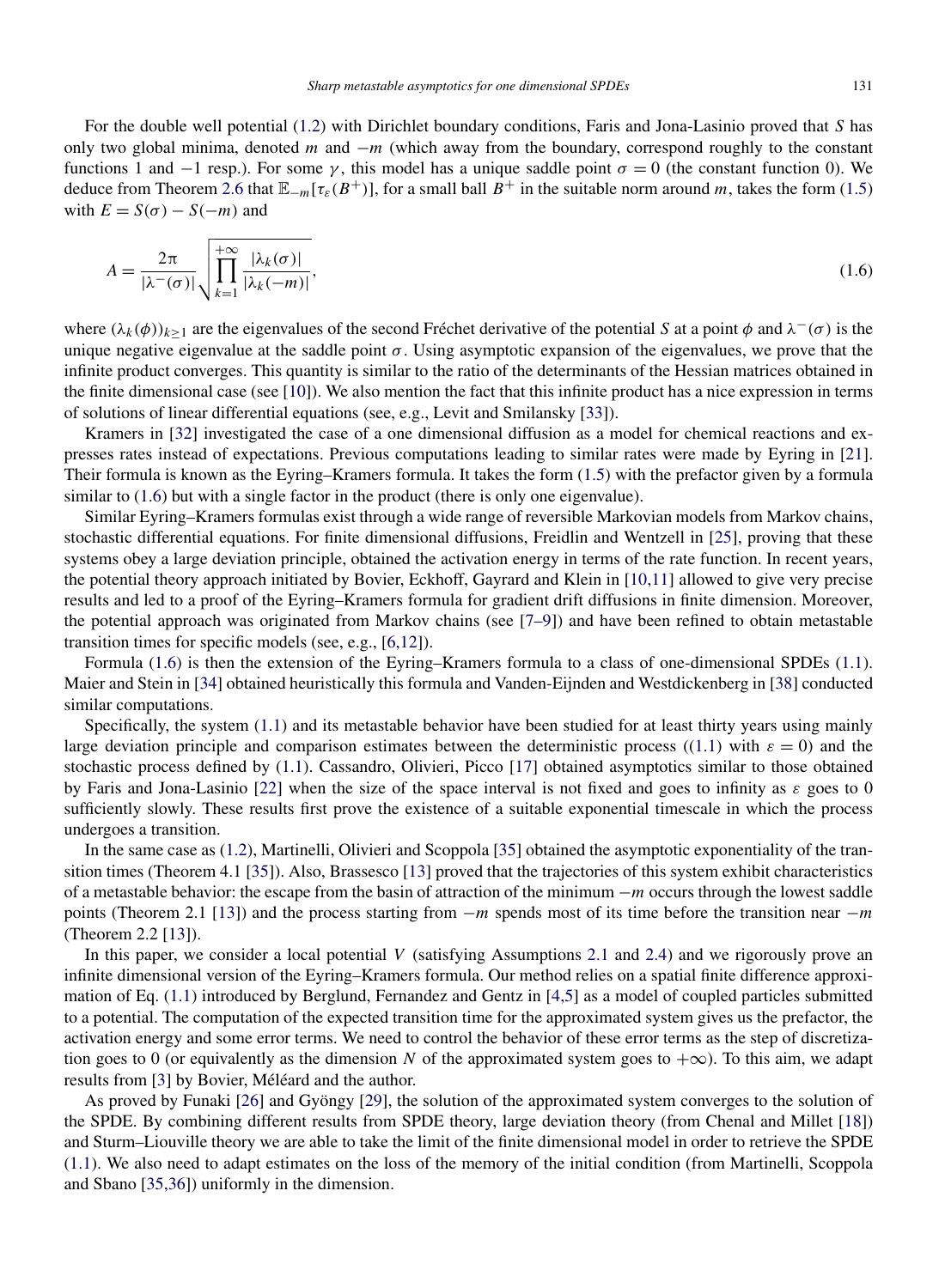For the double well potential [\(1.2\)](#page-1-0) with Dirichlet boundary conditions, Faris and Jona-Lasinio proved that *S* has only two global minima, denoted *m* and −*m* (which away from the boundary, correspond roughly to the constant functions 1 and  $-1$  resp.). For some *γ*, this model has a unique saddle point  $\sigma = 0$  (the constant function 0). We deduce from Theorem [2.6](#page-8-0) that  $\mathbb{E}_{-m}[\tau_{\varepsilon}(B^+)]$ , for a small ball  $B^+$  in the suitable norm around *m*, takes the form [\(1.5\)](#page-1-0) with  $E = S(\sigma) - S(-m)$  and

$$
A = \frac{2\pi}{|\lambda^-(\sigma)|} \sqrt{\prod_{k=1}^{+\infty} \frac{|\lambda_k(\sigma)|}{|\lambda_k(-m)|}},
$$
\n(1.6)

where  $(\lambda_k(\phi))_{k\geq 1}$  are the eigenvalues of the second Fréchet derivative of the potential *S* at a point  $\phi$  and  $\lambda^-(\sigma)$  is the unique negative eigenvalue at the saddle point  $\sigma$ . Using asymptotic expansion of the eigenvalues, we prove that the infinite product converges. This quantity is similar to the ratio of the determinants of the Hessian matrices obtained in the finite dimensional case (see [\[10\]](#page-36-0)). We also mention the fact that this infinite product has a nice expression in terms of solutions of linear differential equations (see, e.g., Levit and Smilansky [\[33\]](#page-37-0)).

Kramers in [\[32\]](#page-37-0) investigated the case of a one dimensional diffusion as a model for chemical reactions and expresses rates instead of expectations. Previous computations leading to similar rates were made by Eyring in [\[21\]](#page-36-0). Their formula is known as the Eyring–Kramers formula. It takes the form [\(1.5\)](#page-1-0) with the prefactor given by a formula similar to (1.6) but with a single factor in the product (there is only one eigenvalue).

Similar Eyring–Kramers formulas exist through a wide range of reversible Markovian models from Markov chains, stochastic differential equations. For finite dimensional diffusions, Freidlin and Wentzell in [\[25\]](#page-36-0), proving that these systems obey a large deviation principle, obtained the activation energy in terms of the rate function. In recent years, the potential theory approach initiated by Bovier, Eckhoff, Gayrard and Klein in [\[10,11\]](#page-36-0) allowed to give very precise results and led to a proof of the Eyring–Kramers formula for gradient drift diffusions in finite dimension. Moreover, the potential approach was originated from Markov chains (see [\[7–9\]](#page-36-0)) and have been refined to obtain metastable transition times for specific models (see, e.g., [\[6,12\]](#page-36-0)).

Formula (1.6) is then the extension of the Eyring–Kramers formula to a class of one-dimensional SPDEs [\(1.1\)](#page-1-0). Maier and Stein in [\[34\]](#page-37-0) obtained heuristically this formula and Vanden-Eijnden and Westdickenberg in [\[38\]](#page-37-0) conducted similar computations.

Specifically, the system [\(1.1\)](#page-1-0) and its metastable behavior have been studied for at least thirty years using mainly large deviation principle and comparison estimates between the deterministic process ([\(1.1\)](#page-1-0) with  $\varepsilon = 0$ ) and the stochastic process defined by [\(1.1\)](#page-1-0). Cassandro, Olivieri, Picco [\[17\]](#page-36-0) obtained asymptotics similar to those obtained by Faris and Jona-Lasinio [\[22\]](#page-36-0) when the size of the space interval is not fixed and goes to infinity as *ε* goes to 0 sufficiently slowly. These results first prove the existence of a suitable exponential timescale in which the process undergoes a transition.

In the same case as [\(1.2\)](#page-1-0), Martinelli, Olivieri and Scoppola [\[35\]](#page-37-0) obtained the asymptotic exponentiality of the transition times (Theorem 4.1 [\[35\]](#page-37-0)). Also, Brassesco [\[13\]](#page-36-0) proved that the trajectories of this system exhibit characteristics of a metastable behavior: the escape from the basin of attraction of the minimum −*m* occurs through the lowest saddle points (Theorem 2.1 [\[13\]](#page-36-0)) and the process starting from −*m* spends most of its time before the transition near −*m* (Theorem 2.2 [\[13\]](#page-36-0)).

In this paper, we consider a local potential *V* (satisfying Assumptions [2.1](#page-3-0) and [2.4\)](#page-5-0) and we rigorously prove an infinite dimensional version of the Eyring–Kramers formula. Our method relies on a spatial finite difference approximation of Eq. [\(1.1\)](#page-1-0) introduced by Berglund, Fernandez and Gentz in [\[4,5\]](#page-36-0) as a model of coupled particles submitted to a potential. The computation of the expected transition time for the approximated system gives us the prefactor, the activation energy and some error terms. We need to control the behavior of these error terms as the step of discretization goes to 0 (or equivalently as the dimension *N* of the approximated system goes to  $+\infty$ ). To this aim, we adapt results from [\[3\]](#page-36-0) by Bovier, Méléard and the author.

As proved by Funaki [\[26\]](#page-37-0) and Gyöngy [\[29\]](#page-37-0), the solution of the approximated system converges to the solution of the SPDE. By combining different results from SPDE theory, large deviation theory (from Chenal and Millet [\[18\]](#page-36-0)) and Sturm–Liouville theory we are able to take the limit of the finite dimensional model in order to retrieve the SPDE [\(1.1\)](#page-1-0). We also need to adapt estimates on the loss of the memory of the initial condition (from Martinelli, Scoppola and Sbano [\[35,36\]](#page-37-0)) uniformly in the dimension.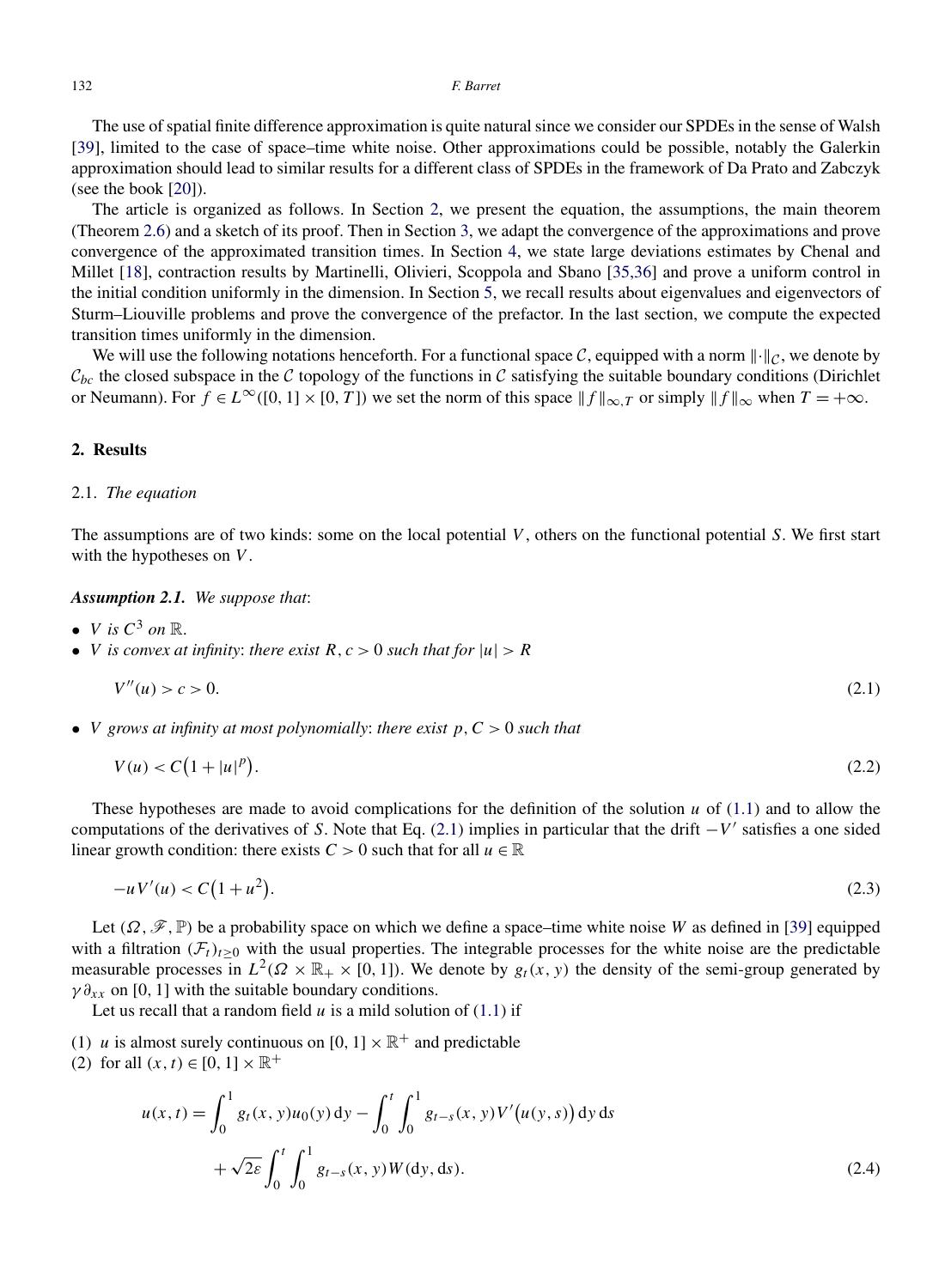<span id="page-3-0"></span>The use of spatial finite difference approximation is quite natural since we consider our SPDEs in the sense of Walsh [\[39\]](#page-37-0), limited to the case of space–time white noise. Other approximations could be possible, notably the Galerkin approximation should lead to similar results for a different class of SPDEs in the framework of Da Prato and Zabczyk (see the book [\[20\]](#page-36-0)).

The article is organized as follows. In Section 2, we present the equation, the assumptions, the main theorem (Theorem [2.6\)](#page-8-0) and a sketch of its proof. Then in Section [3,](#page-13-0) we adapt the convergence of the approximations and prove convergence of the approximated transition times. In Section [4,](#page-18-0) we state large deviations estimates by Chenal and Millet [\[18\]](#page-36-0), contraction results by Martinelli, Olivieri, Scoppola and Sbano [\[35,36\]](#page-37-0) and prove a uniform control in the initial condition uniformly in the dimension. In Section [5,](#page-21-0) we recall results about eigenvalues and eigenvectors of Sturm–Liouville problems and prove the convergence of the prefactor. In the last section, we compute the expected transition times uniformly in the dimension.

We will use the following notations henceforth. For a functional space C, equipped with a norm  $\|\cdot\|_C$ , we denote by  $\mathcal{C}_{bc}$  the closed subspace in the C topology of the functions in C satisfying the suitable boundary conditions (Dirichlet or Neumann). For  $f \in L^{\infty}([0, 1] \times [0, T])$  we set the norm of this space  $||f||_{\infty}$ , *T* or simply  $||f||_{\infty}$  when  $T = +\infty$ .

# **2. Results**

# 2.1. *The equation*

The assumptions are of two kinds: some on the local potential *V* , others on the functional potential *S*. We first start with the hypotheses on *V* .

*Assumption 2.1. We suppose that*:

- *V is*  $C^3$  *on*  $\mathbb{R}$ .
- *V is convex at infinity: there exist*  $R, c > 0$  *such that for*  $|u| > R$

$$
V''(u) > c > 0. \tag{2.1}
$$

• *V grows at infinity at most polynomially*: *there exist p,C >* 0 *such that*

$$
V(u) < C\left(1 + |u|^p\right). \tag{2.2}
$$

These hypotheses are made to avoid complications for the definition of the solution *u* of [\(1.1\)](#page-1-0) and to allow the computations of the derivatives of *S*. Note that Eq. (2.1) implies in particular that the drift −*V* satisfies a one sided linear growth condition: there exists  $C > 0$  such that for all  $u \in \mathbb{R}$ 

$$
-uV'(u) < C\left(1 + u^2\right). \tag{2.3}
$$

Let  $(\Omega, \mathcal{F}, \mathbb{P})$  be a probability space on which we define a space–time white noise *W* as defined in [\[39\]](#page-37-0) equipped with a filtration  $(F_t)_{t\geq 0}$  with the usual properties. The integrable processes for the white noise are the predictable measurable processes in  $L^2(\Omega \times \mathbb{R}_+ \times [0,1])$ . We denote by  $g_t(x, y)$  the density of the semi-group generated by  $\gamma \partial_{xx}$  on [0, 1] with the suitable boundary conditions.

Let us recall that a random field  $u$  is a mild solution of  $(1.1)$  if

- (1) *u* is almost surely continuous on  $[0, 1] \times \mathbb{R}^+$  and predictable
- (2) for all  $(x, t) \in [0, 1] \times \mathbb{R}^+$

$$
u(x,t) = \int_0^1 g_t(x, y)u_0(y) dy - \int_0^t \int_0^1 g_{t-s}(x, y)V'(u(y, s)) dy ds
$$
  
+  $\sqrt{2\varepsilon} \int_0^t \int_0^1 g_{t-s}(x, y)W(dy, ds).$  (2.4)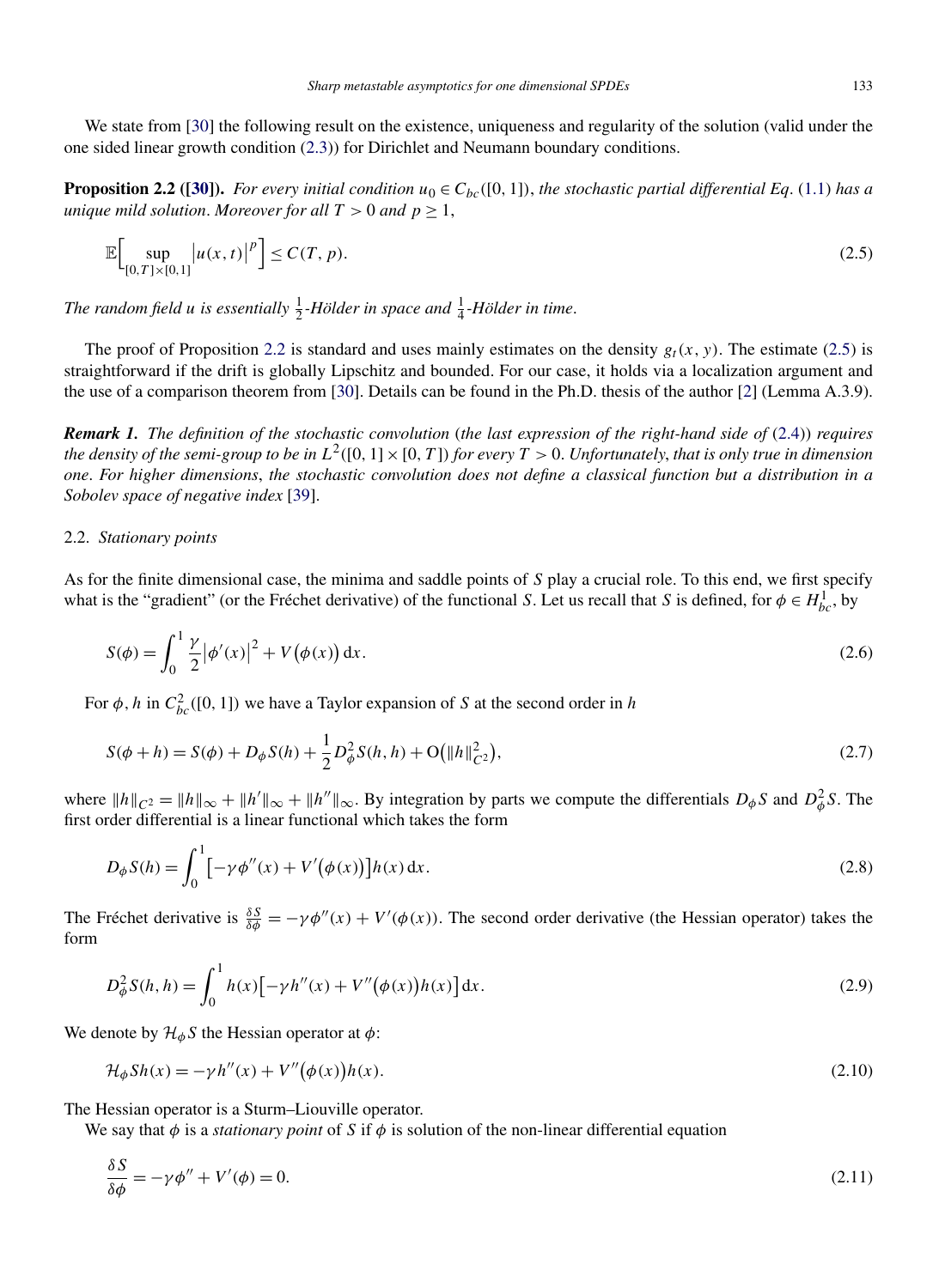<span id="page-4-0"></span>We state from [\[30\]](#page-37-0) the following result on the existence, uniqueness and regularity of the solution (valid under the one sided linear growth condition [\(2.3\)](#page-3-0)) for Dirichlet and Neumann boundary conditions.

**Proposition 2.2** ([\[30\]](#page-37-0)). For every initial condition  $u_0 \in C_{bc}([0, 1])$ , the stochastic partial differential Eq. [\(1.1\)](#page-1-0) has a *unique mild solution. Moreover for all*  $T > 0$  *and*  $p \ge 1$ ,

$$
\mathbb{E}\Big[\sup_{[0,T]\times[0,1]} |u(x,t)|^p\Big] \le C(T,p). \tag{2.5}
$$

The random field *u* is essentially  $\frac{1}{2}$ -Hölder in space and  $\frac{1}{4}$ -Hölder in time.

The proof of Proposition 2.2 is standard and uses mainly estimates on the density  $g_t(x, y)$ . The estimate (2.5) is straightforward if the drift is globally Lipschitz and bounded. For our case, it holds via a localization argument and the use of a comparison theorem from [\[30\]](#page-37-0). Details can be found in the Ph.D. thesis of the author [\[2\]](#page-36-0) (Lemma A.3.9).

*Remark 1. The definition of the stochastic convolution* (*the last expression of the right-hand side of* [\(2.4\)](#page-3-0)) *requires the density of the semi-group to be in*  $L^2([0,1] \times [0,T])$  *for every*  $T > 0$ . *Unfortunately, that is only true in dimension one*. *For higher dimensions*, *the stochastic convolution does not define a classical function but a distribution in a Sobolev space of negative index* [\[39\]](#page-37-0).

# 2.2. *Stationary points*

As for the finite dimensional case, the minima and saddle points of *S* play a crucial role. To this end, we first specify what is the "gradient" (or the Fréchet derivative) of the functional *S*. Let us recall that *S* is defined, for  $\phi \in H_{bc}^1$ , by

$$
S(\phi) = \int_0^1 \frac{\gamma}{2} |\phi'(x)|^2 + V(\phi(x)) dx.
$$
 (2.6)

For  $\phi$ , *h* in  $C_{bc}^2([0, 1])$  we have a Taylor expansion of *S* at the second order in *h* 

$$
S(\phi + h) = S(\phi) + D_{\phi}S(h) + \frac{1}{2}D_{\phi}^{2}S(h, h) + O\big(\|h\|_{C^{2}}^{2}\big),\tag{2.7}
$$

where  $||h||_{C^2} = ||h||_{\infty} + ||h'||_{\infty} + ||h''||_{\infty}$ . By integration by parts we compute the differentials  $D_{\phi}S$  and  $D_{\phi}^2S$ . The first order differential is a linear functional which takes the form

$$
D_{\phi}S(h) = \int_0^1 \left[ -\gamma \phi''(x) + V'(\phi(x)) \right] h(x) \, \mathrm{d}x. \tag{2.8}
$$

The Fréchet derivative is  $\frac{\delta S}{\delta \phi} = -\gamma \phi''(x) + V'(\phi(x))$ . The second order derivative (the Hessian operator) takes the form

$$
D_{\phi}^{2} S(h, h) = \int_{0}^{1} h(x) \left[ -\gamma h''(x) + V''(\phi(x))h(x) \right] dx.
$$
 (2.9)

We denote by  $\mathcal{H}_{\phi}S$  the Hessian operator at  $\phi$ :

$$
\mathcal{H}_{\phi} Sh(x) = -\gamma h''(x) + V''(\phi(x))h(x). \tag{2.10}
$$

The Hessian operator is a Sturm–Liouville operator.

We say that  $\phi$  is a *stationary point* of *S* if  $\phi$  is solution of the non-linear differential equation

$$
\frac{\delta S}{\delta \phi} = -\gamma \phi'' + V'(\phi) = 0. \tag{2.11}
$$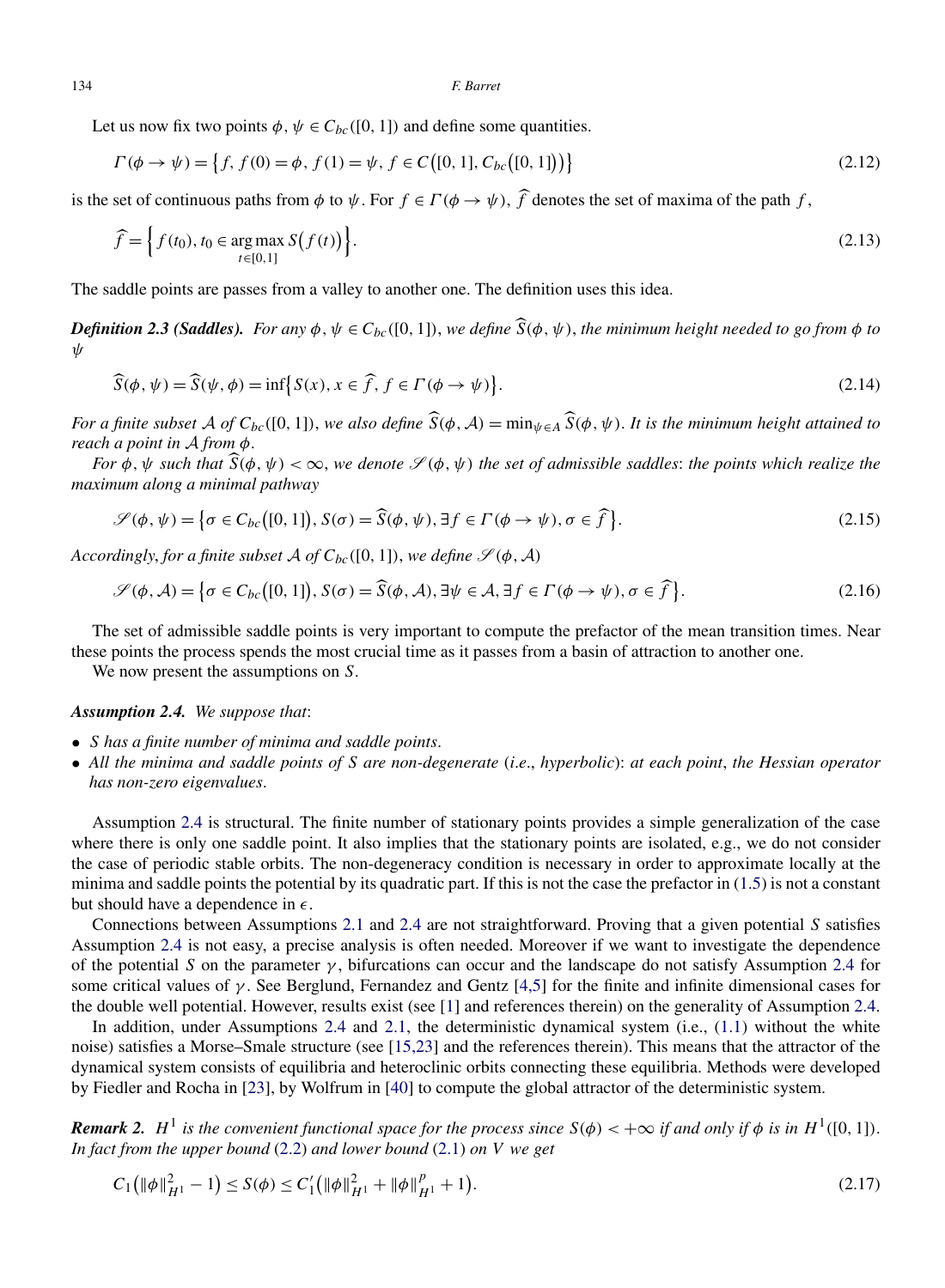Let us now fix two points  $\phi$ ,  $\psi \in C_{bc}([0, 1])$  and define some quantities.

$$
\Gamma(\phi \to \psi) = \left\{ f, f(0) = \phi, f(1) = \psi, f \in C([0, 1], C_{bc}([0, 1]) \right\}
$$
\n(2.12)

is the set of continuous paths from  $\phi$  to  $\psi$ . For  $f \in \Gamma(\phi \to \psi)$ ,  $\hat{f}$  denotes the set of maxima of the path  $f$ ,

$$
\widehat{f} = \Big\{ f(t_0), t_0 \in \underset{t \in [0,1]}{\text{arg max}} S(f(t)) \Big\}.
$$
\n(2.13)

The saddle points are passes from a valley to another one. The definition uses this idea.

*Definition 2.3 (Saddles). For any*  $\phi, \psi \in C_{bc}([0, 1])$ , we define  $\hat{S}(\phi, \psi)$ , the minimum height needed to go from  $\phi$  to *ψ*

$$
\widehat{S}(\phi, \psi) = \widehat{S}(\psi, \phi) = \inf \{ S(x), x \in \widehat{f}, f \in \Gamma(\phi \to \psi) \}.
$$
\n(2.14)

*For a finite subset* A *of*  $C_{bc}([0,1])$ , we also define  $\widehat{S}(\phi, A) = \min_{\psi \in A} \widehat{S}(\phi, \psi)$ . It is the minimum height attained to *reach a point in* A *from φ*.

*For*  $\phi$ ,  $\psi$  *such that*  $\widehat{S}(\phi, \psi) < \infty$ , we denote  $\mathcal{S}(\phi, \psi)$  the set of admissible saddles: the points which realize the *maximum along a minimal pathway*

$$
\mathscr{S}(\phi,\psi) = \left\{ \sigma \in C_{bc}([0,1]), S(\sigma) = \widehat{S}(\phi,\psi), \exists f \in \Gamma(\phi \to \psi), \sigma \in \widehat{f} \right\}. \tag{2.15}
$$

*Accordingly, for a finite subset A of*  $C_{bc}([0, 1])$ *, we define*  $\mathcal{S}(\phi, \mathcal{A})$ 

$$
\mathscr{S}(\phi,\mathcal{A}) = \left\{ \sigma \in C_{bc}([0,1]), S(\sigma) = \widehat{S}(\phi,\mathcal{A}), \exists \psi \in \mathcal{A}, \exists f \in \Gamma(\phi \to \psi), \sigma \in \widehat{f} \right\}.
$$
 (2.16)

The set of admissible saddle points is very important to compute the prefactor of the mean transition times. Near these points the process spends the most crucial time as it passes from a basin of attraction to another one.

We now present the assumptions on *S*.

# *Assumption 2.4. We suppose that*:

- *S has a finite number of minima and saddle points*.
- *All the minima and saddle points of S are non-degenerate* (*i*.*e*., *hyperbolic*): *at each point*, *the Hessian operator has non-zero eigenvalues*.

Assumption 2.4 is structural. The finite number of stationary points provides a simple generalization of the case where there is only one saddle point. It also implies that the stationary points are isolated, e.g., we do not consider the case of periodic stable orbits. The non-degeneracy condition is necessary in order to approximate locally at the minima and saddle points the potential by its quadratic part. If this is not the case the prefactor in  $(1.5)$  is not a constant but should have a dependence in  $\epsilon$ .

Connections between Assumptions [2.1](#page-3-0) and 2.4 are not straightforward. Proving that a given potential *S* satisfies Assumption 2.4 is not easy, a precise analysis is often needed. Moreover if we want to investigate the dependence of the potential *S* on the parameter *γ* , bifurcations can occur and the landscape do not satisfy Assumption 2.4 for some critical values of *γ* . See Berglund, Fernandez and Gentz [\[4,5\]](#page-36-0) for the finite and infinite dimensional cases for the double well potential. However, results exist (see [\[1\]](#page-36-0) and references therein) on the generality of Assumption 2.4.

In addition, under Assumptions 2.4 and [2.1,](#page-3-0) the deterministic dynamical system (i.e., [\(1.1\)](#page-1-0) without the white noise) satisfies a Morse–Smale structure (see [\[15,23\]](#page-36-0) and the references therein). This means that the attractor of the dynamical system consists of equilibria and heteroclinic orbits connecting these equilibria. Methods were developed by Fiedler and Rocha in [\[23\]](#page-36-0), by Wolfrum in [\[40\]](#page-37-0) to compute the global attractor of the deterministic system.

*Remark 2.*  $H^1$  *is the convenient functional space for the process since*  $S(\phi) < +\infty$  *if and only if*  $\phi$  *is in*  $H^1([0,1])$ . *In fact from the upper bound* [\(2.2\)](#page-3-0) *and lower bound* [\(2.1\)](#page-3-0) *on V we get*

$$
C_1(\|\phi\|_{H^1}^2 - 1) \le S(\phi) \le C_1'(\|\phi\|_{H^1}^2 + \|\phi\|_{H^1}^p + 1). \tag{2.17}
$$

<span id="page-5-0"></span>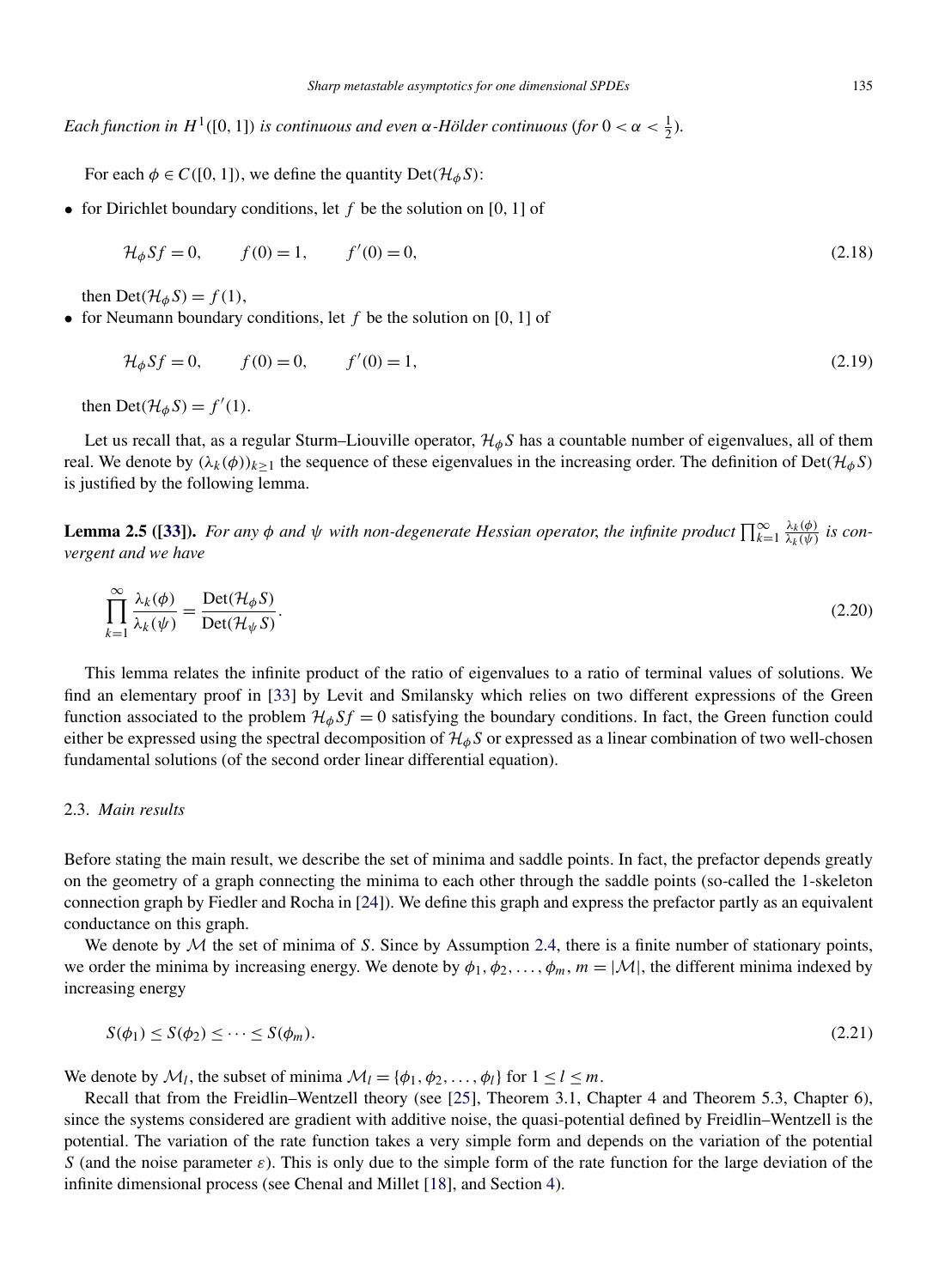<span id="page-6-0"></span>*Each function in*  $H^1([0, 1])$  *is continuous and even*  $\alpha$ -Hölder continuous (for  $0 < \alpha < \frac{1}{2}$ ).

For each  $\phi \in C([0, 1])$ , we define the quantity  $Det(\mathcal{H}_{\phi}S)$ :

• for Dirichlet boundary conditions, let *f* be the solution on [0*,* 1] of

$$
\mathcal{H}_{\phi} S f = 0, \qquad f(0) = 1, \qquad f'(0) = 0,
$$
\n(2.18)

then  $Det(\mathcal{H}_{\phi}S) = f(1)$ ,

• for Neumann boundary conditions, let *f* be the solution on [0*,* 1] of

$$
\mathcal{H}_{\phi} S f = 0, \qquad f(0) = 0, \qquad f'(0) = 1, \tag{2.19}
$$

then  $Det(\mathcal{H}_{\phi}S) = f'(1)$ .

Let us recall that, as a regular Sturm–Liouville operator, H*φS* has a countable number of eigenvalues, all of them real. We denote by  $(\lambda_k(\phi))_{k\geq 1}$  the sequence of these eigenvalues in the increasing order. The definition of Det $(\mathcal{H}_{\phi}S)$ is justified by the following lemma.

**Lemma 2.5** ([\[33\]](#page-37-0)). For any  $\phi$  and  $\psi$  with non-degenerate Hessian operator, the infinite product  $\prod_{k=1}^{\infty} \frac{\lambda_k(\phi)}{\lambda_k(\psi)}$  is con*vergent and we have*

$$
\prod_{k=1}^{\infty} \frac{\lambda_k(\phi)}{\lambda_k(\psi)} = \frac{\text{Det}(\mathcal{H}_{\phi} S)}{\text{Det}(\mathcal{H}_{\psi} S)}.
$$
\n(2.20)

This lemma relates the infinite product of the ratio of eigenvalues to a ratio of terminal values of solutions. We find an elementary proof in [\[33\]](#page-37-0) by Levit and Smilansky which relies on two different expressions of the Green function associated to the problem  $\mathcal{H}_{\phi} S f = 0$  satisfying the boundary conditions. In fact, the Green function could either be expressed using the spectral decomposition of  $\mathcal{H}_{\phi}S$  or expressed as a linear combination of two well-chosen fundamental solutions (of the second order linear differential equation).

# 2.3. *Main results*

Before stating the main result, we describe the set of minima and saddle points. In fact, the prefactor depends greatly on the geometry of a graph connecting the minima to each other through the saddle points (so-called the 1-skeleton connection graph by Fiedler and Rocha in [\[24\]](#page-36-0)). We define this graph and express the prefactor partly as an equivalent conductance on this graph.

We denote by  $M$  the set of minima of *S*. Since by Assumption [2.4,](#page-5-0) there is a finite number of stationary points, we order the minima by increasing energy. We denote by  $\phi_1, \phi_2, \ldots, \phi_m, m = |\mathcal{M}|$ , the different minima indexed by increasing energy

$$
S(\phi_1) \le S(\phi_2) \le \dots \le S(\phi_m). \tag{2.21}
$$

We denote by  $M_l$ , the subset of minima  $M_l = {\phi_1, \phi_2, ..., \phi_l}$  for  $1 \le l \le m$ .

Recall that from the Freidlin–Wentzell theory (see [\[25\]](#page-36-0), Theorem 3.1, Chapter 4 and Theorem 5.3, Chapter 6), since the systems considered are gradient with additive noise, the quasi-potential defined by Freidlin–Wentzell is the potential. The variation of the rate function takes a very simple form and depends on the variation of the potential *S* (and the noise parameter  $\varepsilon$ ). This is only due to the simple form of the rate function for the large deviation of the infinite dimensional process (see Chenal and Millet [\[18\]](#page-36-0), and Section [4\)](#page-18-0).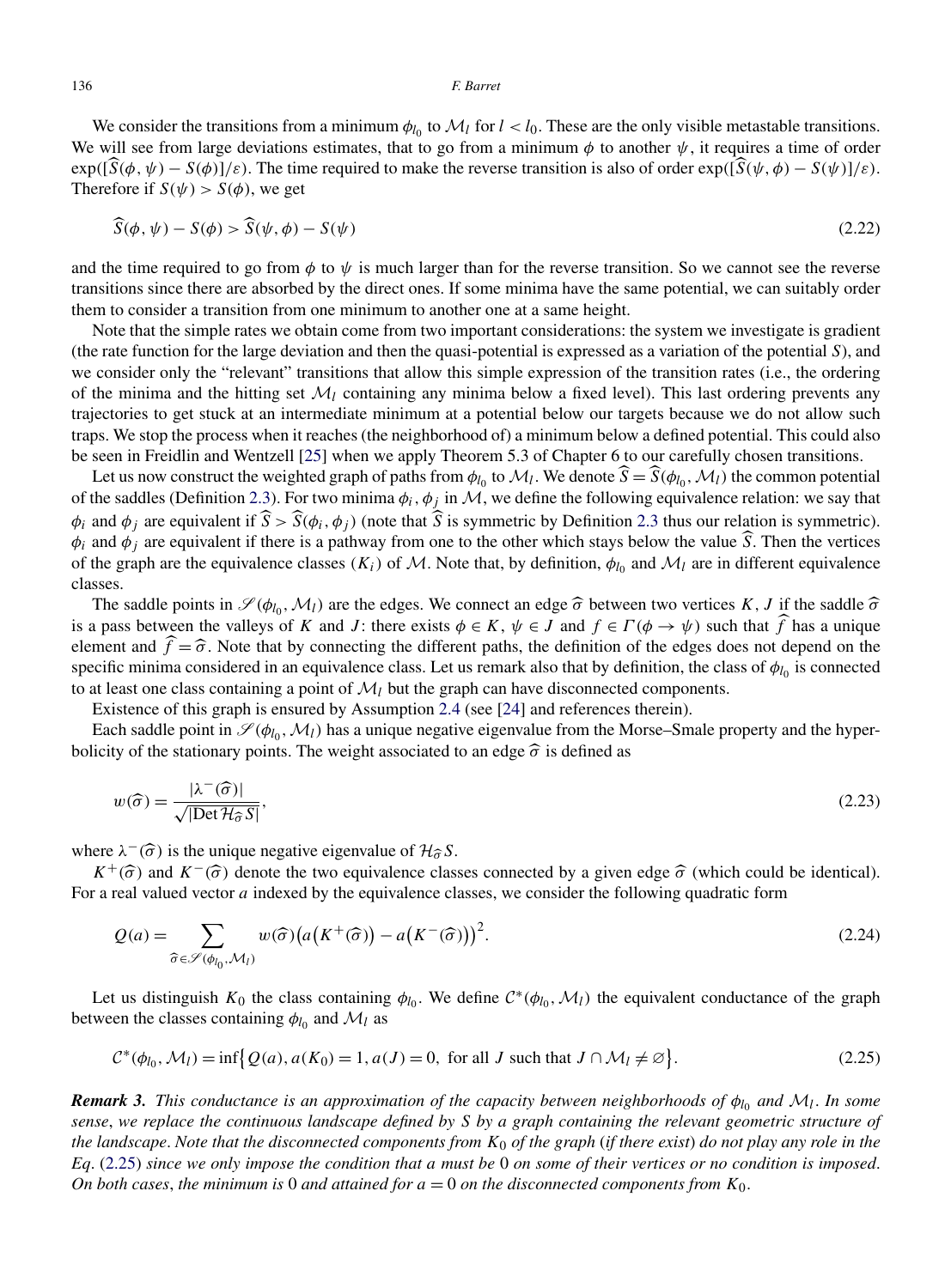<span id="page-7-0"></span>We consider the transitions from a minimum  $\phi_{l_0}$  to  $\mathcal{M}_l$  for  $l < l_0$ . These are the only visible metastable transitions. We will see from large deviations estimates, that to go from a minimum  $\phi$  to another  $\psi$ , it requires a time of order  $\exp\left(\frac{\hat{S}(\phi, \psi) - S(\phi)}{(\phi, \psi) - S(\phi)}\right]$ . The time required to make the reverse transition is also of order  $\exp\left(\frac{\hat{S}(\psi, \phi) - S(\psi)}{(\phi, \psi) - S(\phi)}\right)$ . Therefore if  $S(\psi) > S(\phi)$ , we get

$$
\widehat{S}(\phi, \psi) - S(\phi) > \widehat{S}(\psi, \phi) - S(\psi) \tag{2.22}
$$

and the time required to go from  $\phi$  to  $\psi$  is much larger than for the reverse transition. So we cannot see the reverse transitions since there are absorbed by the direct ones. If some minima have the same potential, we can suitably order them to consider a transition from one minimum to another one at a same height.

Note that the simple rates we obtain come from two important considerations: the system we investigate is gradient (the rate function for the large deviation and then the quasi-potential is expressed as a variation of the potential *S*), and we consider only the "relevant" transitions that allow this simple expression of the transition rates (i.e., the ordering of the minima and the hitting set  $\mathcal{M}_l$  containing any minima below a fixed level). This last ordering prevents any trajectories to get stuck at an intermediate minimum at a potential below our targets because we do not allow such traps. We stop the process when it reaches (the neighborhood of) a minimum below a defined potential. This could also be seen in Freidlin and Wentzell [\[25\]](#page-36-0) when we apply Theorem 5.3 of Chapter 6 to our carefully chosen transitions.

Let us now construct the weighted graph of paths from  $\phi_{l_0}$  to  $\mathcal{M}_l$ . We denote  $\hat{S} = \hat{S}(\phi_{l_0}, \mathcal{M}_l)$  the common potential of the saddles (Definition [2.3\)](#page-5-0). For two minima  $\phi_i$ ,  $\phi_j$  in M, we define the following equivalence relation: we say that  $\phi_i$  and  $\phi_j$  are equivalent if  $\hat{S} > \hat{S}(\phi_i, \phi_j)$  (note that  $\hat{S}$  is symmetric by Definition [2.3](#page-5-0) thus our relation is symmetric).  $\phi_i$  and  $\phi_j$  are equivalent if there is a pathway from one to the other which stays below the value  $\hat{S}$ . Then the vertices of the graph are the equivalence classes  $(K_i)$  of M. Note that, by definition,  $\phi_{l_0}$  and  $\mathcal{M}_l$  are in different equivalence classes.

The saddle points in  $\mathscr{S}(\phi_{l_0}, M_l)$  are the edges. We connect an edge  $\hat{\sigma}$  between two vertices *K*, *J* if the saddle  $\hat{\sigma}$ is a pass between the valleys of *K* and *J*: there exists  $\phi \in K$ ,  $\psi \in J$  and  $f \in \Gamma(\phi \to \psi)$  such that *f* has a unique element and  $\hat{f} = \hat{\sigma}$ . Note that by connecting the different paths, the definition of the edges does not depend on the specific minima considered in an equivalence class. Let us remark also that by definition, the cla specific minima considered in an equivalence class. Let us remark also that by definition, the class of  $\phi_{l_0}$  is connected to at least one class containing a point of  $\mathcal{M}_l$  but the graph can have disconnected components.

Existence of this graph is ensured by Assumption [2.4](#page-5-0) (see [\[24\]](#page-36-0) and references therein).

Each saddle point in  $\mathcal{S}(\phi_{l_0}, \mathcal{M}_l)$  has a unique negative eigenvalue from the Morse–Smale property and the hyperbolicity of the stationary points. The weight associated to an edge  $\hat{\sigma}$  is defined as

$$
w(\widehat{\sigma}) = \frac{|\lambda^-(\widehat{\sigma})|}{\sqrt{|\text{Det }\mathcal{H}_{\widehat{\sigma}}\mathcal{S}|}},\tag{2.23}
$$

where  $\lambda^{-}(\hat{\sigma})$  is the unique negative eigenvalue of  $\mathcal{H}_{\hat{\sigma}} S$ .

 $K^+(\hat{\sigma})$  and  $K^-(\hat{\sigma})$  denote the two equivalence classes connected by a given edge  $\hat{\sigma}$  (which could be identical). For a real valued vector *a* indexed by the equivalence classes, we consider the following quadratic form

$$
Q(a) = \sum_{\widehat{\sigma} \in \mathscr{S}(\phi_{l_0}, \mathcal{M}_l)} w(\widehat{\sigma}) \big( a(K^+(\widehat{\sigma})) - a(K^-(\widehat{\sigma})) \big)^2.
$$
 (2.24)

Let us distinguish  $K_0$  the class containing  $\phi_{l_0}$ . We define  $C^*(\phi_{l_0}, M_l)$  the equivalent conductance of the graph between the classes containing  $\phi_{l_0}$  and  $\mathcal{M}_l$  as

$$
\mathcal{C}^*(\phi_{l_0}, \mathcal{M}_l) = \inf \{ \mathcal{Q}(a), a(K_0) = 1, a(J) = 0, \text{ for all } J \text{ such that } J \cap \mathcal{M}_l \neq \emptyset \}. \tag{2.25}
$$

*Remark 3. This conductance is an approximation of the capacity between neighborhoods of φl*<sup>0</sup> *and* M*l*. *In some sense*, *we replace the continuous landscape defined by S by a graph containing the relevant geometric structure of the landscape*. *Note that the disconnected components from K*<sup>0</sup> *of the graph* (*if there exist*) *do not play any role in the Eq*. (2.25) *since we only impose the condition that a must be* 0 *on some of their vertices or no condition is imposed*. *On both cases, the minimum is* 0 *and attained for*  $a = 0$  *on the disconnected components from*  $K_0$ .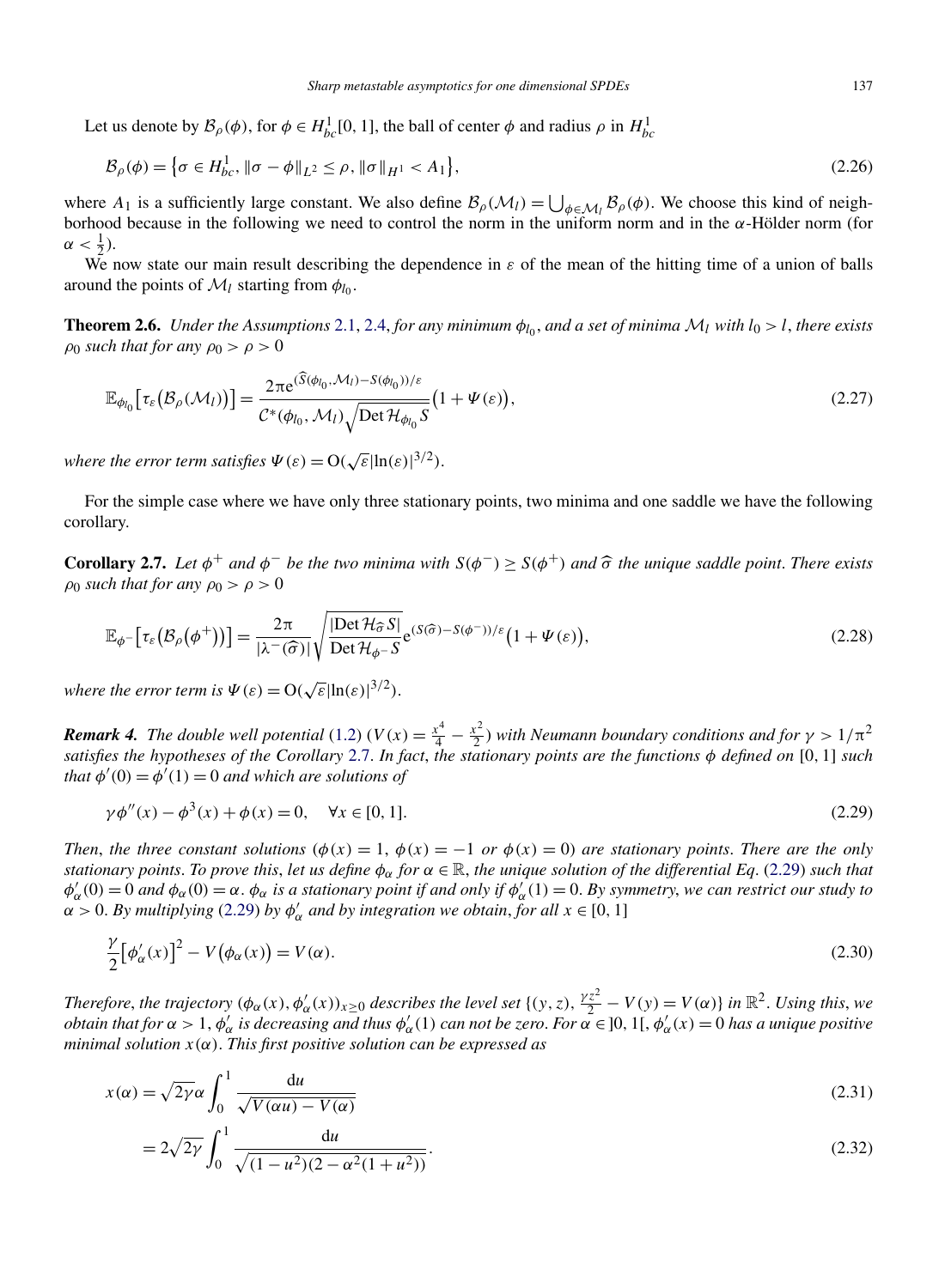<span id="page-8-0"></span>Let us denote by  $\mathcal{B}_{\rho}(\phi)$ , for  $\phi \in H^1_{bc}[0, 1]$ , the ball of center  $\phi$  and radius  $\rho$  in  $H^1_{bc}$ 

$$
\mathcal{B}_{\rho}(\phi) = \left\{ \sigma \in H_{bc}^{1}, \|\sigma - \phi\|_{L^{2}} \le \rho, \|\sigma\|_{H^{1}} < A_{1} \right\},\tag{2.26}
$$

where  $A_1$  is a sufficiently large constant. We also define  $B_\rho(\mathcal{M}_l) = \bigcup_{\phi \in \mathcal{M}_l} B_\rho(\phi)$ . We choose this kind of neighborhood because in the following we need to control the norm in the uniform norm and in the *α*-Hölder norm (for  $\alpha < \frac{1}{2}$ ).

We now state our main result describing the dependence in *ε* of the mean of the hitting time of a union of balls around the points of  $\mathcal{M}_l$  starting from  $\phi_{l_0}$ .

**Theorem 2.6.** *Under the Assumptions* [2.1,](#page-3-0) [2.4,](#page-5-0) *for any minimum*  $\phi_{l_0}$ , *and a set of minima*  $M_l$  *with*  $l_0 > l$ , *there exists*  $\rho_0$  *such that for any*  $\rho_0 > \rho > 0$ 

$$
\mathbb{E}_{\phi_{l_0}}\big[\tau_{\varepsilon}\big(\mathcal{B}_{\rho}(\mathcal{M}_l)\big)\big]=\frac{2\pi e^{(\widetilde{S}(\phi_{l_0},\mathcal{M}_l)-S(\phi_{l_0}))/\varepsilon}}{C^*(\phi_{l_0},\mathcal{M}_l)\sqrt{\mathrm{Det}\,\mathcal{H}_{\phi_{l_0}}S}}\big(1+\Psi(\varepsilon)\big),\tag{2.27}
$$

*where the error term satisfies*  $\Psi(\varepsilon) = O(\sqrt{\varepsilon}|\ln(\varepsilon)|^{3/2})$ .

For the simple case where we have only three stationary points, two minima and one saddle we have the following corollary.

**Corollary 2.7.** Let  $\phi^+$  and  $\phi^-$  be the two minima with  $S(\phi^-) \geq S(\phi^+)$  and  $\hat{\sigma}$  the unique saddle point. There exists  $\rho_0$  *such that for any*  $\rho_0 > \rho > 0$ 

$$
\mathbb{E}_{\phi^{-}}[\tau_{\varepsilon}(\mathcal{B}_{\rho}(\phi^{+}))]=\frac{2\pi}{|\lambda^{-}(\widehat{\sigma})|}\sqrt{\frac{|\text{Det}\mathcal{H}_{\widehat{\sigma}}S|}{\text{Det}\mathcal{H}_{\phi^{-}}S}}e^{(S(\widehat{\sigma})-S(\phi^{-}))/\varepsilon}\big(1+\Psi(\varepsilon)\big),\tag{2.28}
$$

*where the error term is*  $\Psi(\varepsilon) = O(\sqrt{\varepsilon}|\ln(\varepsilon)|^{3/2})$ .

*Remark 4. The double well potential*  $(1.2)$   $(V(x) = \frac{x^4}{4} - \frac{x^2}{2})$  *with Neumann boundary conditions and for*  $\gamma > 1/\pi^2$ *satisfies the hypotheses of the Corollary* 2.7. *In fact*, *the stationary points are the functions φ defined on* [0*,* 1] *such that*  $\phi'(0) = \phi'(1) = 0$  *and which are solutions of* 

$$
\gamma \phi''(x) - \phi^3(x) + \phi(x) = 0, \quad \forall x \in [0, 1].
$$
\n(2.29)

*Then, the three constant solutions* ( $\phi(x) = 1$ ,  $\phi(x) = -1$  *or*  $\phi(x) = 0$ ) *are stationary points. There are the only stationary points. To prove this, let us define*  $\phi_\alpha$  *for*  $\alpha \in \mathbb{R}$ *, the unique solution of the differential Eq.* (2.29) *such that*  $\phi'_\alpha(0) = 0$  *and*  $\phi_\alpha(0) = \alpha$ .  $\phi_\alpha$  *is a stationary point if and only if*  $\phi'_\alpha(1) = 0$ . By symmetry, we can restrict our study to  $\alpha > 0$ . *By multiplying* (2.29) *by*  $\phi'_\alpha$  *and by integration we obtain, for all*  $x \in [0, 1]$ 

$$
\frac{\gamma}{2} [\phi_{\alpha}'(x)]^2 - V(\phi_{\alpha}(x)) = V(\alpha). \tag{2.30}
$$

*Therefore, the trajectory*  $(\phi_{\alpha}(x), \phi_{\alpha}'(x))_{x \geq 0}$  *describes the level set*  $\{(y, z), \frac{\gamma z^2}{2} - V(y) = V(\alpha)\}$  *in*  $\mathbb{R}^2$ . *Using this, we obtain that for*  $\alpha > 1$ ,  $\phi'_\alpha$  *is decreasing and thus*  $\phi'_\alpha(1)$  *can not be zero. For*  $\alpha \in ]0,1[$ ,  $\phi'_\alpha(x)=0$  *has a unique positive minimal solution x(α)*. *This first positive solution can be expressed as*

$$
x(\alpha) = \sqrt{2\gamma}\alpha \int_0^1 \frac{du}{\sqrt{V(\alpha u) - V(\alpha)}}
$$
\n(2.31)

$$
=2\sqrt{2\gamma}\int_0^1\frac{\mathrm{d}u}{\sqrt{(1-u^2)(2-\alpha^2(1+u^2))}}.\tag{2.32}
$$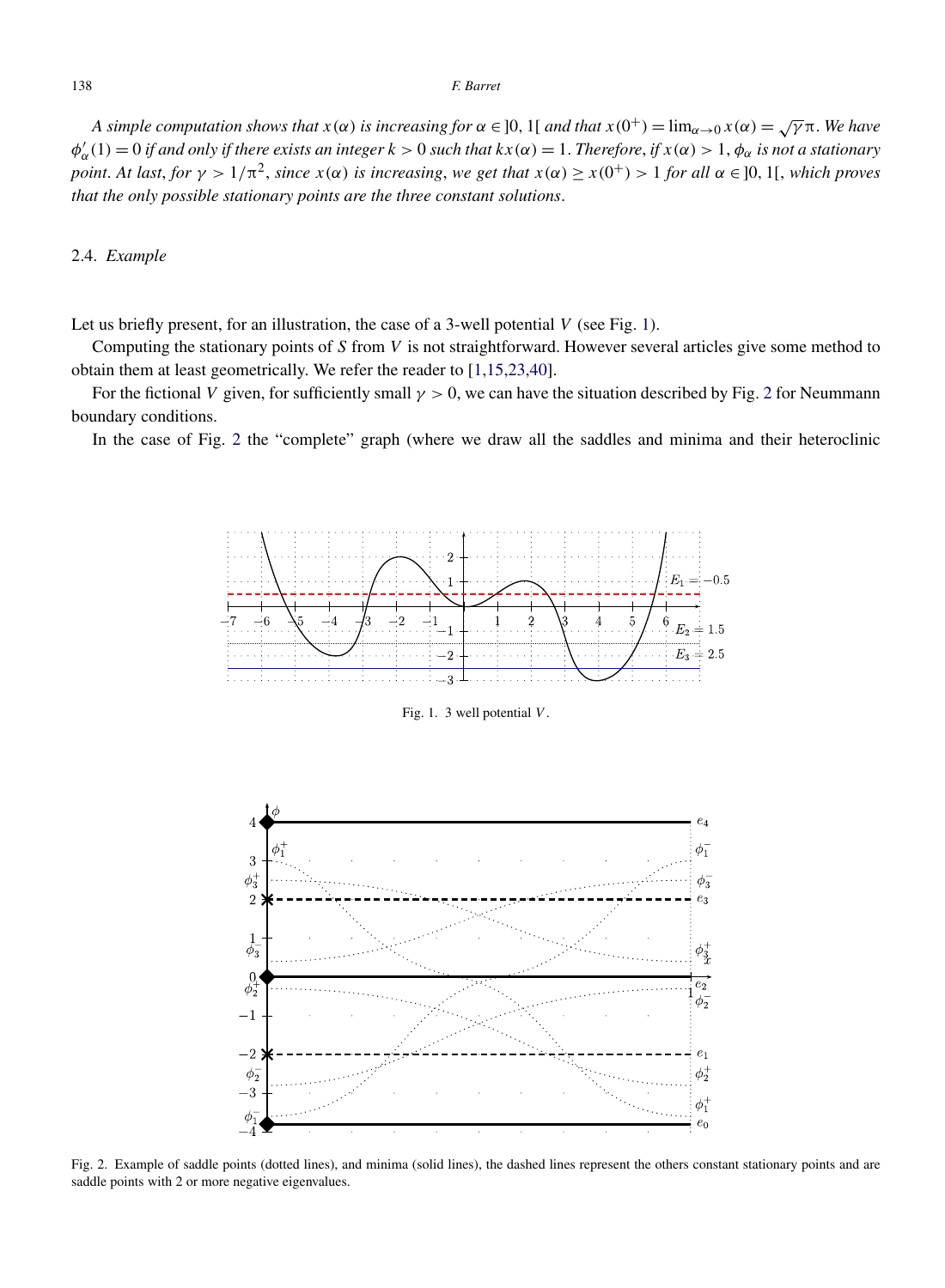<span id="page-9-0"></span>*A simple computation shows that*  $x(\alpha)$  *is increasing for*  $\alpha \in ]0,1[$  *and that*  $x(0^+) = \lim_{\alpha \to 0} x(\alpha) = \sqrt{\gamma} \pi$ . We have  $\phi'_\alpha(1) = 0$  *if and only if there exists an integer*  $k > 0$  *such that*  $kx(\alpha) = 1$ . Therefore, *if*  $x(\alpha) > 1$ ,  $\phi_\alpha$  *is not a stationary* point. At last, for  $\gamma > 1/\pi^2$ , since  $x(\alpha)$  is increasing, we get that  $x(\alpha) \ge x(0^+) > 1$  for all  $\alpha \in ]0,1[$ , which proves *that the only possible stationary points are the three constant solutions*.

# 2.4. *Example*

Let us briefly present, for an illustration, the case of a 3-well potential *V* (see Fig. 1).

Computing the stationary points of *S* from *V* is not straightforward. However several articles give some method to obtain them at least geometrically. We refer the reader to [\[1,15,23,40\]](#page-36-0).

For the fictional *V* given, for sufficiently small *γ >* 0, we can have the situation described by Fig. 2 for Neummann boundary conditions.

In the case of Fig. 2 the "complete" graph (where we draw all the saddles and minima and their heteroclinic



Fig. 1. 3 well potential *V* .



Fig. 2. Example of saddle points (dotted lines), and minima (solid lines), the dashed lines represent the others constant stationary points and are saddle points with 2 or more negative eigenvalues.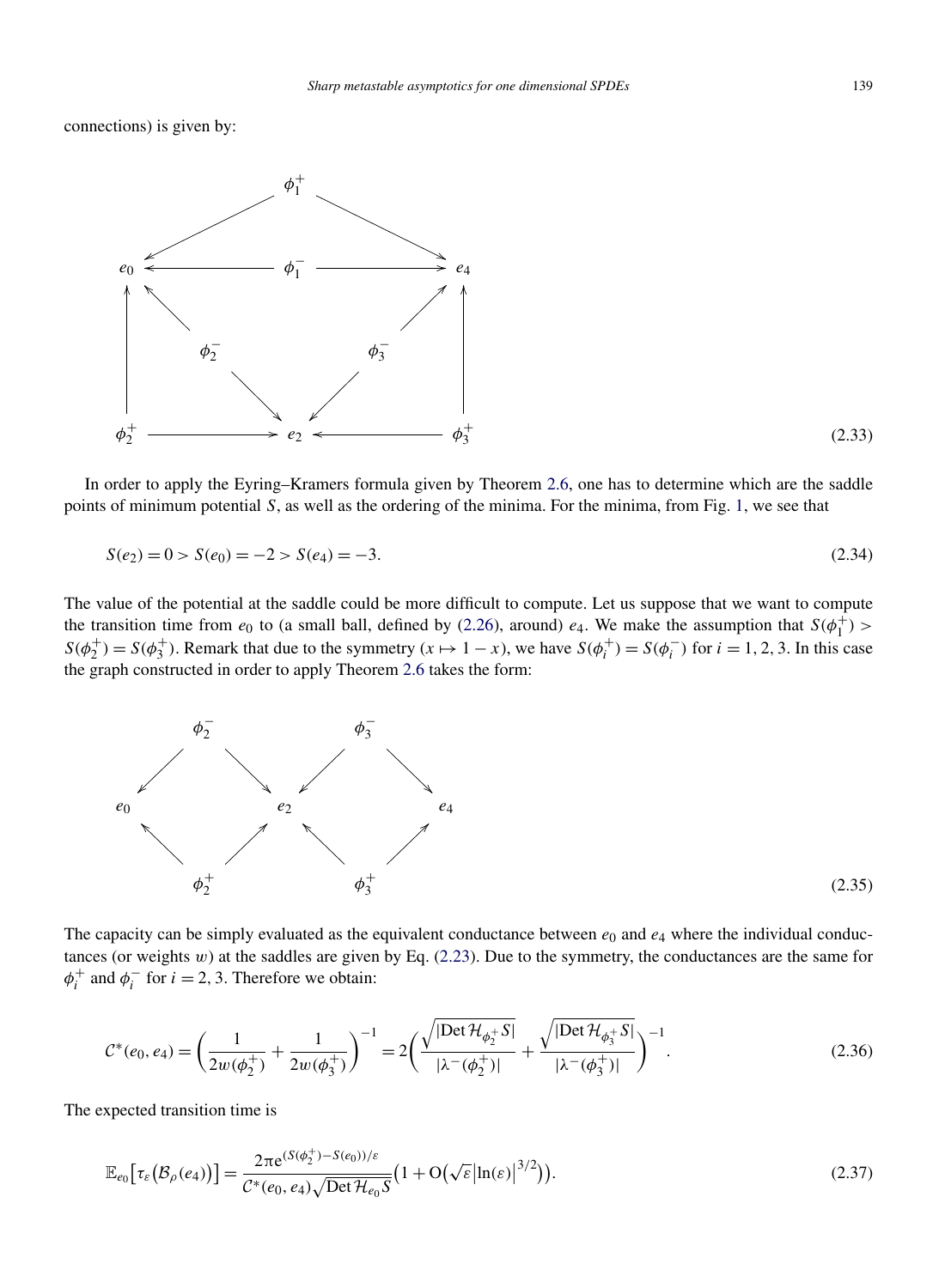<span id="page-10-0"></span>connections) is given by:



In order to apply the Eyring–Kramers formula given by Theorem [2.6,](#page-8-0) one has to determine which are the saddle points of minimum potential *S*, as well as the ordering of the minima. For the minima, from Fig. [1,](#page-9-0) we see that

$$
S(e_2) = 0 > S(e_0) = -2 > S(e_4) = -3.
$$
\n(2.34)

The value of the potential at the saddle could be more difficult to compute. Let us suppose that we want to compute the transition time from  $e_0$  to (a small ball, defined by [\(2.26\)](#page-8-0), around)  $e_4$ . We make the assumption that  $S(\phi_1^+)$  $S(\phi_2^+) = S(\phi_3^+)$ . Remark that due to the symmetry  $(x \mapsto 1 - x)$ , we have  $S(\phi_i^+) = S(\phi_i^-)$  for  $i = 1, 2, 3$ . In this case the graph constructed in order to apply Theorem [2.6](#page-8-0) takes the form:



The capacity can be simply evaluated as the equivalent conductance between  $e_0$  and  $e_4$  where the individual conductances (or weights *w*) at the saddles are given by Eq. [\(2.23\)](#page-7-0). Due to the symmetry, the conductances are the same for  $\phi_i^+$  and  $\phi_i^-$  for  $i = 2, 3$ . Therefore we obtain:

$$
C^*(e_0, e_4) = \left(\frac{1}{2w(\phi_2^+)} + \frac{1}{2w(\phi_3^+)}\right)^{-1} = 2\left(\frac{\sqrt{|\text{Det }\mathcal{H}_{\phi_2^+}S|}}{|\lambda^-(\phi_2^+)|} + \frac{\sqrt{|\text{Det }\mathcal{H}_{\phi_3^+}S|}}{|\lambda^-(\phi_3^+)|}\right)^{-1}.
$$
\n(2.36)

The expected transition time is

$$
\mathbb{E}_{e_0}\big[\tau_{\varepsilon}\big(\mathcal{B}_{\rho}(e_4)\big)\big] = \frac{2\pi e^{(S(\phi_2^+) - S(e_0))/\varepsilon}}{\mathcal{C}^*(e_0, e_4)\sqrt{\mathrm{Det}\,\mathcal{H}_{e_0}S}}\big(1 + \mathrm{O}\big(\sqrt{\varepsilon}\big|\ln(\varepsilon)\big|^{3/2}\big)\big). \tag{2.37}
$$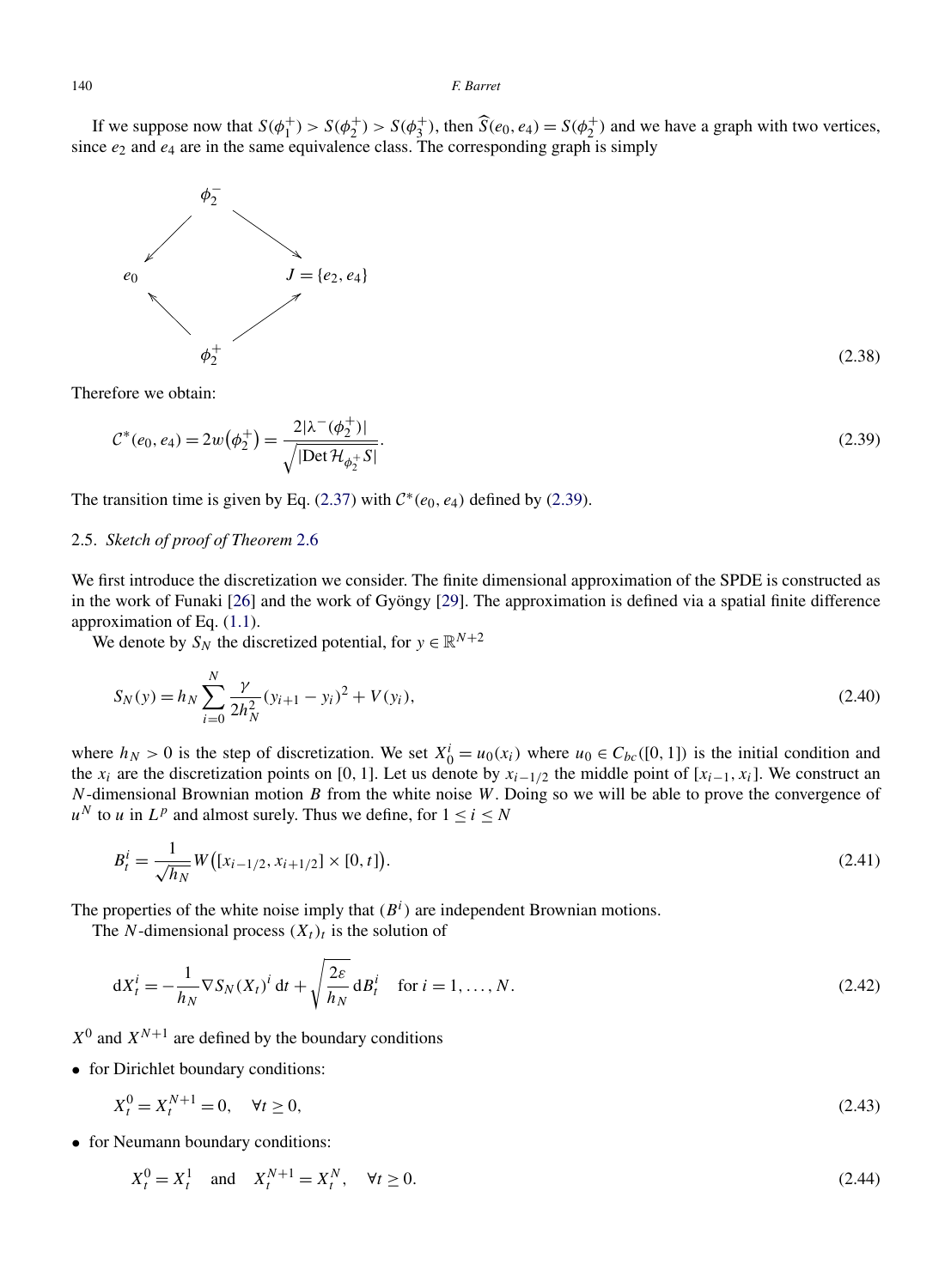<span id="page-11-0"></span>If we suppose now that  $S(\phi_1^+) > S(\phi_2^+) > S(\phi_3^+)$ , then  $\widehat{S}(e_0, e_4) = S(\phi_2^+)$  and we have a graph with two vertices, since  $e_2$  and  $e_4$  are in the same equivalence class. The corresponding graph is simply



Therefore we obtain:

$$
C^*(e_0, e_4) = 2w(\phi_2^+) = \frac{2|\lambda^-(\phi_2^+)|}{\sqrt{|\text{Det}\,\mathcal{H}_{\phi_2^+}S|}}.\tag{2.39}
$$

The transition time is given by Eq. [\(2.37\)](#page-10-0) with  $C^*(e_0, e_4)$  defined by (2.39).

# 2.5. *Sketch of proof of Theorem* [2.6](#page-8-0)

We first introduce the discretization we consider. The finite dimensional approximation of the SPDE is constructed as in the work of Funaki [\[26\]](#page-37-0) and the work of Gyöngy [\[29\]](#page-37-0). The approximation is defined via a spatial finite difference approximation of Eq. [\(1.1\)](#page-1-0).

We denote by  $S_N$  the discretized potential, for  $y \in \mathbb{R}^{N+2}$ 

$$
S_N(y) = h_N \sum_{i=0}^N \frac{\gamma}{2h_N^2} (y_{i+1} - y_i)^2 + V(y_i),
$$
\n(2.40)

where  $h_N > 0$  is the step of discretization. We set  $X_0^i = u_0(x_i)$  where  $u_0 \in C_{bc}([0, 1])$  is the initial condition and the  $x_i$  are the discretization points on [0, 1]. Let us denote by  $x_{i-1/2}$  the middle point of [ $x_{i-1}, x_i$ ]. We construct an *N*-dimensional Brownian motion *B* from the white noise *W*. Doing so we will be able to prove the convergence of  $u^N$  to *u* in  $L^p$  and almost surely. Thus we define, for  $1 \le i \le N$ 

$$
B_t^i = \frac{1}{\sqrt{h_N}} W\big( [x_{i-1/2}, x_{i+1/2}] \times [0, t] \big).
$$
 (2.41)

The properties of the white noise imply that  $(B<sup>i</sup>)$  are independent Brownian motions.

The *N*-dimensional process  $(X_t)_t$  is the solution of

$$
dX_t^i = -\frac{1}{h_N} \nabla S_N(X_t)^i dt + \sqrt{\frac{2\varepsilon}{h_N}} dB_t^i \quad \text{for } i = 1, \dots, N. \tag{2.42}
$$

 $X^0$  and  $X^{N+1}$  are defined by the boundary conditions

• for Dirichlet boundary conditions:

$$
X_t^0 = X_t^{N+1} = 0, \quad \forall t \ge 0,
$$
\n(2.43)

• for Neumann boundary conditions:

$$
X_t^0 = X_t^1 \text{ and } X_t^{N+1} = X_t^N, \quad \forall t \ge 0. \tag{2.44}
$$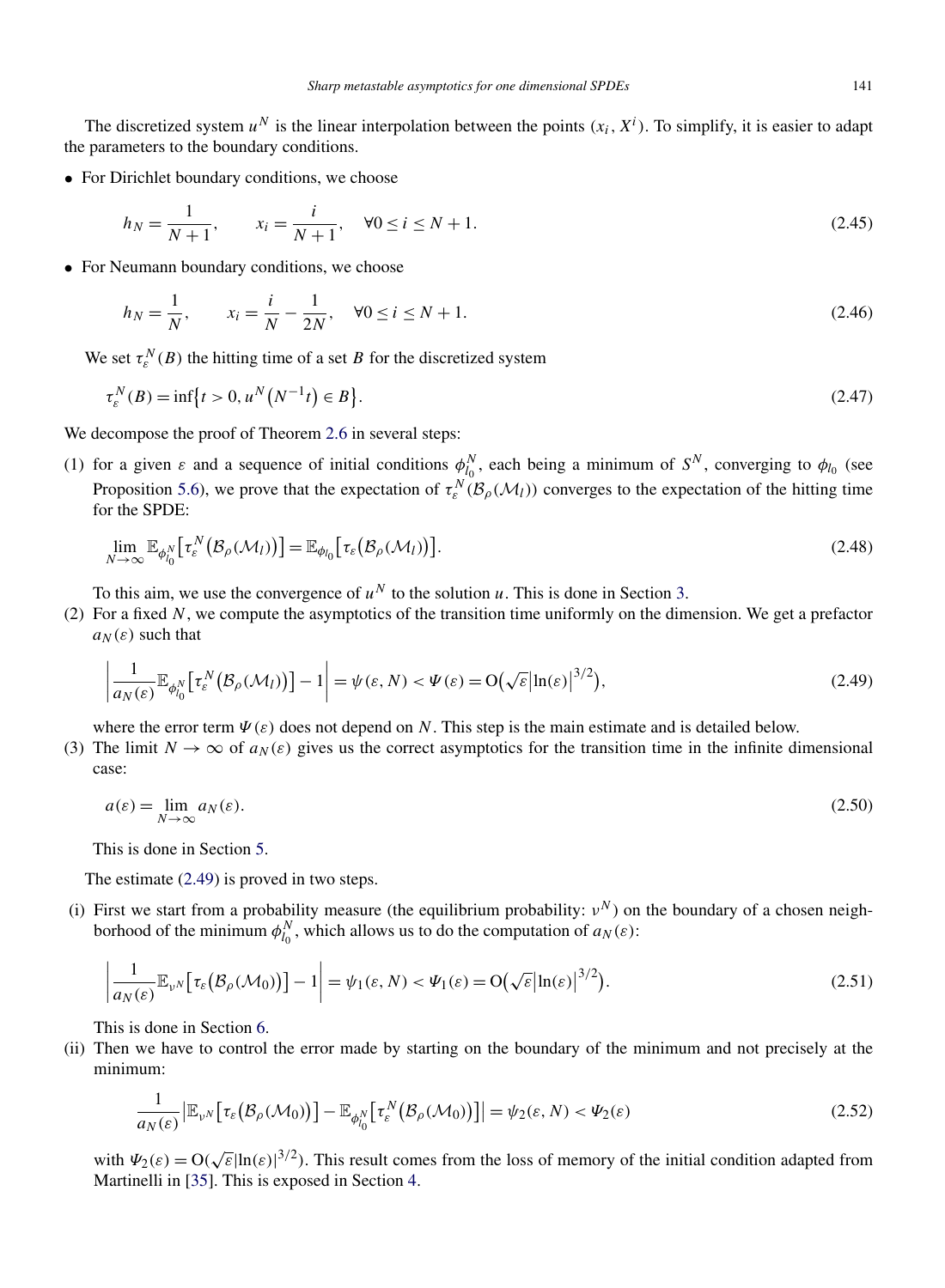<span id="page-12-0"></span>The discretized system  $u^N$  is the linear interpolation between the points  $(x_i, X^i)$ . To simplify, it is easier to adapt the parameters to the boundary conditions.

• For Dirichlet boundary conditions, we choose

$$
h_N = \frac{1}{N+1}, \qquad x_i = \frac{i}{N+1}, \quad \forall 0 \le i \le N+1.
$$
\n(2.45)

• For Neumann boundary conditions, we choose

$$
h_N = \frac{1}{N}, \qquad x_i = \frac{i}{N} - \frac{1}{2N}, \quad \forall 0 \le i \le N + 1.
$$
\n(2.46)

We set  $\tau_e^N(B)$  the hitting time of a set *B* for the discretized system

$$
\tau_{\varepsilon}^{N}(B) = \inf \{ t > 0, u^{N}(N^{-1}t) \in B \}.
$$
\n(2.47)

We decompose the proof of Theorem [2.6](#page-8-0) in several steps:

(1) for a given  $\varepsilon$  and a sequence of initial conditions  $\phi_{l_0}^N$ , each being a minimum of  $S^N$ , converging to  $\phi_{l_0}$  (see Proposition [5.6\)](#page-25-0), we prove that the expectation of  $\tau_e^N(\mathcal{B}_\rho(\mathcal{M}_l))$  converges to the expectation of the hitting time for the SPDE:

$$
\lim_{N \to \infty} \mathbb{E}_{\phi_{l_0}^N} \big[ \tau_{\varepsilon}^N \big( \mathcal{B}_{\rho}(\mathcal{M}_l) \big) \big] = \mathbb{E}_{\phi_{l_0}} \big[ \tau_{\varepsilon} \big( \mathcal{B}_{\rho}(\mathcal{M}_l) \big) \big]. \tag{2.48}
$$

To this aim, we use the convergence of  $u^N$  to the solution *u*. This is done in Section [3.](#page-13-0)

(2) For a fixed *N*, we compute the asymptotics of the transition time uniformly on the dimension. We get a prefactor  $a_N(\varepsilon)$  such that

$$
\left| \frac{1}{a_N(\varepsilon)} \mathbb{E}_{\phi_{i_0}^N} \left[ \tau_{\varepsilon}^N \big( \mathcal{B}_{\rho}(\mathcal{M}_l) \big) \right] - 1 \right| = \psi(\varepsilon, N) < \Psi(\varepsilon) = O\big(\sqrt{\varepsilon} \big| \ln(\varepsilon) \big|^{3/2}\big),\tag{2.49}
$$

where the error term  $\Psi(\varepsilon)$  does not depend on *N*. This step is the main estimate and is detailed below.

(3) The limit  $N \to \infty$  of  $a_N(\varepsilon)$  gives us the correct asymptotics for the transition time in the infinite dimensional case:

$$
a(\varepsilon) = \lim_{N \to \infty} a_N(\varepsilon). \tag{2.50}
$$

This is done in Section [5.](#page-21-0)

The estimate (2.49) is proved in two steps.

(i) First we start from a probability measure (the equilibrium probability:  $v^N$ ) on the boundary of a chosen neighborhood of the minimum  $\phi_{l_0}^N$ , which allows us to do the computation of  $a_N(\varepsilon)$ :

$$
\frac{1}{a_N(\varepsilon)} \mathbb{E}_{\nu^N} \left[ \tau_{\varepsilon} \big( \mathcal{B}_{\rho} (\mathcal{M}_0) \big) \right] - 1 \right| = \psi_1(\varepsilon, N) < \Psi_1(\varepsilon) = O\big( \sqrt{\varepsilon} \big| \ln(\varepsilon) \big|^{3/2} \big). \tag{2.51}
$$

This is done in Section [6.](#page-27-0)

 $\overline{\phantom{a}}$  $\overline{\phantom{a}}$  $\overline{\phantom{a}}$  $\overline{a}$ 

(ii) Then we have to control the error made by starting on the boundary of the minimum and not precisely at the minimum:

$$
\frac{1}{a_N(\varepsilon)} \Big| \mathbb{E}_{\nu^N} \big[ \tau_{\varepsilon} \big( \mathcal{B}_{\rho} (\mathcal{M}_0) \big) \Big] - \mathbb{E}_{\phi_{l_0}^N} \big[ \tau_{\varepsilon}^N \big( \mathcal{B}_{\rho} (\mathcal{M}_0) \big) \big] \Big| = \psi_2(\varepsilon, N) < \Psi_2(\varepsilon) \tag{2.52}
$$

with  $\Psi_2(\varepsilon) = O(\sqrt{\varepsilon}|\ln(\varepsilon)|^{3/2})$ . This result comes from the loss of memory of the initial condition adapted from Martinelli in [\[35\]](#page-37-0). This is exposed in Section [4.](#page-18-0)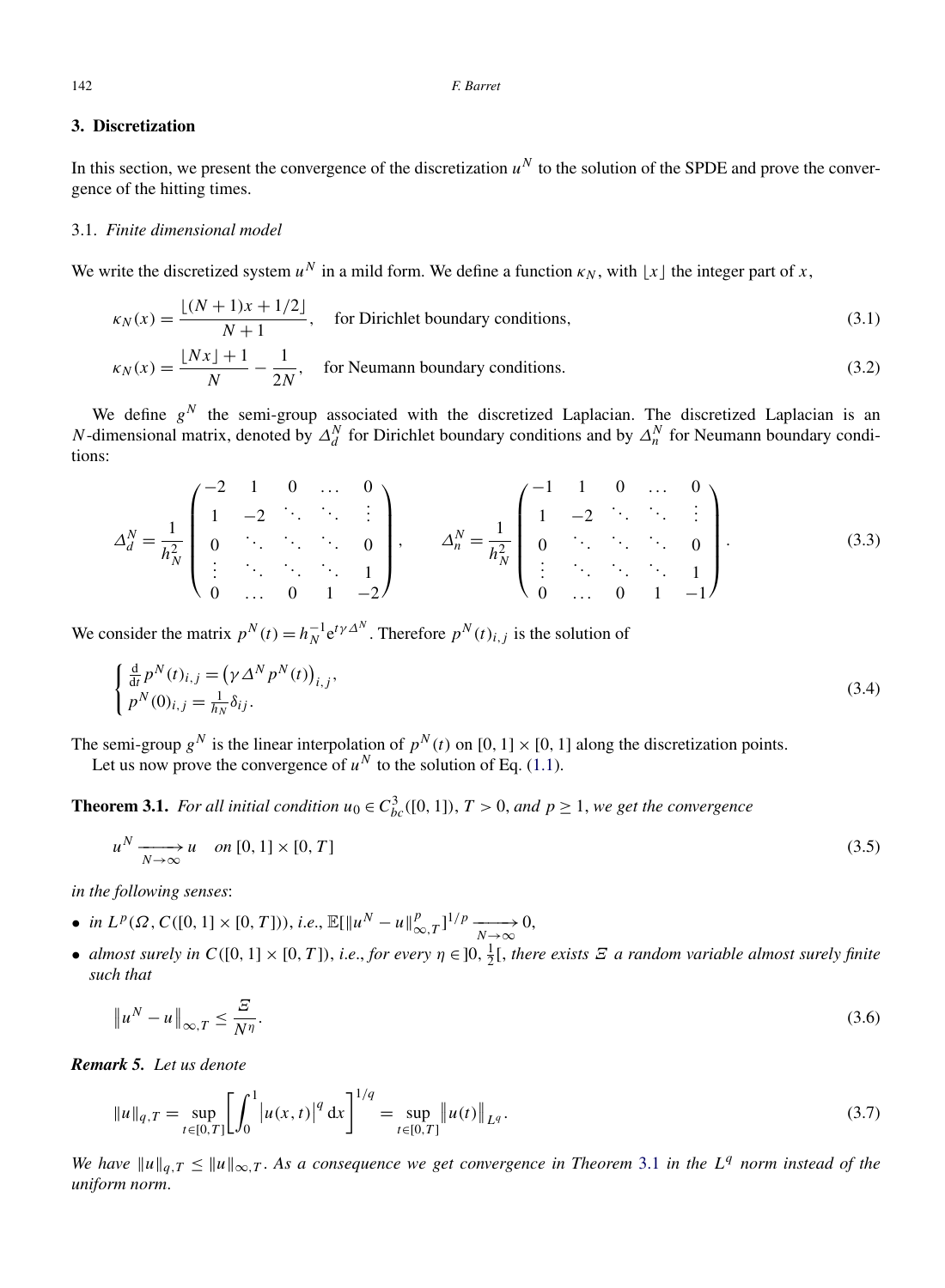# <span id="page-13-0"></span>**3. Discretization**

In this section, we present the convergence of the discretization  $u^N$  to the solution of the SPDE and prove the convergence of the hitting times.

# 3.1. *Finite dimensional model*

We write the discretized system  $u^N$  in a mild form. We define a function  $\kappa_N$ , with  $|x|$  the integer part of x,

$$
\kappa_N(x) = \frac{\lfloor (N+1)x + 1/2 \rfloor}{N+1}, \quad \text{for Dirichlet boundary conditions,}
$$
\n
$$
\kappa_N(x) = \frac{\lfloor Nx \rfloor + 1}{N} - \frac{1}{2N}, \quad \text{for Neumann boundary conditions.}
$$
\n(3.2)

We define  $g<sup>N</sup>$  the semi-group associated with the discretized Laplacian. The discretized Laplacian is an *N*-dimensional matrix, denoted by  $\Delta_d^N$  for Dirichlet boundary conditions and by  $\Delta_n^N$  for Neumann boundary conditions:

$$
\Delta_d^N = \frac{1}{h_N^2} \begin{pmatrix} -2 & 1 & 0 & \dots & 0 \\ 1 & -2 & \ddots & \ddots & \vdots \\ 0 & \ddots & \ddots & \ddots & 0 \\ \vdots & \ddots & \ddots & \ddots & 1 \\ 0 & \dots & 0 & 1 & -2 \end{pmatrix}, \qquad \Delta_n^N = \frac{1}{h_N^2} \begin{pmatrix} -1 & 1 & 0 & \dots & 0 \\ 1 & -2 & \ddots & \ddots & \vdots \\ 0 & \ddots & \ddots & \ddots & 0 \\ \vdots & \ddots & \ddots & \ddots & 1 \\ 0 & \dots & 0 & 1 & -1 \end{pmatrix}.
$$
 (3.3)

We consider the matrix  $p^N(t) = h_N^{-1} e^{t\gamma \Delta^N}$ . Therefore  $p^N(t)_{i,j}$  is the solution of

$$
\begin{cases} \frac{\mathrm{d}}{\mathrm{d}t} p^N(t)_{i,j} = \left(\gamma \Delta^N p^N(t)\right)_{i,j}, \\ p^N(0)_{i,j} = \frac{1}{h_N} \delta_{ij}. \end{cases} \tag{3.4}
$$

The semi-group  $g^N$  is the linear interpolation of  $p^N(t)$  on [0, 1] × [0, 1] along the discretization points.

Let us now prove the convergence of  $u^N$  to the solution of Eq. [\(1.1\)](#page-1-0).

**Theorem 3.1.** *For all initial condition*  $u_0 \in C_{bc}^3([0,1])$ ,  $T > 0$ , and  $p \ge 1$ , we get the convergence

$$
u^N \xrightarrow[N \to \infty]{} u \quad on \, [0,1] \times [0,T] \tag{3.5}
$$

*in the following senses*:

- *in L*<sup>*p*</sup>(Ω, C([0, 1] × [0, *T*])), *i.e.*,  $\mathbb{E}[\Vert u^N u \Vert_{\infty, T}^p]^{1/p} \xrightarrow[N \to \infty]{} 0,$
- *almost surely in*  $C([0, 1] \times [0, T])$ , *i.e.*, *for every*  $\eta \in ]0, \frac{1}{2}[$ , *there exists*  $\Xi$  *a random variable almost surely finite such that*

$$
\|u^N - u\|_{\infty, T} \le \frac{\varXi}{N^{\eta}}.\tag{3.6}
$$

*Remark 5. Let us denote*

$$
||u||_{q,T} = \sup_{t \in [0,T]} \left[ \int_0^1 \left| u(x,t) \right|^q dx \right]^{1/q} = \sup_{t \in [0,T]} ||u(t)||_{L^q}.
$$
\n(3.7)

*We have*  $||u||_{q,T} \le ||u||_{\infty,T}$ . As a consequence we get convergence in Theorem 3.1 in the L<sup>q</sup> norm instead of the *uniform norm*.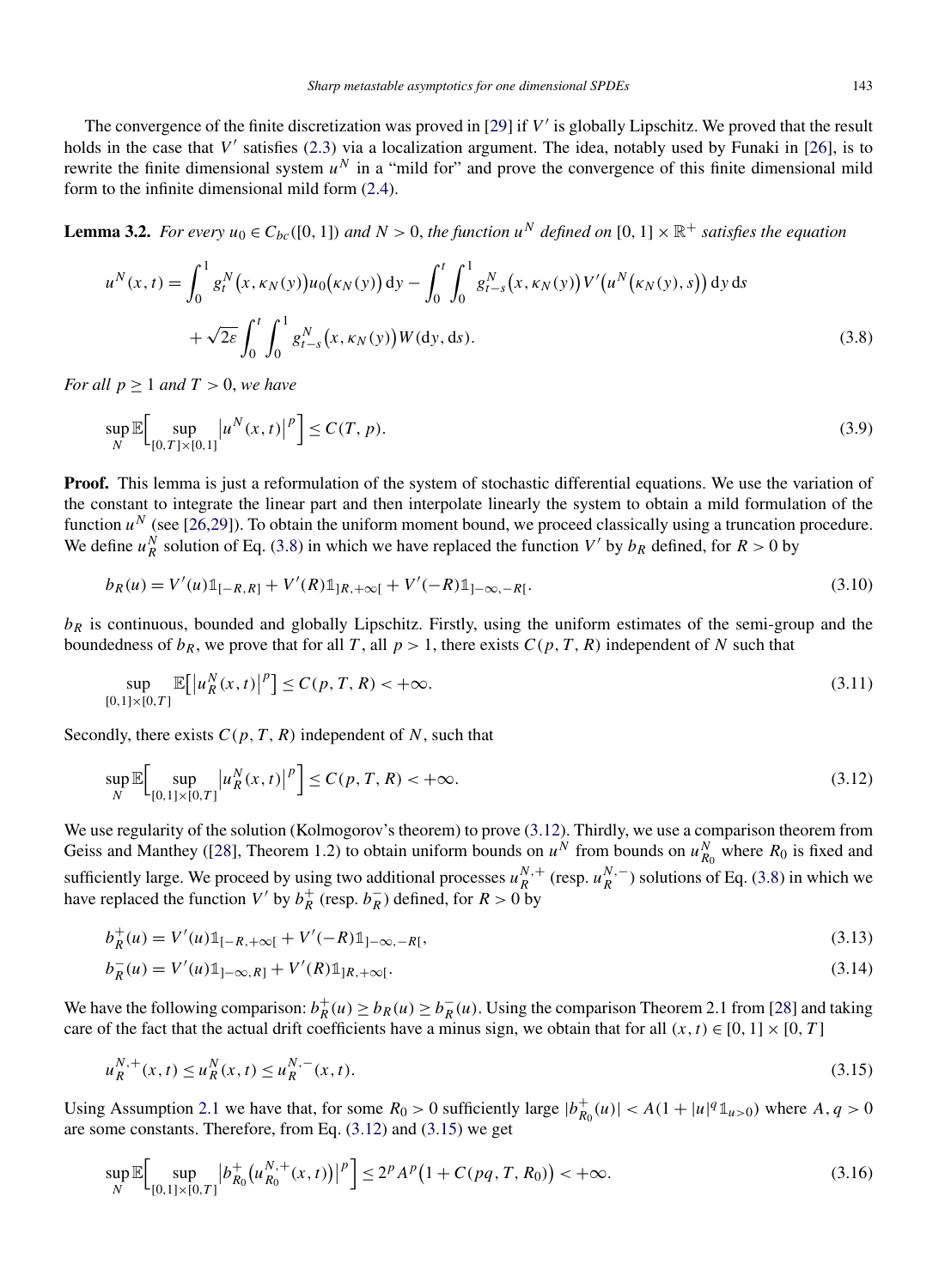<span id="page-14-0"></span>The convergence of the finite discretization was proved in [\[29\]](#page-37-0) if *V* is globally Lipschitz. We proved that the result holds in the case that  $V'$  satisfies [\(2.3\)](#page-3-0) via a localization argument. The idea, notably used by Funaki in [\[26\]](#page-37-0), is to rewrite the finite dimensional system  $u^N$  in a "mild for" and prove the convergence of this finite dimensional mild form to the infinite dimensional mild form [\(2.4\)](#page-3-0).

**Lemma 3.2.** *For every*  $u_0 \in C_{bc}([0, 1])$  *and*  $N > 0$ , the function  $u^N$  defined on  $[0, 1] \times \mathbb{R}^+$  satisfies the equation

$$
u^{N}(x,t) = \int_{0}^{1} g_{t}^{N}(x,\kappa_{N}(y))u_{0}(\kappa_{N}(y)) dy - \int_{0}^{t} \int_{0}^{1} g_{t-s}^{N}(x,\kappa_{N}(y))V'(u^{N}(\kappa_{N}(y),s)) dy ds + \sqrt{2\varepsilon} \int_{0}^{t} \int_{0}^{1} g_{t-s}^{N}(x,\kappa_{N}(y))W(dy,ds).
$$
 (3.8)

*For all*  $p \geq 1$  *and*  $T > 0$ *, we have* 

$$
\sup_{N} \mathbb{E} \Big[ \sup_{[0,T] \times [0,1]} |u^{N}(x,t)|^{p} \Big] \le C(T,p). \tag{3.9}
$$

**Proof.** This lemma is just a reformulation of the system of stochastic differential equations. We use the variation of the constant to integrate the linear part and then interpolate linearly the system to obtain a mild formulation of the function  $u^N$  (see [\[26,29\]](#page-37-0)). To obtain the uniform moment bound, we proceed classically using a truncation procedure. We define  $u_R^N$  solution of Eq. (3.8) in which we have replaced the function *V'* by  $b_R$  defined, for  $R > 0$  by

$$
b_R(u) = V'(u) \mathbb{1}_{[-R,R]} + V'(R) \mathbb{1}_{[R,+\infty[} + V'(-R) \mathbb{1}_{]-\infty,-R[}.
$$
\n(3.10)

*bR* is continuous, bounded and globally Lipschitz. Firstly, using the uniform estimates of the semi-group and the boundedness of  $b_R$ , we prove that for all *T*, all  $p > 1$ , there exists  $C(p, T, R)$  independent of *N* such that

$$
\sup_{[0,1]\times[0,T]} \mathbb{E}[|u_R^N(x,t)|^p] \le C(p,T,R) < +\infty.
$$
\n(3.11)

Secondly, there exists  $C(p, T, R)$  independent of N, such that

$$
\sup_{N} \mathbb{E} \Big[ \sup_{[0,1] \times [0,T]} |u_R^N(x,t)|^p \Big] \le C(p,T,R) < +\infty.
$$
\n(3.12)

We use regularity of the solution (Kolmogorov's theorem) to prove (3.12). Thirdly, we use a comparison theorem from Geiss and Manthey ([\[28\]](#page-37-0), Theorem 1.2) to obtain uniform bounds on  $u^N$  from bounds on  $u^N_{R_0}$  where  $R_0$  is fixed and sufficiently large. We proceed by using two additional processes  $u_R^{N,+}$  (resp.  $u_R^{N,-}$ ) solutions of Eq. (3.8) in which we have replaced the function *V'* by  $b_R^+$  (resp.  $b_R^-$ ) defined, for  $R > 0$  by

$$
b_R^+(u) = V'(u) \mathbb{1}_{[-R, +\infty[} + V'(-R) \mathbb{1}_{]-\infty, -R[},
$$
\n(3.13)

$$
b_R^-(u) = V'(u)\mathbb{1}_{]-\infty,R]} + V'(R)\mathbb{1}_{]R,+\infty[}.
$$
\n(3.14)

We have the following comparison:  $b_R^+(u) \ge b_R(u) \ge b_R^-(u)$ . Using the comparison Theorem 2.1 from [\[28\]](#page-37-0) and taking care of the fact that the actual drift coefficients have a minus sign, we obtain that for all  $(x, t) \in [0, 1] \times [0, T]$ 

$$
u_R^{N,+}(x,t) \le u_R^N(x,t) \le u_R^{N,-}(x,t). \tag{3.15}
$$

Using Assumption [2.1](#page-3-0) we have that, for some  $R_0 > 0$  sufficiently large  $|b_{R_0}^+(u)| < A(1 + |u|^q \mathbb{1}_{u>0})$  where  $A, q > 0$ are some constants. Therefore, from Eq. (3.12) and (3.15) we get

$$
\sup_{N} \mathbb{E} \Big[ \sup_{[0,1] \times [0,T]} \Big| b_{R_0}^+(u_{R_0}^{N,+}(x,t)) \Big|^p \Big] \le 2^p A^p \big( 1 + C(pq,T,R_0) \big) < +\infty. \tag{3.16}
$$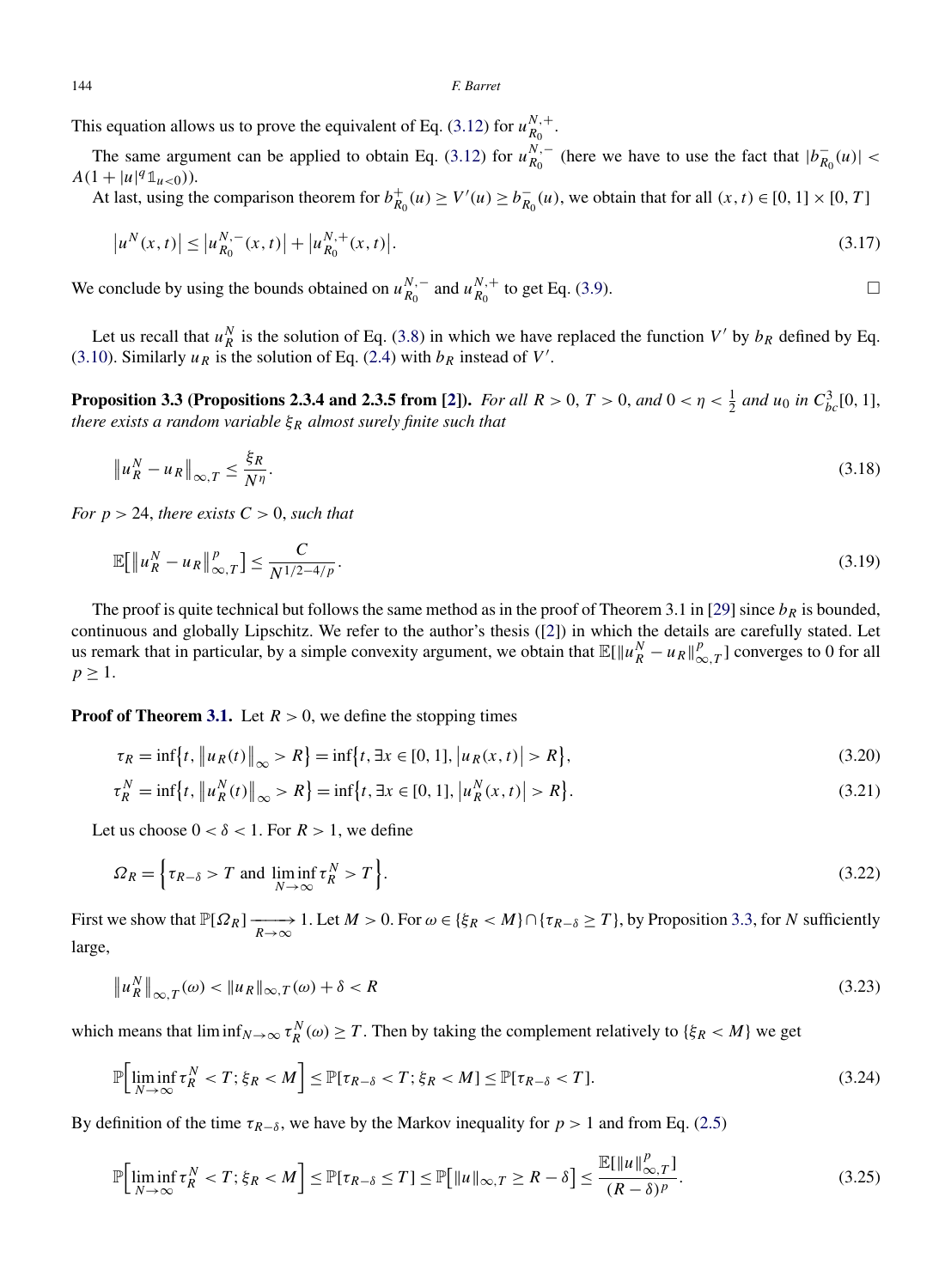<span id="page-15-0"></span>This equation allows us to prove the equivalent of Eq. [\(3.12\)](#page-14-0) for  $u_{R_0}^{N,+}$ .

The same argument can be applied to obtain Eq. [\(3.12\)](#page-14-0) for  $u_{R_0}^{N,-}$  (here we have to use the fact that  $|b_{R_0}^-(u)| <$  $A(1+|u|^q \mathbb{1}_{u<0})).$ 

At last, using the comparison theorem for  $b_{R_0}^+(u) \ge V'(u) \ge b_{R_0}^-(u)$ , we obtain that for all  $(x, t) \in [0, 1] \times [0, T]$ 

$$
|u^N(x,t)| \le |u_{R_0}^{N,-}(x,t)| + |u_{R_0}^{N,+}(x,t)|. \tag{3.17}
$$

We conclude by using the bounds obtained on  $u_{R_0}^{N,-}$  and  $u_{R_0}^{N,+}$  to get Eq. [\(3.9\)](#page-14-0).  $\Box$ 

Let us recall that  $u_R^N$  is the solution of Eq. [\(3.8\)](#page-14-0) in which we have replaced the function  $V'$  by  $b_R$  defined by Eq. [\(3.10\)](#page-14-0). Similarly  $u_R$  is the solution of Eq. [\(2.4\)](#page-3-0) with  $b_R$  instead of  $V'$ .

**Proposition 3.3 (Propositions 2.3.4 and 2.3.5 from [\[2\]](#page-36-0)).** *For all*  $R > 0$ ,  $T > 0$ , and  $0 < \eta < \frac{1}{2}$  and  $u_0$  in  $C_{bc}^3[0, 1]$ , *there exists a random variable ξR almost surely finite such that*

$$
\|u_R^N - u_R\|_{\infty, T} \le \frac{\xi_R}{N^{\eta}}.\tag{3.18}
$$

*For*  $p > 24$ *, there exists*  $C > 0$ *, such that* 

$$
\mathbb{E}[\|u_R^N - u_R\|_{\infty,T}^p] \le \frac{C}{N^{1/2 - 4/p}}.\tag{3.19}
$$

The proof is quite technical but follows the same method as in the proof of Theorem 3.1 in [\[29\]](#page-37-0) since  $b_R$  is bounded, continuous and globally Lipschitz. We refer to the author's thesis ([\[2\]](#page-36-0)) in which the details are carefully stated. Let us remark that in particular, by a simple convexity argument, we obtain that  $\mathbb{E}[\|u_R^N - u_R\|_{\infty,T}^p]$  converges to 0 for all  $p \geq 1$ .

**Proof of Theorem [3.1.](#page-13-0)** Let  $R > 0$ , we define the stopping times

$$
\tau_R = \inf \{ t, \|u_R(t)\|_{\infty} > R \} = \inf \{ t, \exists x \in [0, 1], |u_R(x, t)| > R \},\tag{3.20}
$$

$$
\tau_R^N = \inf \{ t, \|u_R^N(t)\|_{\infty} > R \} = \inf \{ t, \exists x \in [0, 1], |u_R^N(x, t)| > R \}.
$$
\n(3.21)

Let us choose  $0 < \delta < 1$ . For  $R > 1$ , we define

$$
\Omega_R = \left\{ \tau_{R-\delta} > T \text{ and } \liminf_{N \to \infty} \tau_R^N > T \right\}.
$$
\n(3.22)

First we show that  $\mathbb{P}[\Omega_R] \longrightarrow 1$ . Let  $M > 0$ . For  $\omega \in \{\xi_R < M\} \cap \{\tau_{R-\delta} \geq T\}$ , by Proposition 3.3, for *N* sufficiently large,

$$
\|u_R^N\|_{\infty,T}(\omega) < \|u_R\|_{\infty,T}(\omega) + \delta < R \tag{3.23}
$$

which means that  $\liminf_{N\to\infty} \tau_R^N(\omega) \geq T$ . Then by taking the complement relatively to  $\{\xi_R < M\}$  we get

$$
\mathbb{P}\Big[\liminf_{N\to\infty}\tau_N^N
$$

By definition of the time  $\tau_{R-\delta}$ , we have by the Markov inequality for *p* > 1 and from Eq. [\(2.5\)](#page-4-0)

$$
\mathbb{P}\Big[\liminf_{N\to\infty}\tau_N^N < T;\xi_R < M\Big] \le \mathbb{P}[\tau_{R-\delta} \le T] \le \mathbb{P}\big[\|u\|_{\infty,T} \ge R - \delta\big] \le \frac{\mathbb{E}[\|u\|_{\infty,T}^p]}{(R-\delta)^p}.\tag{3.25}
$$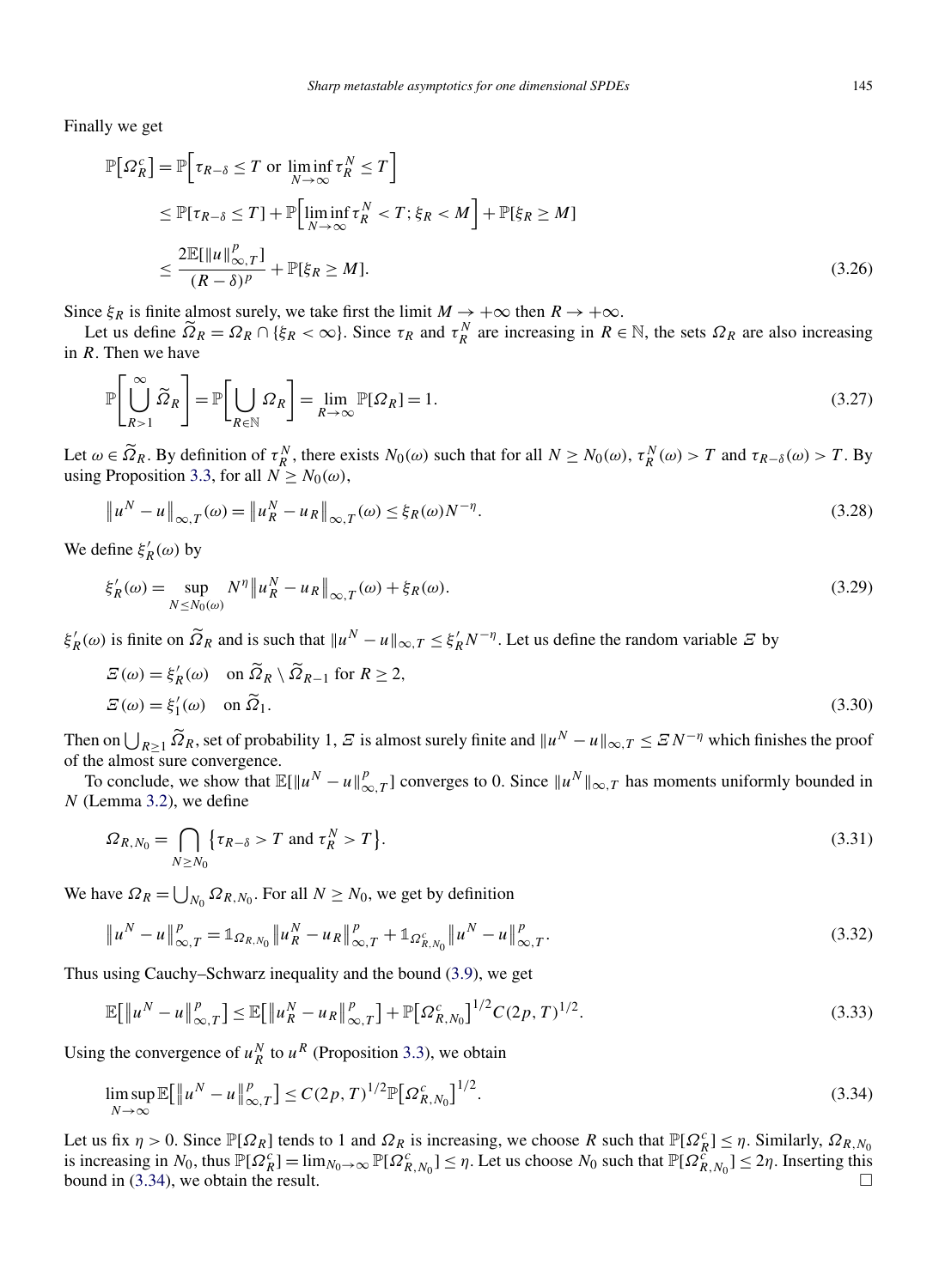Finally we get

$$
\mathbb{P}[\Omega_R^c] = \mathbb{P}[\tau_{R-\delta} \le T \text{ or } \liminf_{N \to \infty} \tau_R^N \le T]
$$
\n
$$
\le \mathbb{P}[\tau_{R-\delta} \le T] + \mathbb{P}[\liminf_{N \to \infty} \tau_R^N < T; \xi_R < M] + \mathbb{P}[\xi_R \ge M]
$$
\n
$$
\le \frac{2 \mathbb{E}[\|u\|_{\infty,T}^p]}{(R-\delta)^p} + \mathbb{P}[\xi_R \ge M]. \tag{3.26}
$$

Since  $\xi_R$  is finite almost surely, we take first the limit  $M \to +\infty$  then  $R \to +\infty$ .

Let us define  $\widetilde{\Omega}_R = \Omega_R \cap {\{\xi_R < \infty\}}$ . Since  $\tau_R$  and  $\tau_R^N$  are increasing in  $R \in \mathbb{N}$ , the sets  $\Omega_R$  are also increasing  $R$ . Then we have in *R*. Then we have

$$
\mathbb{P}\left[\bigcup_{R>1}^{\infty} \widetilde{\Omega}_R\right] = \mathbb{P}\left[\bigcup_{R \in \mathbb{N}} \Omega_R\right] = \lim_{R \to \infty} \mathbb{P}[\Omega_R] = 1. \tag{3.27}
$$

Let  $\omega \in \widetilde{\Omega}_R$ . By definition of  $\tau^N$ , there exists  $N_0(\omega)$  such that for all  $N \ge N_0(\omega)$ ,  $\tau^N_R(\omega) > T$  and  $\tau_{R-\delta}(\omega) > T$ . By using Proposition [3.3,](#page-15-0) for all  $N \geq N_0(\omega)$ ,

$$
\|u^N - u\|_{\infty,T}(\omega) = \|u^N - u_R\|_{\infty,T}(\omega) \le \xi_R(\omega)N^{-\eta}.
$$
\n(3.28)

We define  $\xi_R'(\omega)$  by

$$
\xi_R'(\omega) = \sup_{N \le N_0(\omega)} N^{\eta} \left\| u_R^N - u_R \right\|_{\infty, T}(\omega) + \xi_R(\omega). \tag{3.29}
$$

 $\xi_R'(\omega)$  is finite on  $\widetilde{Q}_R$  and is such that  $||u^N - u||_{\infty,T} \leq \xi_R' N^{-\eta}$ . Let us define the random variable *Ξ* by

$$
E(\omega) = \xi'_R(\omega) \quad \text{on } \widetilde{\Omega}_R \setminus \widetilde{\Omega}_{R-1} \text{ for } R \ge 2,
$$
  

$$
E(\omega) = \xi'_1(\omega) \quad \text{on } \widetilde{\Omega}_1.
$$
 (3.30)

Then on  $\bigcup_{R\geq 1} \widetilde{\Omega}_R$ , set of probability 1,  $\mathcal{F}$  is almost surely finite and  $||u^N - u||_{\infty,T} \leq \mathcal{F}N^{-\eta}$  which finishes the proof of the almost sure convergence.

To conclude, we show that  $\mathbb{E}[\Vert u^N - u \Vert_{\infty,T}^p]$  converges to 0. Since  $\Vert u^N \Vert_{\infty,T}$  has moments uniformly bounded in *N* (Lemma [3.2\)](#page-14-0), we define

$$
\Omega_{R,N_0} = \bigcap_{N \ge N_0} \{ \tau_{R-\delta} > T \text{ and } \tau_R^N > T \}. \tag{3.31}
$$

We have  $\Omega_R = \bigcup_{N_0} \Omega_{R,N_0}$ . For all  $N \ge N_0$ , we get by definition

$$
\|u^N - u\|_{\infty,T}^p = \mathbb{1}_{\Omega_{R,N_0}} \|u_R^N - u_R\|_{\infty,T}^p + \mathbb{1}_{\Omega_{R,N_0}^c} \|u^N - u\|_{\infty,T}^p. \tag{3.32}
$$

Thus using Cauchy–Schwarz inequality and the bound [\(3.9\)](#page-14-0), we get

$$
\mathbb{E}[\|u^N - u\|_{\infty,T}^p] \le \mathbb{E}[\|u_R^N - u_R\|_{\infty,T}^p] + \mathbb{P}[\Omega_{R,N_0}^c]^{1/2} C(2p,T)^{1/2}.
$$
\n(3.33)

Using the convergence of  $u_R^N$  to  $u^R$  (Proposition [3.3\)](#page-15-0), we obtain

$$
\limsup_{N \to \infty} \mathbb{E} \big[ \|u^N - u\|_{\infty, T}^p \big] \le C(2p, T)^{1/2} \mathbb{P} \big[ \Omega_{R, N_0}^c \big]^{1/2}.
$$
\n(3.34)

Let us fix  $\eta > 0$ . Since  $\mathbb{P}[\Omega_R]$  tends to 1 and  $\Omega_R$  is increasing, we choose *R* such that  $\mathbb{P}[\Omega_R^c] \leq \eta$ . Similarly,  $\Omega_{R,N_0}$ is increasing in  $N_0$ , thus  $\mathbb{P}[\Omega_R^c] = \lim_{N_0 \to \infty} \mathbb{P}[\Omega_{R,N_0}^c] \leq \eta$ . Let us choose  $N_0$  such that  $\mathbb{P}[\Omega_{R,N_0}^c] \leq 2\eta$ . Inserting this bound in (3.34), we obtain the result.  $\Box$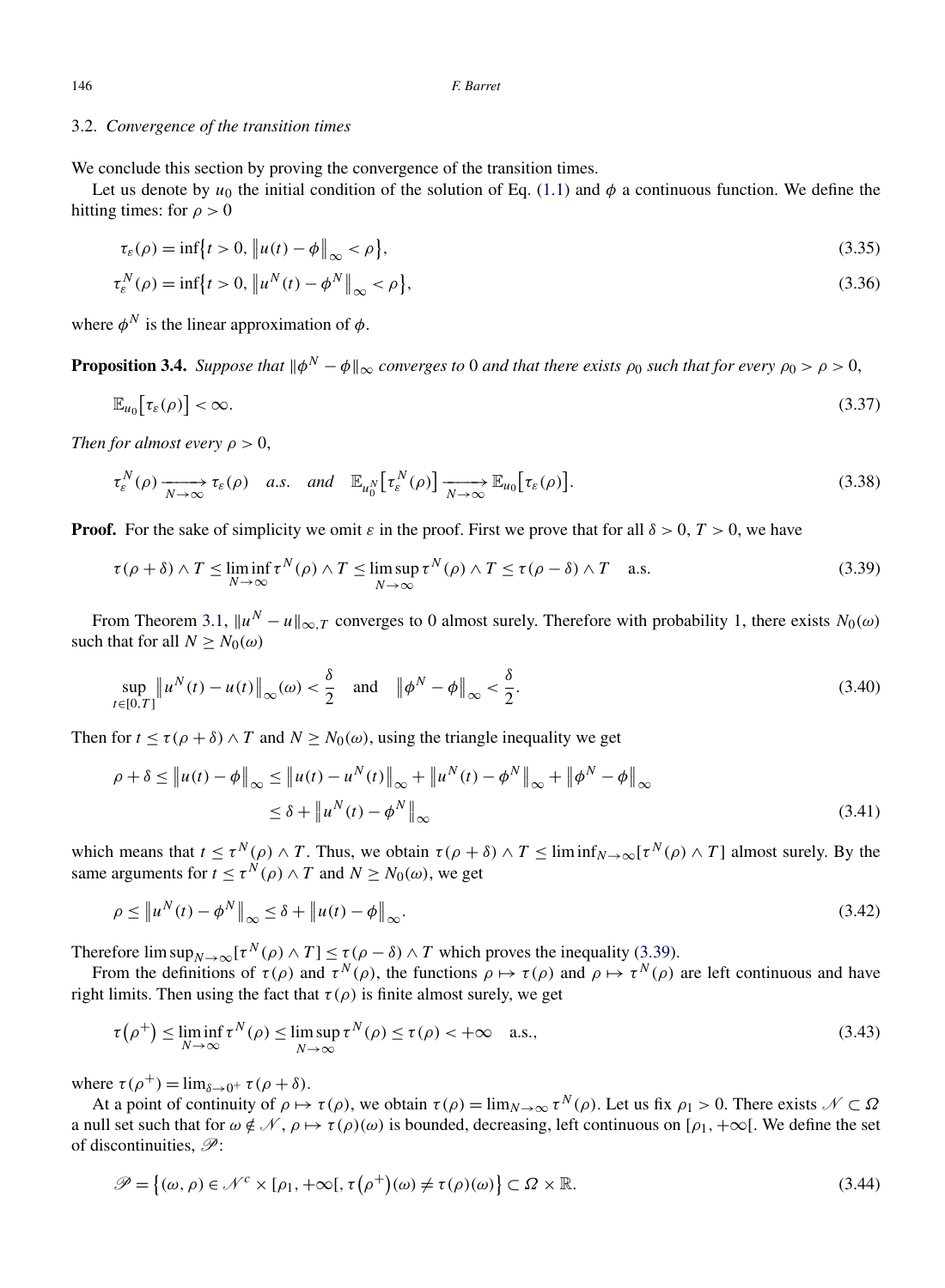# <span id="page-17-0"></span>3.2. *Convergence of the transition times*

We conclude this section by proving the convergence of the transition times.

Let us denote by  $u_0$  the initial condition of the solution of Eq. [\(1.1\)](#page-1-0) and  $\phi$  a continuous function. We define the hitting times: for  $\rho > 0$ 

$$
\tau_{\varepsilon}(\rho) = \inf \{ t > 0, \left\| u(t) - \phi \right\|_{\infty} < \rho \},\tag{3.35}
$$

$$
\tau_{\varepsilon}^{N}(\rho) = \inf \{ t > 0, \| u^{N}(t) - \phi^{N} \|_{\infty} < \rho \},
$$
\n(3.36)

where  $\phi^N$  is the linear approximation of  $\phi$ .

**Proposition 3.4.** *Suppose that*  $\|\phi^N - \phi\|_{\infty}$  *converges to* 0 *and that there exists*  $\rho_0$  *such that for every*  $\rho_0 > \rho > 0$ ,

$$
\mathbb{E}_{u_0}[\tau_{\varepsilon}(\rho)] < \infty. \tag{3.37}
$$

*Then for almost every*  $\rho > 0$ ,

$$
\tau_{\varepsilon}^{N}(\rho) \xrightarrow[N \to \infty]{} \tau_{\varepsilon}(\rho) \quad a.s. \quad \text{and} \quad \mathbb{E}_{u_{0}^{N}}\big[\tau_{\varepsilon}^{N}(\rho)\big] \xrightarrow[N \to \infty]{} \mathbb{E}_{u_{0}}\big[\tau_{\varepsilon}(\rho)\big]. \tag{3.38}
$$

**Proof.** For the sake of simplicity we omit  $\varepsilon$  in the proof. First we prove that for all  $\delta > 0$ ,  $T > 0$ , we have

$$
\tau(\rho+\delta) \wedge T \le \liminf_{N \to \infty} \tau^N(\rho) \wedge T \le \limsup_{N \to \infty} \tau^N(\rho) \wedge T \le \tau(\rho-\delta) \wedge T \quad \text{a.s.}
$$
\n(3.39)

From Theorem [3.1,](#page-13-0)  $||u^N - u||_{\infty}$  *T* converges to 0 almost surely. Therefore with probability 1, there exists  $N_0(\omega)$ such that for all  $N \geq N_0(\omega)$ 

$$
\sup_{t\in[0,T]}\left\|u^N(t)-u(t)\right\|_{\infty}(\omega)<\frac{\delta}{2}\quad\text{and}\quad\left\|\phi^N-\phi\right\|_{\infty}<\frac{\delta}{2}.\tag{3.40}
$$

Then for  $t \le \tau(\rho + \delta) \wedge T$  and  $N \ge N_0(\omega)$ , using the triangle inequality we get

$$
\rho + \delta \le ||u(t) - \phi||_{\infty} \le ||u(t) - u^N(t)||_{\infty} + ||u^N(t) - \phi^N||_{\infty} + ||\phi^N - \phi||_{\infty}
$$
  
 
$$
\le \delta + ||u^N(t) - \phi^N||_{\infty}
$$
 (3.41)

which means that  $t \le \tau^N(\rho) \wedge T$ . Thus, we obtain  $\tau(\rho + \delta) \wedge T \le \liminf_{N \to \infty} [\tau^N(\rho) \wedge T]$  almost surely. By the same arguments for  $\overline{t} \leq \tau^N(\rho) \wedge T$  and  $N \geq N_0(\omega)$ , we get

$$
\rho \leq \left\| u^N(t) - \phi^N \right\|_{\infty} \leq \delta + \left\| u(t) - \phi \right\|_{\infty}.
$$
\n(3.42)

Therefore  $\limsup_{N\to\infty} [\tau^N(\rho) \wedge T] \leq \tau(\rho - \delta) \wedge T$  which proves the inequality (3.39).

From the definitions of  $\tau(\rho)$  and  $\tau^N(\rho)$ , the functions  $\rho \mapsto \tau(\rho)$  and  $\rho \mapsto \tau^N(\rho)$  are left continuous and have right limits. Then using the fact that  $\tau(\rho)$  is finite almost surely, we get

$$
\tau(\rho^+) \le \liminf_{N \to \infty} \tau^N(\rho) \le \limsup_{N \to \infty} \tau^N(\rho) \le \tau(\rho) < +\infty \quad \text{a.s.},\tag{3.43}
$$

where  $\tau(\rho^+) = \lim_{\delta \to 0^+} \tau(\rho + \delta)$ .

At a point of continuity of  $\rho \mapsto \tau(\rho)$ , we obtain  $\tau(\rho) = \lim_{N \to \infty} \tau^N(\rho)$ . Let us fix  $\rho_1 > 0$ . There exists  $\mathcal{N} \subset \Omega$ a null set such that for  $\omega \notin \mathcal{N}, \rho \mapsto \tau(\rho)(\omega)$  is bounded, decreasing, left continuous on  $[\rho_1, +\infty[$ . We define the set of discontinuities,  $\mathscr{P}$ :

$$
\mathcal{P} = \{(\omega, \rho) \in \mathcal{N}^c \times [\rho_1, +\infty[, \tau(\rho^+)(\omega) \neq \tau(\rho)(\omega)\} \subset \Omega \times \mathbb{R}.
$$
\n(3.44)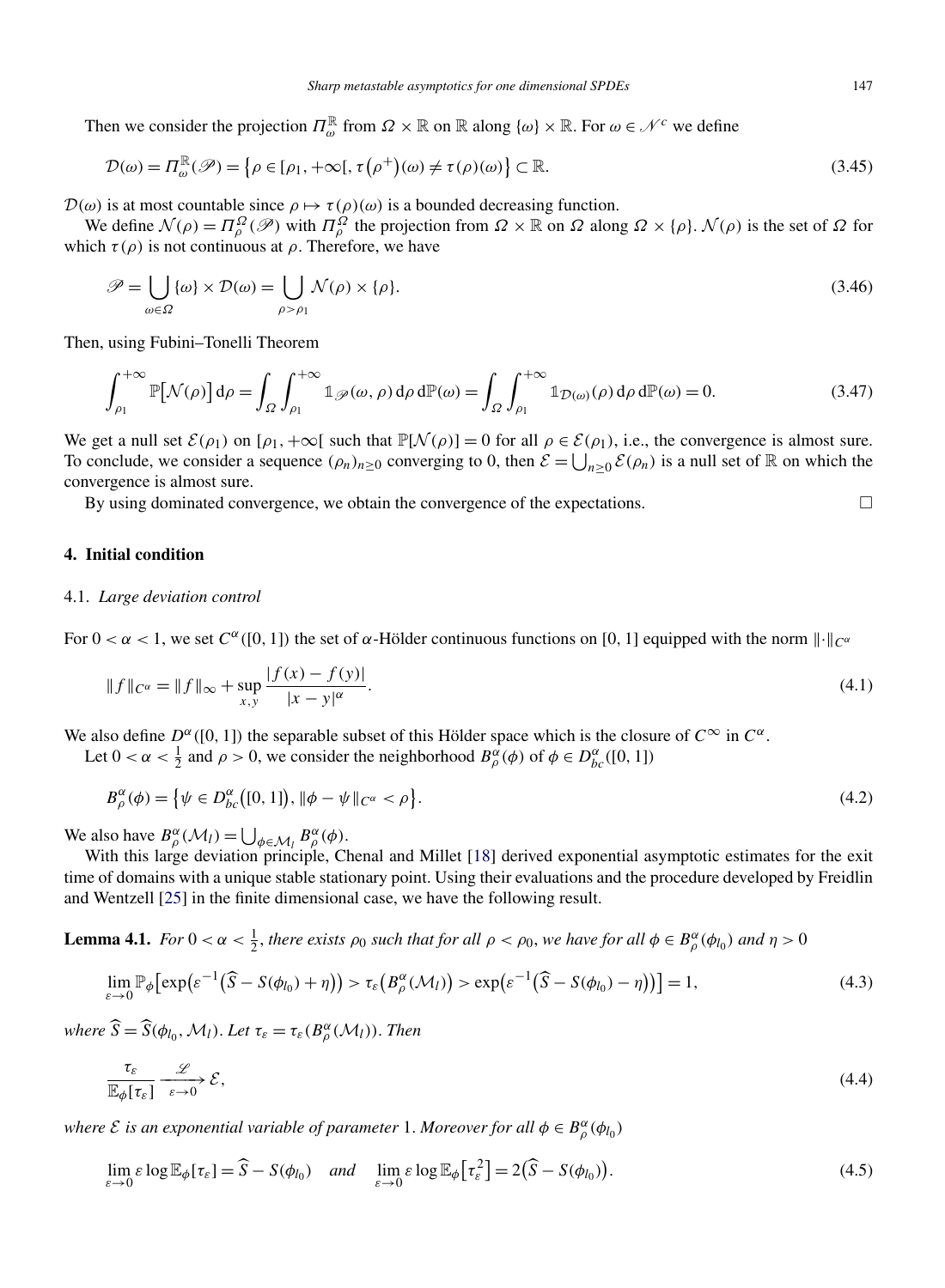<span id="page-18-0"></span>Then we consider the projection  $\Pi_{\omega}^{\mathbb{R}}$  from  $\Omega \times \mathbb{R}$  on  $\mathbb{R}$  along  $\{\omega\} \times \mathbb{R}$ . For  $\omega \in \mathcal{N}^c$  we define

$$
\mathcal{D}(\omega) = \Pi_{\omega}^{\mathbb{R}}(\mathscr{P}) = \left\{ \rho \in [\rho_1, +\infty[, \tau(\rho^+)(\omega) \neq \tau(\rho)(\omega) \right\} \subset \mathbb{R}.
$$
\n(3.45)

 $\mathcal{D}(\omega)$  is at most countable since  $\rho \mapsto \tau(\rho)(\omega)$  is a bounded decreasing function.

*N* (*ρ*) =  $\Pi_{\rho}^{\Omega}$  ( $\mathcal{P}$ ) with  $\Pi_{\rho}^{\Omega}$  the projection from  $\Omega \times \mathbb{R}$  on  $\Omega$  along  $\Omega \times {\rho}$ . N(*ρ*) is the set of  $\Omega$  for which  $\tau(\rho)$  is not continuous at  $\rho$ . Therefore, we have

$$
\mathscr{P} = \bigcup_{\omega \in \Omega} {\{\omega\} \times \mathcal{D}(\omega) = \bigcup_{\rho > \rho_1} \mathcal{N}(\rho) \times {\{\rho\}}}. \tag{3.46}
$$

Then, using Fubini–Tonelli Theorem

$$
\int_{\rho_1}^{+\infty} \mathbb{P}[\mathcal{N}(\rho)] d\rho = \int_{\Omega} \int_{\rho_1}^{+\infty} \mathbb{1}_{\mathscr{P}}(\omega, \rho) d\rho d\mathbb{P}(\omega) = \int_{\Omega} \int_{\rho_1}^{+\infty} \mathbb{1}_{\mathcal{D}(\omega)}(\rho) d\rho d\mathbb{P}(\omega) = 0.
$$
 (3.47)

We get a null set  $\mathcal{E}(\rho_1)$  on  $[\rho_1, +\infty]$  such that  $\mathbb{P}[\mathcal{N}(\rho)] = 0$  for all  $\rho \in \mathcal{E}(\rho_1)$ , i.e., the convergence is almost sure. To conclude, we consider a sequence  $(\rho_n)_{n \geq 0}$  converging to 0, then  $\mathcal{E} = \bigcup_{n \geq 0} \mathcal{E}(\rho_n)$  is a null set of  $\mathbb R$  on which the convergence is almost sure.

By using dominated convergence, we obtain the convergence of the expectations.

# **4. Initial condition**

# 4.1. *Large deviation control*

For  $0 < \alpha < 1$ , we set  $C^{\alpha}([0, 1])$  the set of  $\alpha$ -Hölder continuous functions on [0, 1] equipped with the norm  $\|\cdot\|_{C^{\alpha}}$ 

$$
||f||_{C^{\alpha}} = ||f||_{\infty} + \sup_{x,y} \frac{|f(x) - f(y)|}{|x - y|^{\alpha}}.
$$
\n(4.1)

We also define  $D^{\alpha}([0, 1])$  the separable subset of this Hölder space which is the closure of  $C^{\infty}$  in  $C^{\alpha}$ .

Let  $0 < \alpha < \frac{1}{2}$  and  $\rho > 0$ , we consider the neighborhood  $B_{\rho}^{\alpha}(\phi)$  of  $\phi \in D_{bc}^{\alpha}([0, 1])$ 

$$
B_{\rho}^{\alpha}(\phi) = \{ \psi \in D_{bc}^{\alpha}([0,1]), \|\phi - \psi\|_{C^{\alpha}} < \rho \}. \tag{4.2}
$$

We also have  $B_{\rho}^{\alpha}(\mathcal{M}_l) = \bigcup_{\phi \in \mathcal{M}_l} B_{\rho}^{\alpha}(\phi)$ .

With this large deviation principle, Chenal and Millet [\[18\]](#page-36-0) derived exponential asymptotic estimates for the exit time of domains with a unique stable stationary point. Using their evaluations and the procedure developed by Freidlin and Wentzell [\[25\]](#page-36-0) in the finite dimensional case, we have the following result.

**Lemma 4.1.** *For*  $0 < \alpha < \frac{1}{2}$ , *there exists*  $\rho_0$  *such that for all*  $\rho < \rho_0$ , *we have for all*  $\phi \in B_\rho^\alpha(\phi_{l_0})$  *and*  $\eta > 0$ 

$$
\lim_{\varepsilon \to 0} \mathbb{P}_{\phi} \big[ \exp\big(\varepsilon^{-1} \big(\widehat{S} - S(\phi_{l_0}) + \eta\big)\big) > \tau_{\varepsilon} \big(B^{\alpha}_{\rho}(\mathcal{M}_l)\big) > \exp\big(\varepsilon^{-1} \big(\widehat{S} - S(\phi_{l_0}) - \eta\big)\big)\big] = 1,
$$
\n(4.3)

*where*  $\widehat{S} = \widehat{S}(\phi_{l_0}, \mathcal{M}_l)$ . *Let*  $\tau_{\varepsilon} = \tau_{\varepsilon}(B^{\alpha}_{\rho}(\mathcal{M}_l))$ . *Then* 

$$
\frac{\tau_{\varepsilon}}{\mathbb{E}_{\phi}[\tau_{\varepsilon}]} \xrightarrow[\varepsilon \to 0]{} \mathcal{E},\tag{4.4}
$$

*where*  $\mathcal{E}$  *is an exponential variable of parameter* 1. *Moreover for all*  $\phi \in B_\rho^\alpha(\phi_{l_0})$ 

$$
\lim_{\varepsilon \to 0} \varepsilon \log \mathbb{E}_{\phi}[\tau_{\varepsilon}] = \widehat{S} - S(\phi_{l_0}) \quad \text{and} \quad \lim_{\varepsilon \to 0} \varepsilon \log \mathbb{E}_{\phi}[\tau_{\varepsilon}^2] = 2(\widehat{S} - S(\phi_{l_0})). \tag{4.5}
$$

 $\Box$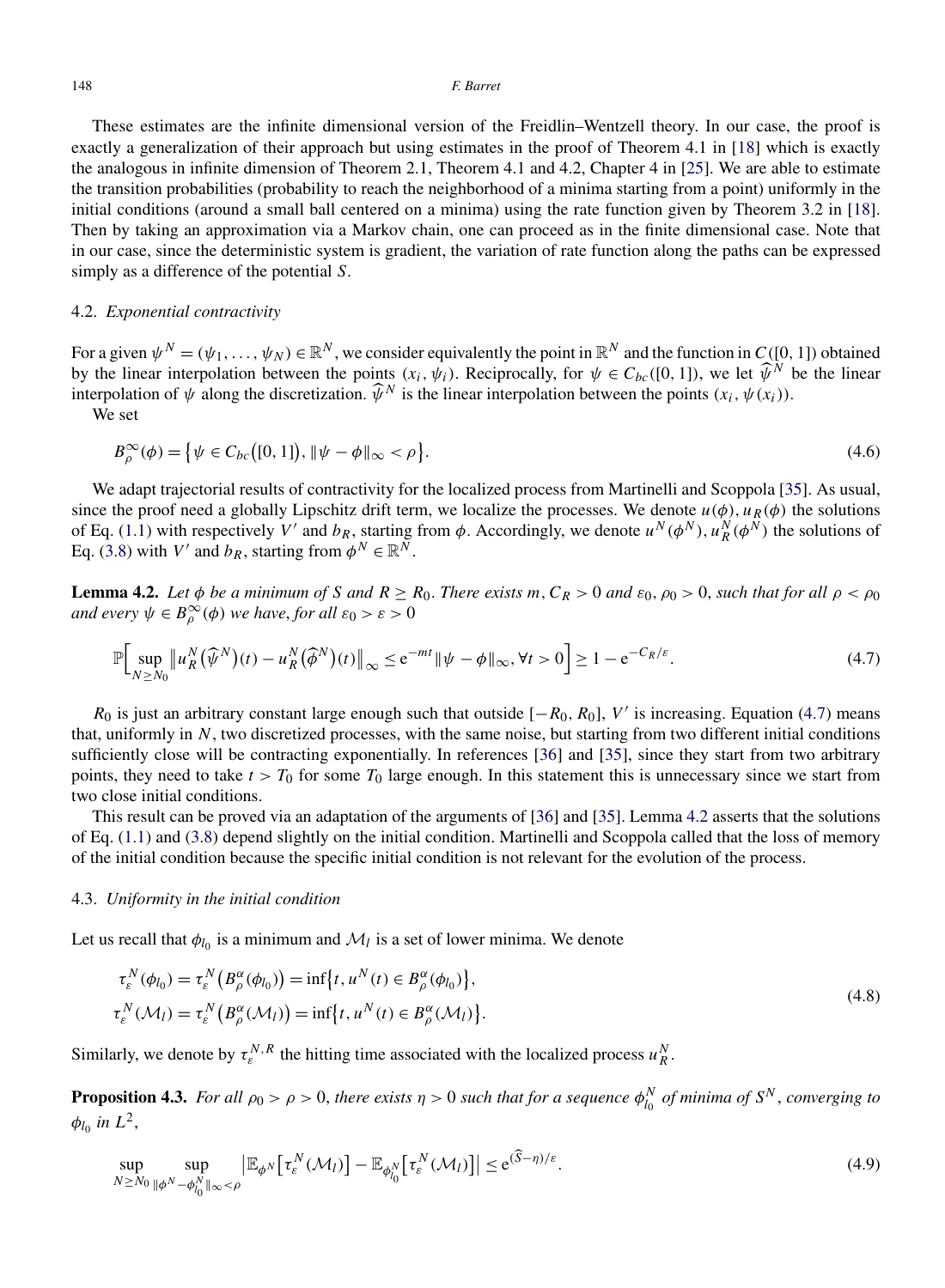<span id="page-19-0"></span>These estimates are the infinite dimensional version of the Freidlin–Wentzell theory. In our case, the proof is exactly a generalization of their approach but using estimates in the proof of Theorem 4.1 in [\[18\]](#page-36-0) which is exactly the analogous in infinite dimension of Theorem 2.1, Theorem 4.1 and 4.2, Chapter 4 in [\[25\]](#page-36-0). We are able to estimate the transition probabilities (probability to reach the neighborhood of a minima starting from a point) uniformly in the initial conditions (around a small ball centered on a minima) using the rate function given by Theorem 3.2 in [\[18\]](#page-36-0). Then by taking an approximation via a Markov chain, one can proceed as in the finite dimensional case. Note that in our case, since the deterministic system is gradient, the variation of rate function along the paths can be expressed simply as a difference of the potential *S*.

# 4.2. *Exponential contractivity*

For a given  $\psi^N = (\psi_1, \dots, \psi_N) \in \mathbb{R}^N$ , we consider equivalently the point in  $\mathbb{R}^N$  and the function in  $C([0, 1])$  obtained by the linear interpolation between the points  $(x_i, \psi_i)$ . Reciprocally, for  $\psi \in C_{bc}([0, 1])$ , we let  $\widehat{\psi}^N$  be the linear interpolation of  $\psi$  along the discretization.  $\widehat{\psi}^N$  is the linear interpolation between

We set

$$
B_{\rho}^{\infty}(\phi) = \{ \psi \in C_{bc}([0, 1]), \|\psi - \phi\|_{\infty} < \rho \}.
$$
\n(4.6)

We adapt trajectorial results of contractivity for the localized process from Martinelli and Scoppola [\[35\]](#page-37-0). As usual, since the proof need a globally Lipschitz drift term, we localize the processes. We denote  $u(\phi)$ ,  $u_R(\phi)$  the solutions of Eq. [\(1.1\)](#page-1-0) with respectively *V'* and  $b_R$ , starting from  $\phi$ . Accordingly, we denote  $u^N(\phi^N)$ ,  $u^N_R(\phi^N)$  the solutions of Eq. [\(3.8\)](#page-14-0) with *V'* and  $b_R$ , starting from  $\phi^N \in \mathbb{R}^N$ .

**Lemma 4.2.** Let  $\phi$  be a minimum of S and  $R \ge R_0$ . There exists m,  $C_R > 0$  and  $\varepsilon_0$ ,  $\rho_0 > 0$ , such that for all  $\rho < \rho_0$ *and every*  $\psi \in B^{\infty}_{\rho}(\phi)$  *we have, for all*  $\varepsilon_0 > \varepsilon > 0$ 

$$
\mathbb{P}\Big[\sup_{N\geq N_0} \left\|u_R^N(\widehat{\psi}^N)(t) - u_R^N(\widehat{\phi}^N)(t)\right\|_{\infty} \leq e^{-mt} \|\psi - \phi\|_{\infty}, \forall t > 0\Big] \geq 1 - e^{-C_R/\varepsilon}.\tag{4.7}
$$

 $R_0$  is just an arbitrary constant large enough such that outside  $[-R_0, R_0]$ , *V'* is increasing. Equation (4.7) means that, uniformly in *N*, two discretized processes, with the same noise, but starting from two different initial conditions sufficiently close will be contracting exponentially. In references [\[36\]](#page-37-0) and [\[35\]](#page-37-0), since they start from two arbitrary points, they need to take  $t > T_0$  for some  $T_0$  large enough. In this statement this is unnecessary since we start from two close initial conditions.

This result can be proved via an adaptation of the arguments of [\[36\]](#page-37-0) and [\[35\]](#page-37-0). Lemma 4.2 asserts that the solutions of Eq. [\(1.1\)](#page-1-0) and [\(3.8\)](#page-14-0) depend slightly on the initial condition. Martinelli and Scoppola called that the loss of memory of the initial condition because the specific initial condition is not relevant for the evolution of the process.

## 4.3. *Uniformity in the initial condition*

Let us recall that  $\phi_{l_0}$  is a minimum and  $\mathcal{M}_l$  is a set of lower minima. We denote

$$
\tau_{\varepsilon}^{N}(\phi_{l_0}) = \tau_{\varepsilon}^{N}\left(B_{\rho}^{\alpha}(\phi_{l_0})\right) = \inf\{t, u^{N}(t) \in B_{\rho}^{\alpha}(\phi_{l_0})\},
$$
\n
$$
\tau_{\varepsilon}^{N}(\mathcal{M}_{l}) = \tau_{\varepsilon}^{N}\left(B_{\rho}^{\alpha}(\mathcal{M}_{l})\right) = \inf\{t, u^{N}(t) \in B_{\rho}^{\alpha}(\mathcal{M}_{l})\}.
$$
\n(4.8)

Similarly, we denote by  $\tau_k^{N,R}$  the hitting time associated with the localized process  $u_R^N$ .

**Proposition 4.3.** *For all*  $\rho_0 > \rho > 0$ , *there exists*  $\eta > 0$  *such that for a sequence*  $\phi_{l_0}^N$  *of minima of*  $S^N$ , *converging to*  $\phi_{l_0}$  *in*  $L^2$ ,

$$
\sup_{N\geq N_0} \sup_{\|\phi^N-\phi_{l_0}^N\|_{\infty}<\rho} \left|\mathbb{E}_{\phi^N}\left[\tau_\varepsilon^N(\mathcal{M}_l)\right]-\mathbb{E}_{\phi_{l_0}^N}\left[\tau_\varepsilon^N(\mathcal{M}_l)\right]\right| \leq e^{(\widehat{S}-\eta)/\varepsilon}.\tag{4.9}
$$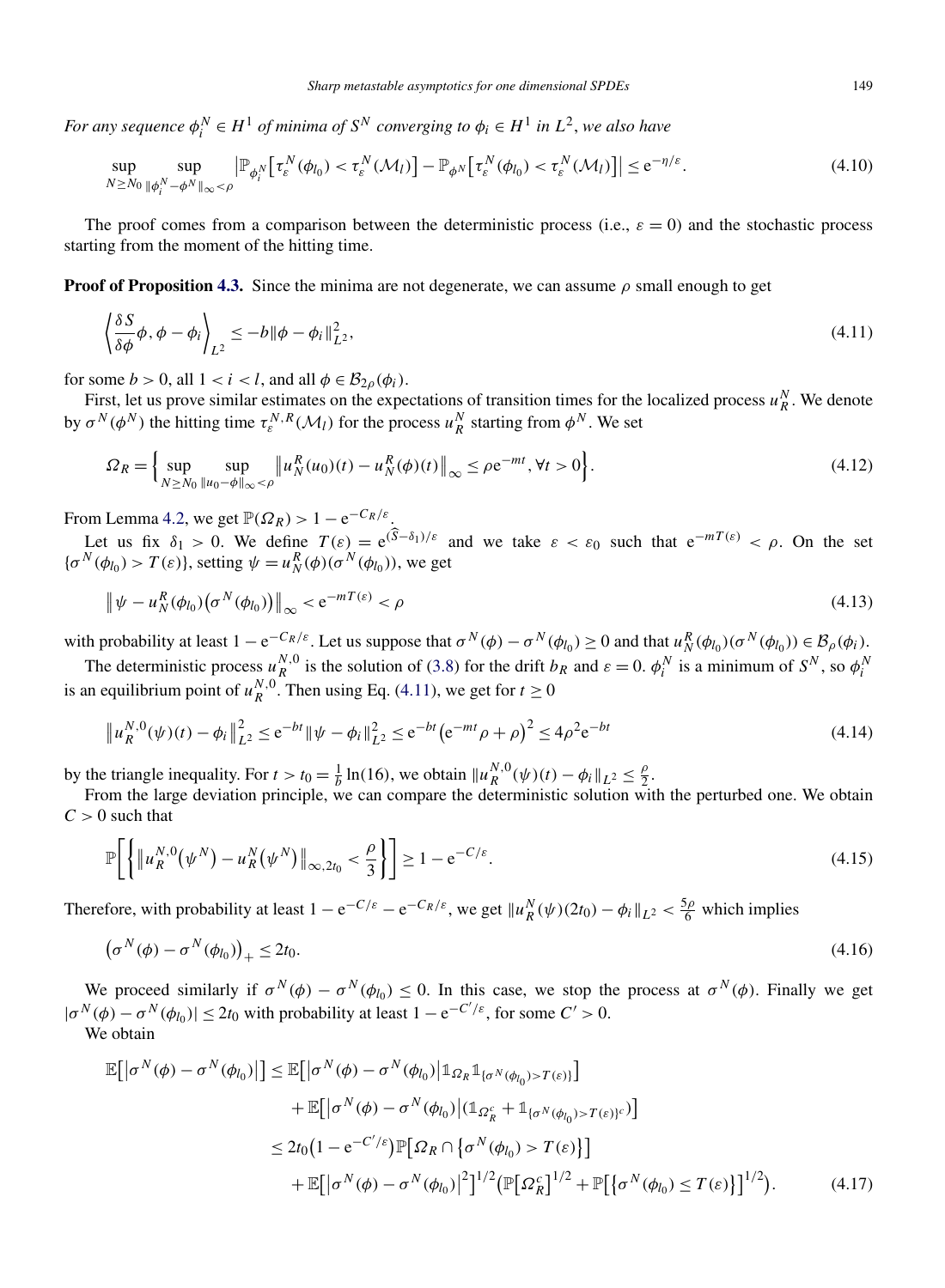<span id="page-20-0"></span>*For any sequence*  $\phi_i^N \in H^1$  *of minima of*  $S^N$  *converging to*  $\phi_i \in H^1$  *in*  $L^2$ *, we also have* 

$$
\sup_{N\geq N_0} \sup_{\|\phi_i^N-\phi^N\|_{\infty}<\rho} \left|\mathbb{P}_{\phi_i^N}\left[\tau_\varepsilon^N(\phi_{l_0}) < \tau_\varepsilon^N(\mathcal{M}_l)\right]-\mathbb{P}_{\phi^N}\left[\tau_\varepsilon^N(\phi_{l_0}) < \tau_\varepsilon^N(\mathcal{M}_l)\right]\right| \leq e^{-\eta/\varepsilon}.\tag{4.10}
$$

The proof comes from a comparison between the deterministic process (i.e.,  $\varepsilon = 0$ ) and the stochastic process starting from the moment of the hitting time.

**Proof of Proposition [4.3.](#page-19-0)** Since the minima are not degenerate, we can assume  $\rho$  small enough to get

$$
\left\langle \frac{\delta S}{\delta \phi} \phi, \phi - \phi_i \right\rangle_{L^2} \le -b \|\phi - \phi_i\|_{L^2}^2,\tag{4.11}
$$

for some  $b > 0$ , all  $1 < i < l$ , and all  $\phi \in \mathcal{B}_{2\rho}(\phi_i)$ .

First, let us prove similar estimates on the expectations of transition times for the localized process  $u_R^N$ . We denote by  $\sigma^N(\phi^N)$  the hitting time  $\tau^N_\varepsilon(\mathcal{M}_l)$  for the process  $u^N_R$  starting from  $\phi^N$ . We set

$$
\Omega_R = \left\{ \sup_{N \ge N_0} \sup_{\|u_0 - \phi\|_{\infty} < \rho} \left\| u_N^R(u_0)(t) - u_N^R(\phi)(t) \right\|_{\infty} \le \rho \mathrm{e}^{-mt}, \forall t > 0 \right\}. \tag{4.12}
$$

From Lemma [4.2,](#page-19-0) we get  $\mathbb{P}(\Omega_R) > 1 - e^{-C_R/\varepsilon}$ .

Let us fix  $\delta_1 > 0$ . We define  $T(\varepsilon) = e^{(\hat{S} - \delta_1)/\varepsilon}$  and we take  $\varepsilon < \varepsilon_0$  such that  $e^{-mT(\varepsilon)} < \rho$ . On the set  ${\sigma}^{N}(\phi_{l_0}) > T(\varepsilon)$ , setting  $\psi = u_N^R(\phi)(\sigma^N(\phi_{l_0}))$ , we get

$$
\left\|\psi - u_N^R(\phi_{l_0})\left(\sigma^N(\phi_{l_0})\right)\right\|_{\infty} < e^{-mT(\varepsilon)} < \rho
$$
\n(4.13)

with probability at least  $1 - e^{-C_R/\varepsilon}$ . Let us suppose that  $\sigma^N(\phi) - \sigma^N(\phi_{l_0}) \ge 0$  and that  $u_N^R(\phi_{l_0})(\sigma^N(\phi_{l_0})) \in \mathcal{B}_{\rho}(\phi_i)$ .

The deterministic process  $u_R^{N,0}$  is the solution of [\(3.8\)](#page-14-0) for the drift  $b_R$  and  $\varepsilon = 0$ .  $\phi_i^N$  is a minimum of  $S^N$ , so  $\phi_i^N$ is an equilibrium point of  $u_R^{N,0}$ . Then using Eq. (4.11), we get for  $t \ge 0$ 

$$
\|u_R^{N,0}(\psi)(t) - \phi_i\|_{L^2}^2 \le e^{-bt} \|\psi - \phi_i\|_{L^2}^2 \le e^{-bt} \left(e^{-mt}\rho + \rho\right)^2 \le 4\rho^2 e^{-bt}
$$
\n(4.14)

by the triangle inequality. For  $t > t_0 = \frac{1}{b} \ln(16)$ , we obtain  $||u_R^{N,0}(\psi)(t) - \phi_i||_{L^2} \le \frac{\rho}{2}$ .

From the large deviation principle, we can compare the deterministic solution with the perturbed one. We obtain  $C > 0$  such that

$$
\mathbb{P}\bigg[\bigg\{\|u_R^{N,0}(\psi^N) - u_R^N(\psi^N)\|_{\infty,2t_0} < \frac{\rho}{3}\bigg\}\bigg] \ge 1 - e^{-C/\varepsilon}.\tag{4.15}
$$

Therefore, with probability at least  $1 - e^{-C/\varepsilon} - e^{-C_R/\varepsilon}$ , we get  $||u_R^N(\psi)(2t_0) - \phi_i||_{L^2} < \frac{5\rho}{6}$  which implies

$$
\left(\sigma^N(\phi) - \sigma^N(\phi_{l_0})\right)_+ \le 2t_0. \tag{4.16}
$$

We proceed similarly if  $\sigma^{N}(\phi) - \sigma^{N}(\phi_{l_0}) \leq 0$ . In this case, we stop the process at  $\sigma^{N}(\phi)$ . Finally we get  $|\sigma^N(\phi) - \sigma^N(\phi_{l_0})| \le 2t_0$  with probability at least  $1 - e^{-C'/\varepsilon}$ , for some  $C' > 0$ .

We obtain

$$
\mathbb{E}[\left|\sigma^{N}(\phi) - \sigma^{N}(\phi_{l_{0}})\right|] \leq \mathbb{E}[\left|\sigma^{N}(\phi) - \sigma^{N}(\phi_{l_{0}})\right| \mathbb{1}_{\Omega_{R}} \mathbb{1}_{\{\sigma^{N}(\phi_{l_{0}}) > T(\varepsilon)\}}] + \mathbb{E}[\left|\sigma^{N}(\phi) - \sigma^{N}(\phi_{l_{0}})\right| (\mathbb{1}_{\Omega_{R}^{c}} + \mathbb{1}_{\{\sigma^{N}(\phi_{l_{0}}) > T(\varepsilon)\}} c)]
$$
  

$$
\leq 2t_{0} \left(1 - e^{-C'/\varepsilon}\right) \mathbb{P}[\Omega_{R} \cap \left\{\sigma^{N}(\phi_{l_{0}}) > T(\varepsilon)\right\}] + \mathbb{E}[\left|\sigma^{N}(\phi) - \sigma^{N}(\phi_{l_{0}})\right|^{2}]^{1/2} \left(\mathbb{P}[\Omega_{R}^{c}]^{1/2} + \mathbb{P}[\{\sigma^{N}(\phi_{l_{0}}) \leq T(\varepsilon)\}\right]^{1/2}\right). \tag{4.17}
$$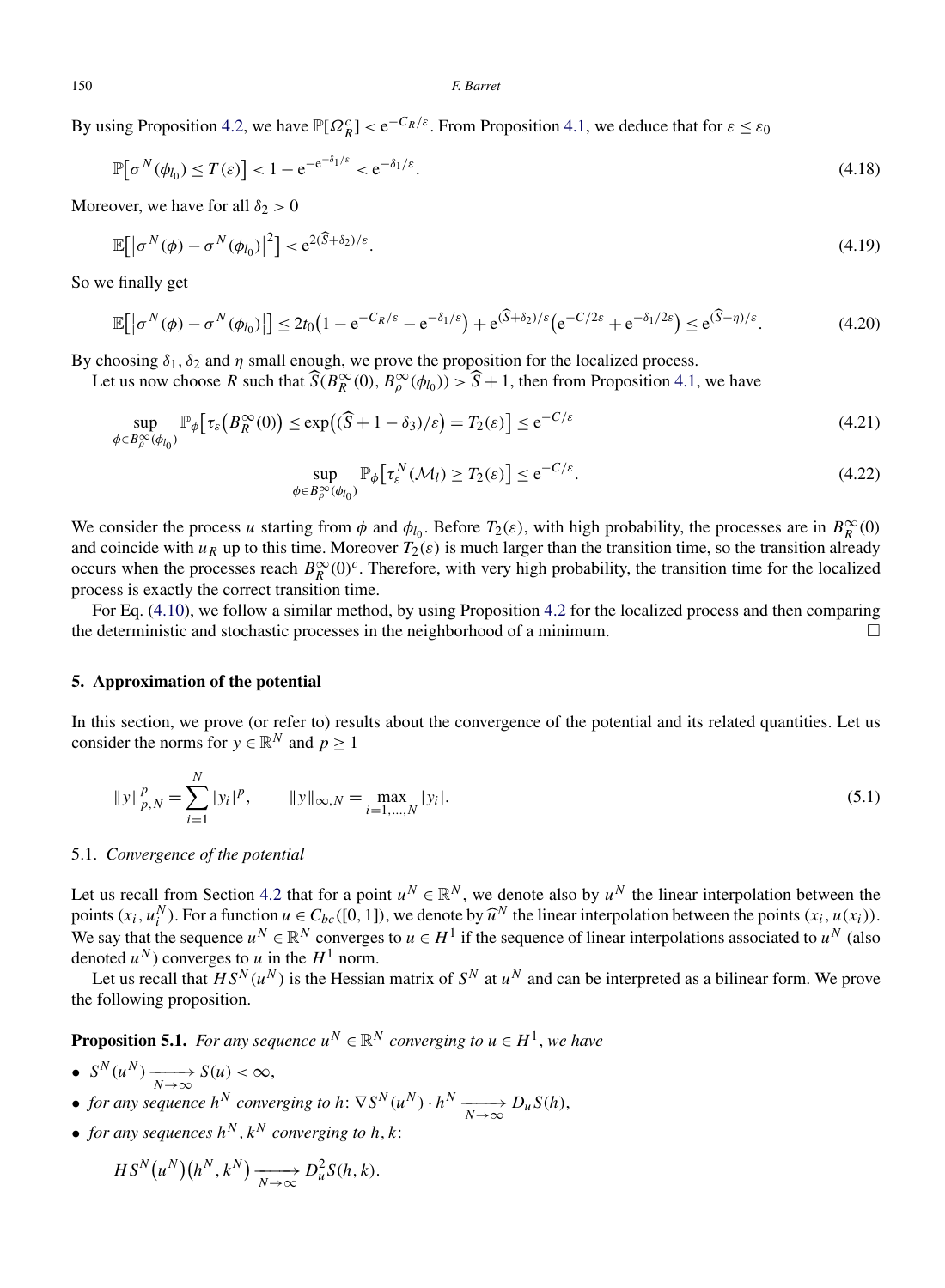<span id="page-21-0"></span>By using Proposition [4.2,](#page-19-0) we have  $\mathbb{P}[\Omega_R^c] < e^{-C_R/\varepsilon}$ . From Proposition [4.1,](#page-18-0) we deduce that for  $\varepsilon \leq \varepsilon_0$ 

$$
\mathbb{P}[\sigma^N(\phi_{l_0}) \le T(\varepsilon)] < 1 - e^{-e^{-\delta_1/\varepsilon}} < e^{-\delta_1/\varepsilon}.\tag{4.18}
$$

Moreover, we have for all  $\delta_2 > 0$ 

$$
\mathbb{E}\big[\big|\sigma^N(\phi)-\sigma^N(\phi_{l_0})\big|^2\big] < e^{2(\widehat{S}+\delta_2)/\varepsilon}.\tag{4.19}
$$

So we finally get

$$
\mathbb{E}\big[\big|\sigma^{N}(\phi)-\sigma^{N}(\phi_{l_0})\big|\big] \leq 2t_0\big(1-\mathrm{e}^{-C_R/\varepsilon}-\mathrm{e}^{-\delta_1/\varepsilon}\big)+\mathrm{e}^{(\widehat{S}+\delta_2)/\varepsilon}\big(\mathrm{e}^{-C/2\varepsilon}+\mathrm{e}^{-\delta_1/2\varepsilon}\big) \leq \mathrm{e}^{(\widehat{S}-\eta)/\varepsilon}.\tag{4.20}
$$

By choosing  $\delta_1, \delta_2$  and  $\eta$  small enough, we prove the proposition for the localized process.

Let us now choose *R* such that  $\widehat{S}(B_R^{\infty}(0), B_{\rho}^{\infty}(\phi_{l_0})) > \widehat{S} + 1$ , then from Proposition [4.1,](#page-18-0) we have

$$
\sup_{\phi \in B_{\rho}^{\infty}(\phi_{l_0})} \mathbb{P}_{\phi} \big[ \tau_{\varepsilon} \big( B_R^{\infty}(0) \big) \le \exp \big( (\widehat{S} + 1 - \delta_3) / \varepsilon \big) = T_2(\varepsilon) \big] \le e^{-C/\varepsilon}
$$
\n(4.21)

$$
\sup_{\phi \in B_{\rho}^{\infty}(\phi_{l_0})} \mathbb{P}_{\phi} \big[ \tau_{\varepsilon}^N(\mathcal{M}_l) \ge T_2(\varepsilon) \big] \le e^{-C/\varepsilon}.
$$
\n(4.22)

We consider the process *u* starting from  $\phi$  and  $\phi_{l_0}$ . Before  $T_2(\varepsilon)$ , with high probability, the processes are in  $B_R^{\infty}(0)$ and coincide with  $u_R$  up to this time. Moreover  $T_2(\varepsilon)$  is much larger than the transition time, so the transition already occurs when the processes reach  $B_R^{\infty}(0)^c$ . Therefore, with very high probability, the transition time for the localized process is exactly the correct transition time.

For Eq. [\(4.10\)](#page-20-0), we follow a similar method, by using Proposition [4.2](#page-19-0) for the localized process and then comparing the deterministic and stochastic processes in the neighborhood of a minimum.  $\Box$ 

### **5. Approximation of the potential**

In this section, we prove (or refer to) results about the convergence of the potential and its related quantities. Let us consider the norms for  $y \in \mathbb{R}^N$  and  $p > 1$ 

$$
||y||_{p,N}^p = \sum_{i=1}^N |y_i|^p, \qquad ||y||_{\infty,N} = \max_{i=1,\dots,N} |y_i|. \tag{5.1}
$$

# 5.1. *Convergence of the potential*

Let us recall from Section [4.2](#page-19-0) that for a point  $u^N \in \mathbb{R}^N$ , we denote also by  $u^N$  the linear interpolation between the points  $(x_i, u_i^N)$ . For a function  $u \in C_{bc}([0, 1])$ , we denote by  $\widehat{u}^N$  the linear interpolation between the points  $(x_i, u(x_i))$ . We say that the sequence  $u^N \in \mathbb{R}^N$  converges to  $u \in H^1$  if the sequence of linear interpolations associated to  $u^N$  (also denoted  $u^N$ ) converges to *u* in the  $H^1$  norm.

Let us recall that  $\overline{HS}^N(u^N)$  is the Hessian matrix of  $S^N$  at  $u^N$  and can be interpreted as a bilinear form. We prove the following proposition.

**Proposition 5.1.** *For any sequence*  $u^N \in \mathbb{R}^N$  *converging to*  $u \in H^1$ *, we have* 

- *<sup>S</sup><sup>N</sup> (uN )*−−−−→ *<sup>N</sup>*→∞ *S(u) <* <sup>∞</sup>,
- *for any sequence*  $h^N$  *converging to*  $h: \nabla S^N(u^N) \cdot h^N \xrightarrow[N \to \infty]{N \to \infty} D_u S(h)$ ,
- *for any sequences*  $h^N, k^N$  *converging to*  $h, k$ :

$$
HS^{N}(u^{N})(h^{N}, k^{N}) \xrightarrow[N \to \infty]{} D_{u}^{2}S(h, k).
$$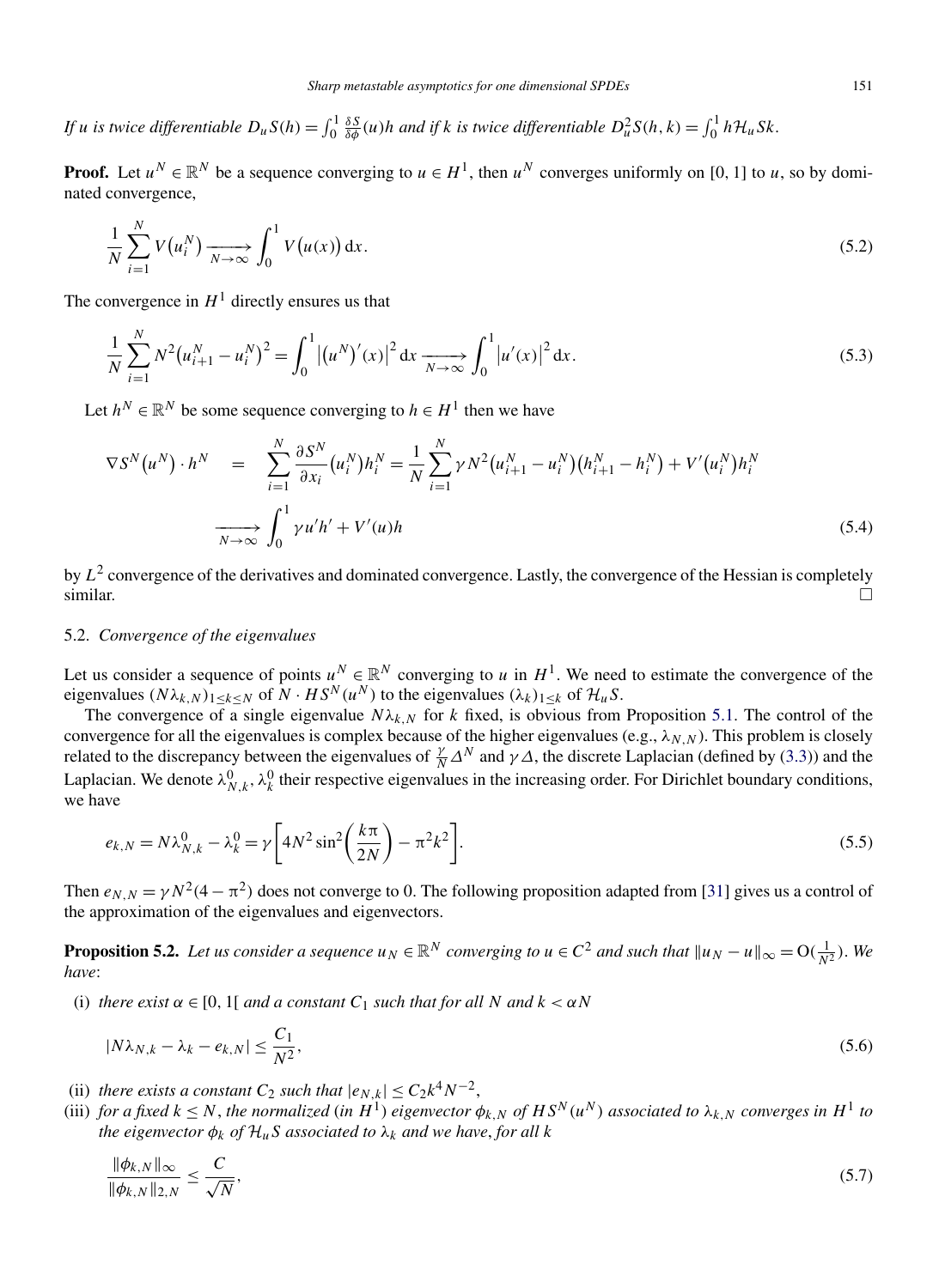<span id="page-22-0"></span>*If u* is twice differentiable  $D_u S(h) = \int_0^1 \frac{\delta S}{\delta \phi}(u)h$  and if *k* is twice differentiable  $D_u^2 S(h, k) = \int_0^1 h \mathcal{H}_u Sk$ .

**Proof.** Let  $u^N \in \mathbb{R}^N$  be a sequence converging to  $u \in H^1$ , then  $u^N$  converges uniformly on [0, 1] to *u*, so by dominated convergence,

$$
\frac{1}{N} \sum_{i=1}^{N} V(u_i^N) \xrightarrow[N \to \infty]{} \int_0^1 V(u(x)) \, \mathrm{d}x. \tag{5.2}
$$

The convergence in  $H<sup>1</sup>$  directly ensures us that

$$
\frac{1}{N} \sum_{i=1}^{N} N^2 (u_{i+1}^N - u_i^N)^2 = \int_0^1 |(u^N)'(x)|^2 dx \xrightarrow[N \to \infty]{} \int_0^1 |u'(x)|^2 dx.
$$
\n(5.3)

Let  $h^N \in \mathbb{R}^N$  be some sequence converging to  $h \in H^1$  then we have

$$
\nabla S^{N}(u^{N}) \cdot h^{N} = \sum_{i=1}^{N} \frac{\partial S^{N}}{\partial x_{i}} (u_{i}^{N}) h_{i}^{N} = \frac{1}{N} \sum_{i=1}^{N} \gamma N^{2} (u_{i+1}^{N} - u_{i}^{N}) (h_{i+1}^{N} - h_{i}^{N}) + V'(u_{i}^{N}) h_{i}^{N}
$$

$$
\xrightarrow[N \to \infty]{} \int_{0}^{1} \gamma u' h' + V'(u) h
$$
(5.4)

by  $L^2$  convergence of the derivatives and dominated convergence. Lastly, the convergence of the Hessian is completely similar.  $\Box$ 

# 5.2. *Convergence of the eigenvalues*

Let us consider a sequence of points  $u^N \in \mathbb{R}^N$  converging to *u* in  $H^1$ . We need to estimate the convergence of the eigenvalues  $(N\lambda_{k,N})_{1\leq k\leq N}$  of  $N\cdot HS^N(u^N)$  to the eigenvalues  $(\lambda_k)_{1\leq k}$  of  $\mathcal{H}_uS$ .

The convergence of a single eigenvalue  $N\lambda_{k,N}$  for k fixed, is obvious from Proposition [5.1.](#page-21-0) The control of the convergence for all the eigenvalues is complex because of the higher eigenvalues (e.g.,  $\lambda_{N,N}$ ). This problem is closely related to the discrepancy between the eigenvalues of  $\frac{\gamma}{N}\Delta^N$  and  $\gamma\Delta$ , the discrete Laplacian (defined by [\(3.3\)](#page-13-0)) and the Laplacian. We denote  $\lambda_{N,k}^0$ ,  $\lambda_k^0$  their respective eigenvalues in the increasing order. For Dirichlet boundary conditions, we have

$$
e_{k,N} = N\lambda_{N,k}^0 - \lambda_k^0 = \gamma \left[ 4N^2 \sin^2 \left( \frac{k\pi}{2N} \right) - \pi^2 k^2 \right].
$$
\n
$$
(5.5)
$$

Then  $e_{N,N} = \gamma N^2 (4 - \pi^2)$  does not converge to 0. The following proposition adapted from [\[31\]](#page-37-0) gives us a control of the approximation of the eigenvalues and eigenvectors.

**Proposition 5.2.** Let us consider a sequence  $u_N \in \mathbb{R}^N$  converging to  $u \in C^2$  and such that  $||u_N - u||_{\infty} = O(\frac{1}{N^2})$ . We *have*:

(i) *there exist*  $\alpha \in [0, 1]$  *and a constant*  $C_1$  *such that for all*  $N$  *and*  $k < \alpha N$ 

$$
|N\lambda_{N,k} - \lambda_k - e_{k,N}| \le \frac{C_1}{N^2},\tag{5.6}
$$

- (ii) *there exists a constant*  $C_2$  *such that*  $|e_{N,k}| \leq C_2 k^4 N^{-2}$ ,
- (iii) for a fixed  $k \leq N$ , the normalized (in  $H^1$ ) eigenvector  $\phi_{k,N}$  of  $HS^N(u^N)$  associated to  $\lambda_{k,N}$  converges in  $H^1$  to *the eigenvector*  $\phi_k$  *of*  $\mathcal{H}_u$ *S associated to*  $\lambda_k$  *and we have, for all k*

$$
\frac{\|\phi_{k,N}\|_{\infty}}{\|\phi_{k,N}\|_{2,N}} \le \frac{C}{\sqrt{N}},\tag{5.7}
$$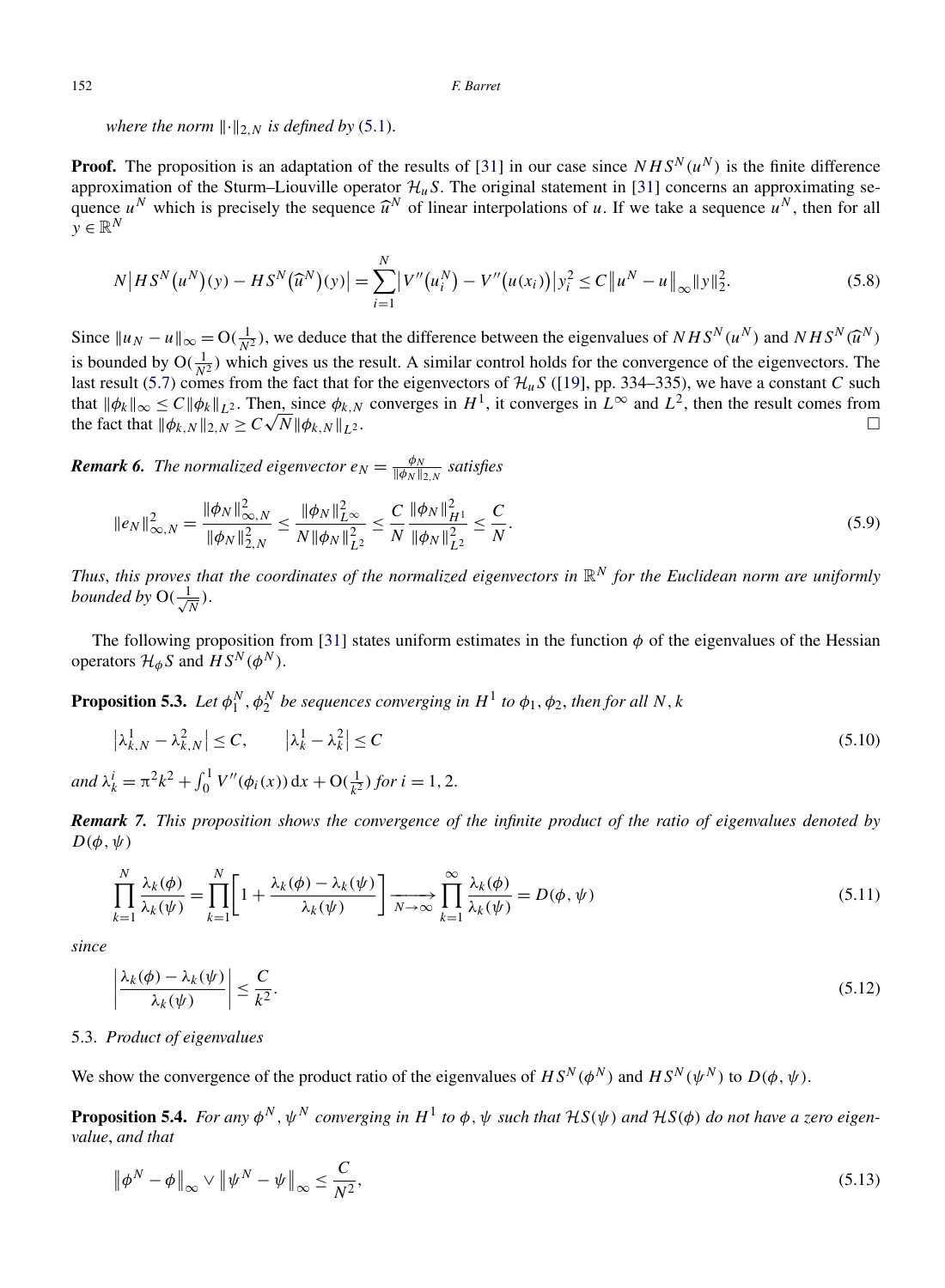<span id="page-23-0"></span>*where the norm*  $\|\cdot\|_{2,N}$  *is defined by* [\(5.1\)](#page-21-0).

**Proof.** The proposition is an adaptation of the results of [\[31\]](#page-37-0) in our case since  $NHS<sup>N</sup>(u<sup>N</sup>)$  is the finite difference approximation of the Sturm–Liouville operator  $\mathcal{H}_{\mu}S$ . The original statement in [\[31\]](#page-37-0) concerns an approximating sequence  $u^N$  which is precisely the sequence  $\hat{u}^N$  of linear interpolations of *u*. If we take a sequence  $u^N$ , then for all  $v \in \mathbb{R}^N$ 

$$
N\big|HS^{N}(u^{N})(y) - HS^{N}(\widehat{u}^{N})(y)\big| = \sum_{i=1}^{N} \big|V''(u_{i}^{N}) - V''(u(x_{i}))\big|y_{i}^{2} \le C\big\|u^{N} - u\big\|_{\infty}\|y\|_{2}^{2}.
$$
\n(5.8)

Since  $||u_N - u||_{\infty} = O(\frac{1}{N^2})$ , we deduce that the difference between the eigenvalues of  $NHS^N(u^N)$  and  $NHS^N(\hat{u}^N)$ is bounded by  $O(\frac{1}{N^2})$  which gives us the result. A similar control holds for the convergence of the eigenvectors. The last result [\(5.7\)](#page-22-0) comes from the fact that for the eigenvectors of  $\mathcal{H}_{u}S$  ([\[19\]](#page-36-0), pp. 334–335), we have a constant *C* such that  $\|\phi_k\|_{\infty} \le C \|\phi_k\|_{L^2}$ . Then, since  $\phi_{k,N}$  converges in  $H^1$ , it converges in  $L^{\infty}$  and  $L^2$ , then the result comes from the fact that  $\|\phi_{k,N}\|_{2,N} \ge C\sqrt{N} \|\phi_{k,N}\|_{L^2}$ . the fact that  $\|\phi_{k,N}\|_{2,N} > C\sqrt{N}\|\phi_{k,N}\|_{L^2}$ .

*Remark 6. The normalized eigenvector*  $e_N = \frac{\phi_N}{\|\phi_N\|_{2,N}}$  satisfies

$$
\|e_N\|_{\infty,N}^2 = \frac{\|\phi_N\|_{\infty,N}^2}{\|\phi_N\|_{2,N}^2} \le \frac{\|\phi_N\|_{L^\infty}^2}{N\|\phi_N\|_{L^2}^2} \le \frac{C}{N} \frac{\|\phi_N\|_{H^1}^2}{\|\phi_N\|_{L^2}^2} \le \frac{C}{N}.
$$
\n(5.9)

*Thus, this proves that the coordinates of the normalized eigenvectors in*  $\mathbb{R}^N$  *for the Euclidean norm are uniformly bounded by*  $O(\frac{1}{\sqrt{N}})$ .

The following proposition from [\[31\]](#page-37-0) states uniform estimates in the function  $\phi$  of the eigenvalues of the Hessian operators  $\mathcal{H}_{\phi}S$  and  $\hat{H}S^{N}(\phi^{N})$ .

**Proposition 5.3.** *Let*  $\phi_1^N$ ,  $\phi_2^N$  *be sequences converging in*  $H^1$  *to*  $\phi_1$ ,  $\phi_2$ , *then for all N*, *k* 

$$
\left|\lambda_{k,N}^{1} - \lambda_{k,N}^{2}\right| \le C, \qquad \left|\lambda_{k}^{1} - \lambda_{k}^{2}\right| \le C
$$
\n
$$
\text{and } \lambda_{k}^{i} = \pi^{2}k^{2} + \int_{0}^{1} V''(\phi_{i}(x)) \, \mathrm{d}x + \mathcal{O}\left(\frac{1}{k^{2}}\right) \text{ for } i = 1, 2.
$$
\n(5.10)

*Remark 7. This proposition shows the convergence of the infinite product of the ratio of eigenvalues denoted by*  $D(\phi, \psi)$ 

$$
\prod_{k=1}^{N} \frac{\lambda_k(\phi)}{\lambda_k(\psi)} = \prod_{k=1}^{N} \left[ 1 + \frac{\lambda_k(\phi) - \lambda_k(\psi)}{\lambda_k(\psi)} \right] \xrightarrow[N \to \infty]{} \prod_{k=1}^{\infty} \frac{\lambda_k(\phi)}{\lambda_k(\psi)} = D(\phi, \psi)
$$
\n(5.11)

*since*

$$
\left|\frac{\lambda_k(\phi) - \lambda_k(\psi)}{\lambda_k(\psi)}\right| \le \frac{C}{k^2}.\tag{5.12}
$$

# 5.3. *Product of eigenvalues*

We show the convergence of the product ratio of the eigenvalues of  $HS^N(\phi^N)$  and  $HS^N(\psi^N)$  to  $D(\phi, \psi)$ .

**Proposition 5.4.** *For any*  $\phi^N$ ,  $\psi^N$  *converging in*  $H^1$  *to*  $\phi$ ,  $\psi$  *such that*  $H^1(S(\psi))$  *and*  $H^1(S(\phi))$  *do not have a zero eigenvalue*, *and that*

$$
\left\|\phi^N - \phi\right\|_{\infty} \vee \left\|\psi^N - \psi\right\|_{\infty} \le \frac{C}{N^2},\tag{5.13}
$$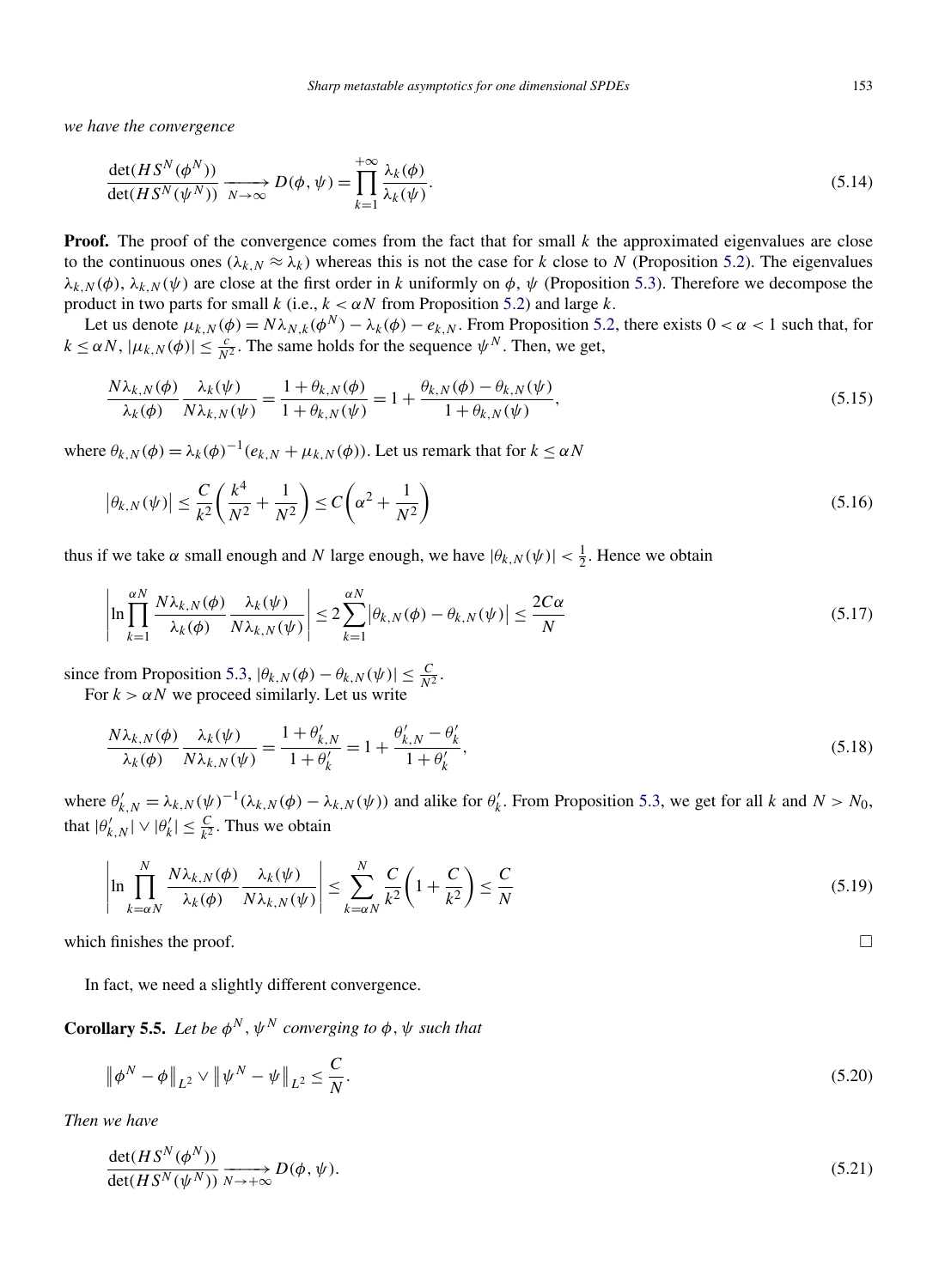<span id="page-24-0"></span>*we have the convergence*

$$
\frac{\det(HS^N(\phi^N))}{\det(HS^N(\psi^N))} \xrightarrow[N \to \infty]{} D(\phi, \psi) = \prod_{k=1}^{+\infty} \frac{\lambda_k(\phi)}{\lambda_k(\psi)}.
$$
\n(5.14)

**Proof.** The proof of the convergence comes from the fact that for small  $k$  the approximated eigenvalues are close to the continuous ones  $(\lambda_k, N \approx \lambda_k)$  whereas this is not the case for *k* close to *N* (Proposition [5.2\)](#page-22-0). The eigenvalues *λ<sub>k,N</sub>*( $\phi$ ), *λ<sub>k,N</sub>*( $\psi$ ) are close at the first order in *k* uniformly on  $\phi$ ,  $\psi$  (Proposition [5.3\)](#page-23-0). Therefore we decompose the product in two parts for small *k* (i.e., *k < αN* from Proposition [5.2\)](#page-22-0) and large *k*.

Let us denote  $\mu_{k,N}(\phi) = N\lambda_{N,k}(\phi^N) - \lambda_k(\phi) - e_{k,N}$ . From Proposition [5.2,](#page-22-0) there exists  $0 < \alpha < 1$  such that, for  $k \le \alpha N$ ,  $|\mu_{k,N}(\phi)| \le \frac{c}{N^2}$ . The same holds for the sequence  $\psi^N$ . Then, we get,

$$
\frac{N\lambda_{k,N}(\phi)}{\lambda_k(\phi)} \frac{\lambda_k(\psi)}{N\lambda_{k,N}(\psi)} = \frac{1 + \theta_{k,N}(\phi)}{1 + \theta_{k,N}(\psi)} = 1 + \frac{\theta_{k,N}(\phi) - \theta_{k,N}(\psi)}{1 + \theta_{k,N}(\psi)},
$$
\n(5.15)

where  $\theta_{k,N}(\phi) = \lambda_k(\phi)^{-1}(e_{k,N} + \mu_{k,N}(\phi))$ . Let us remark that for  $k \leq \alpha N$ 

$$
|\theta_{k,N}(\psi)| \le \frac{C}{k^2} \left(\frac{k^4}{N^2} + \frac{1}{N^2}\right) \le C\left(\alpha^2 + \frac{1}{N^2}\right)
$$
\n(5.16)

thus if we take  $\alpha$  small enough and *N* large enough, we have  $|\theta_{k,N}(\psi)| < \frac{1}{2}$ . Hence we obtain

$$
\left| \ln \prod_{k=1}^{\alpha N} \frac{N \lambda_{k,N}(\phi)}{\lambda_k(\phi)} \frac{\lambda_k(\psi)}{N \lambda_{k,N}(\psi)} \right| \leq 2 \sum_{k=1}^{\alpha N} \left| \theta_{k,N}(\phi) - \theta_{k,N}(\psi) \right| \leq \frac{2C\alpha}{N} \tag{5.17}
$$

since from Proposition [5.3,](#page-23-0)  $|\theta_{k,N}(\phi) - \theta_{k,N}(\psi)| \leq \frac{C}{N^2}$ . For  $k > \alpha N$  we proceed similarly. Let us write

$$
\frac{N\lambda_{k,N}(\phi)}{\lambda_k(\phi)} \frac{\lambda_k(\psi)}{N\lambda_{k,N}(\psi)} = \frac{1 + \theta'_{k,N}}{1 + \theta'_{k}} = 1 + \frac{\theta'_{k,N} - \theta'_{k}}{1 + \theta'_{k}},
$$
\n(5.18)

where  $\theta'_{k,N} = \lambda_{k,N}(\psi)^{-1}(\lambda_{k,N}(\phi) - \lambda_{k,N}(\psi))$  and alike for  $\theta'_{k}$ . From Proposition [5.3,](#page-23-0) we get for all *k* and  $N > N_0$ , that  $|\theta'_{k,N}| \vee |\theta'_{k}| \leq \frac{C}{k^2}$ . Thus we obtain

$$
\left| \ln \prod_{k=\alpha N}^{N} \frac{N \lambda_{k,N}(\phi)}{\lambda_k(\phi)} \frac{\lambda_k(\psi)}{N \lambda_{k,N}(\psi)} \right| \leq \sum_{k=\alpha N}^{N} \frac{C}{k^2} \left( 1 + \frac{C}{k^2} \right) \leq \frac{C}{N}
$$
\n(5.19)

which finishes the proof.

In fact, we need a slightly different convergence.

**Corollary 5.5.** Let be  $\phi^N$ ,  $\psi^N$  converging to  $\phi$ ,  $\psi$  such that

$$
\|\phi^N - \phi\|_{L^2} \vee \|\psi^N - \psi\|_{L^2} \le \frac{C}{N}.\tag{5.20}
$$

*Then we have*

$$
\frac{\det(HS^N(\phi^N))}{\det(HS^N(\psi^N))} \xrightarrow[N \to +\infty]{} D(\phi, \psi).
$$
\n(5.21)

 $\Box$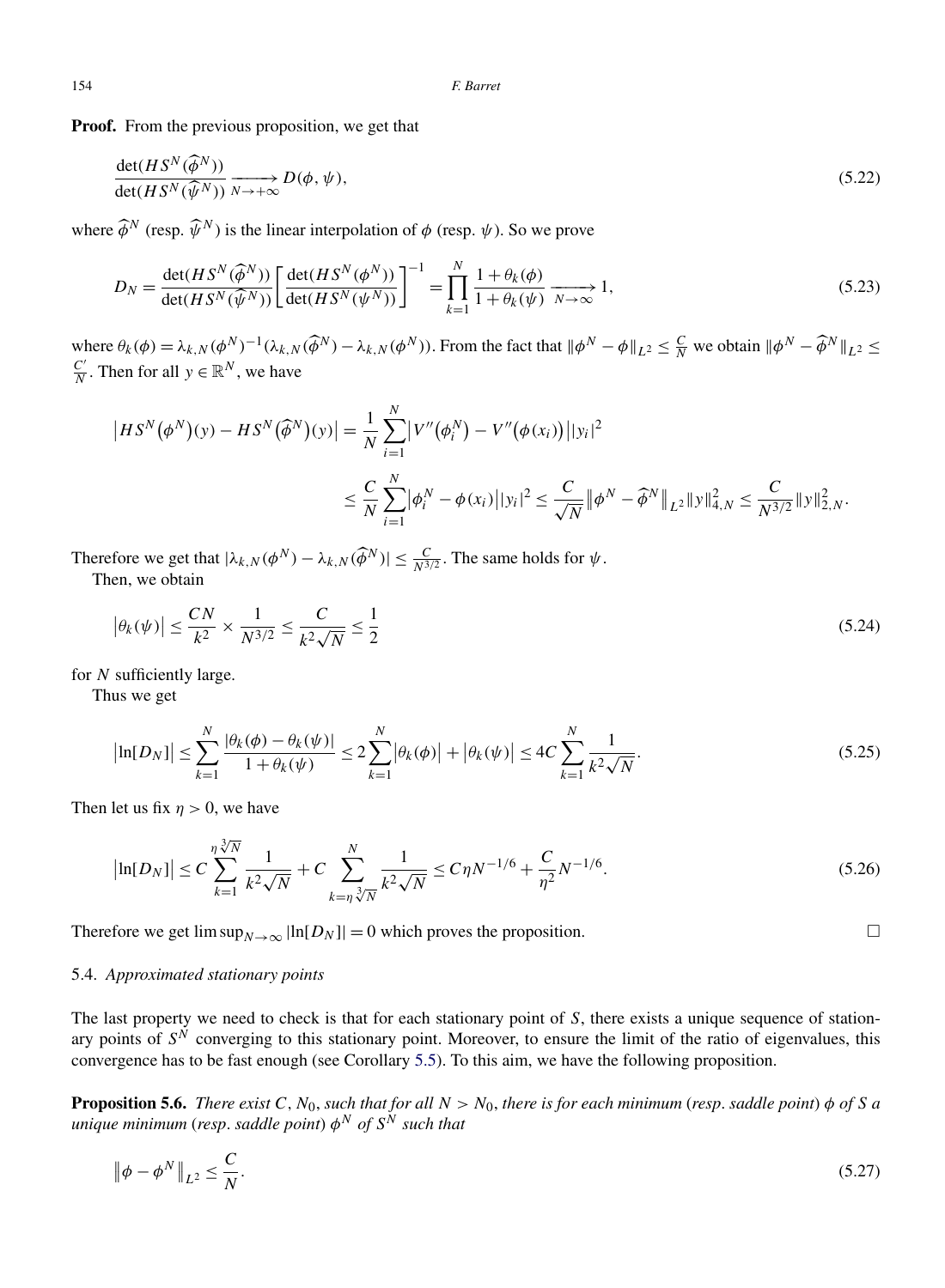<span id="page-25-0"></span>**Proof.** From the previous proposition, we get that

$$
\frac{\det(HS^N(\widehat{\phi}^N))}{\det(HS^N(\widehat{\psi}^N))} \xrightarrow[N \to +\infty]{} D(\phi, \psi),\tag{5.22}
$$

where  $\widehat{\phi}^N$  (resp.  $\widehat{\psi}^N$ ) is the linear interpolation of  $\phi$  (resp.  $\psi$ ). So we prove

$$
D_N = \frac{\det(HS^N(\widehat{\phi}^N))}{\det(HS^N(\widehat{\psi}^N))} \left[ \frac{\det(HS^N(\phi^N))}{\det(HS^N(\psi^N))} \right]^{-1} = \prod_{k=1}^N \frac{1 + \theta_k(\phi)}{1 + \theta_k(\psi)} \xrightarrow[N \to \infty]{} 1,
$$
\n(5.23)

where  $\theta_k(\phi) = \lambda_{k,N}(\phi^N)^{-1}(\lambda_{k,N}(\widehat{\phi}^N) - \lambda_{k,N}(\phi^N))$ . From the fact that  $\|\phi^N - \phi\|_{L^2} \le \frac{C}{N}$  we obtain  $\|\phi^N - \widehat{\phi}^N\|_{L^2} \le$ *<u>C*</sub><sup></sup>. Then for all *y* ∈  $\mathbb{R}^N$ , we have</u>

$$
\begin{aligned} \left| HS^{N}(\phi^{N})(y) - HS^{N}(\widehat{\phi}^{N})(y) \right| &= \frac{1}{N} \sum_{i=1}^{N} \left| V''(\phi_{i}^{N}) - V''(\phi(x_{i})) \right| |y_{i}|^{2} \\ &\leq \frac{C}{N} \sum_{i=1}^{N} \left| \phi_{i}^{N} - \phi(x_{i}) \right| |y_{i}|^{2} \leq \frac{C}{\sqrt{N}} \left\| \phi^{N} - \widehat{\phi}^{N} \right\|_{L^{2}} \|y\|_{4,N}^{2} \leq \frac{C}{N^{3/2}} \|y\|_{2,N}^{2} .\end{aligned}
$$

Therefore we get that  $|\lambda_{k,N}(\phi^N) - \lambda_{k,N}(\widehat{\phi}^N)| \leq \frac{C}{N^{3/2}}$ . The same holds for  $\psi$ . Then, we obtain

$$
\left|\theta_k(\psi)\right| \le \frac{CN}{k^2} \times \frac{1}{N^{3/2}} \le \frac{C}{k^2\sqrt{N}} \le \frac{1}{2}
$$
\n
$$
(5.24)
$$

for *N* sufficiently large.

Thus we get

$$
\left|\ln[D_N]\right| \le \sum_{k=1}^N \frac{|\theta_k(\phi) - \theta_k(\psi)|}{1 + \theta_k(\psi)} \le 2 \sum_{k=1}^N |\theta_k(\phi)| + |\theta_k(\psi)| \le 4C \sum_{k=1}^N \frac{1}{k^2 \sqrt{N}}.
$$
\n(5.25)

Then let us fix  $\eta > 0$ , we have

$$
\left|\ln[D_N]\right| \le C \sum_{k=1}^{\eta \sqrt[3]{N}} \frac{1}{k^2 \sqrt{N}} + C \sum_{k=\eta \sqrt[3]{N}}^N \frac{1}{k^2 \sqrt{N}} \le C \eta N^{-1/6} + \frac{C}{\eta^2} N^{-1/6}.
$$
\n(5.26)

Therefore we get  $\limsup_{N\to\infty}$   $\ln[D_N]$  = 0 which proves the proposition.

# 5.4. *Approximated stationary points*

The last property we need to check is that for each stationary point of *S*, there exists a unique sequence of stationary points of  $S^{\tilde{N}}$  converging to this stationary point. Moreover, to ensure the limit of the ratio of eigenvalues, this convergence has to be fast enough (see Corollary [5.5\)](#page-24-0). To this aim, we have the following proposition.

**Proposition 5.6.** *There exist C,N*0, *such that for all N>N*0, *there is for each minimum* (*resp*. *saddle point*) *φ of S a unique minimum* (*resp*. *saddle point*) *φ<sup>N</sup> of S<sup>N</sup> such that*

$$
\left\|\phi - \phi^N\right\|_{L^2} \le \frac{C}{N}.\tag{5.27}
$$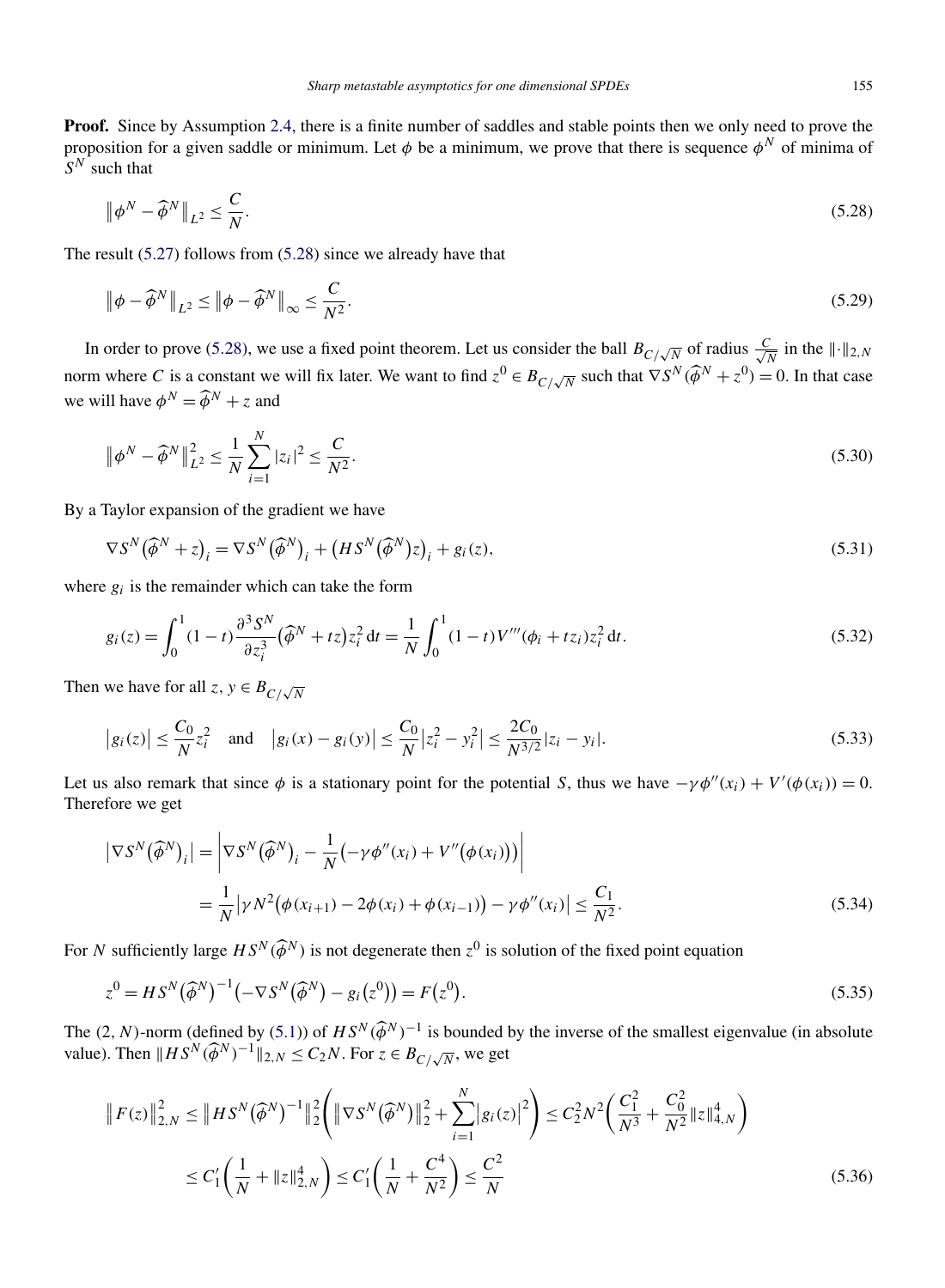Proof. Since by Assumption [2.4,](#page-5-0) there is a finite number of saddles and stable points then we only need to prove the proposition for a given saddle or minimum. Let *φ* be a minimum, we prove that there is sequence *φ<sup>N</sup>* of minima of  $S^N$  such that

$$
\left\|\phi^N - \widehat{\phi}^N\right\|_{L^2} \le \frac{C}{N}.\tag{5.28}
$$

The result [\(5.27\)](#page-25-0) follows from (5.28) since we already have that

$$
\|\phi - \widehat{\phi}^N\|_{L^2} \le \|\phi - \widehat{\phi}^N\|_{\infty} \le \frac{C}{N^2}.\tag{5.29}
$$

In order to prove (5.28), we use a fixed point theorem. Let us consider the ball  $B_{C/\sqrt{N}}$  of radius  $\frac{C}{\sqrt{N}}$  $\frac{C}{N}$  in the  $\|\cdot\|_{2,N}$ norm where *C* is a constant we will fix later. We want to find  $z^0 \in B_{C/\sqrt{N}}$  such that  $\nabla S^N(\widehat{\phi}^N + z^0) = 0$ . In that case we will have  $\phi^N = \widehat{\phi}^N + z$  and

$$
\|\phi^N - \widehat{\phi}^N\|_{L^2}^2 \le \frac{1}{N} \sum_{i=1}^N |z_i|^2 \le \frac{C}{N^2}.
$$
\n(5.30)

By a Taylor expansion of the gradient we have

$$
\nabla S^{N}(\widehat{\phi}^{N}+z)_{i} = \nabla S^{N}(\widehat{\phi}^{N})_{i} + (HS^{N}(\widehat{\phi}^{N})z)_{i} + g_{i}(z),
$$
\n(5.31)

where  $g_i$  is the remainder which can take the form

$$
g_i(z) = \int_0^1 (1-t) \frac{\partial^3 S^N}{\partial z_i^3} (\widehat{\phi}^N + tz) z_i^2 dt = \frac{1}{N} \int_0^1 (1-t) V'''(\phi_i + tz_i) z_i^2 dt.
$$
 (5.32)

Then we have for all  $z, y \in B_{C/\sqrt{N}}$ 

$$
\left|g_i(z)\right| \le \frac{C_0}{N} z_i^2 \quad \text{and} \quad \left|g_i(x) - g_i(y)\right| \le \frac{C_0}{N} \left|z_i^2 - y_i^2\right| \le \frac{2C_0}{N^{3/2}} |z_i - y_i|.
$$
\n(5.33)

Let us also remark that since  $\phi$  is a stationary point for the potential *S*, thus we have  $-\gamma \phi''(x_i) + V'(\phi(x_i)) = 0$ . Therefore we get

$$
\left| \nabla S^{N}(\widehat{\phi}^{N})_{i} \right| = \left| \nabla S^{N}(\widehat{\phi}^{N})_{i} - \frac{1}{N} \left( -\gamma \phi''(x_{i}) + V''(\phi(x_{i})) \right) \right|
$$
  
= 
$$
\frac{1}{N} \left| \gamma N^{2} (\phi(x_{i+1}) - 2\phi(x_{i}) + \phi(x_{i-1})) - \gamma \phi''(x_{i}) \right| \leq \frac{C_{1}}{N^{2}}.
$$
 (5.34)

For *N* sufficiently large  $HS^N(\widehat{\phi}^N)$  is not degenerate then  $z^0$  is solution of the fixed point equation

$$
z^{0} = HS^{N}(\widehat{\phi}^{N})^{-1}(-\nabla S^{N}(\widehat{\phi}^{N}) - g_{i}(z^{0})) = F(z^{0}).
$$
\n(5.35)

The  $(2, N)$ -norm (defined by  $(5.1)$ ) of  $HS^N(\widehat{\phi}^N)^{-1}$  is bounded by the inverse of the smallest eigenvalue (in absolute value). Then  $||HS^N(\widehat{\phi}^N)^{-1}||_{2,N} \le C_2N$ . For  $z \in B_{C/\sqrt{N}}$ , we get

$$
\|F(z)\|_{2,N}^2 \le \|HS^N(\widehat{\phi}^N)^{-1}\|_2^2 \left( \|\nabla S^N(\widehat{\phi}^N)\|_2^2 + \sum_{i=1}^N |g_i(z)|^2 \right) \le C_2^2 N^2 \left(\frac{C_1^2}{N^3} + \frac{C_0^2}{N^2} \|z\|_{4,N}^4\right)
$$
  

$$
\le C_1' \left(\frac{1}{N} + \|z\|_{2,N}^4\right) \le C_1' \left(\frac{1}{N} + \frac{C^4}{N^2}\right) \le \frac{C^2}{N}
$$
 (5.36)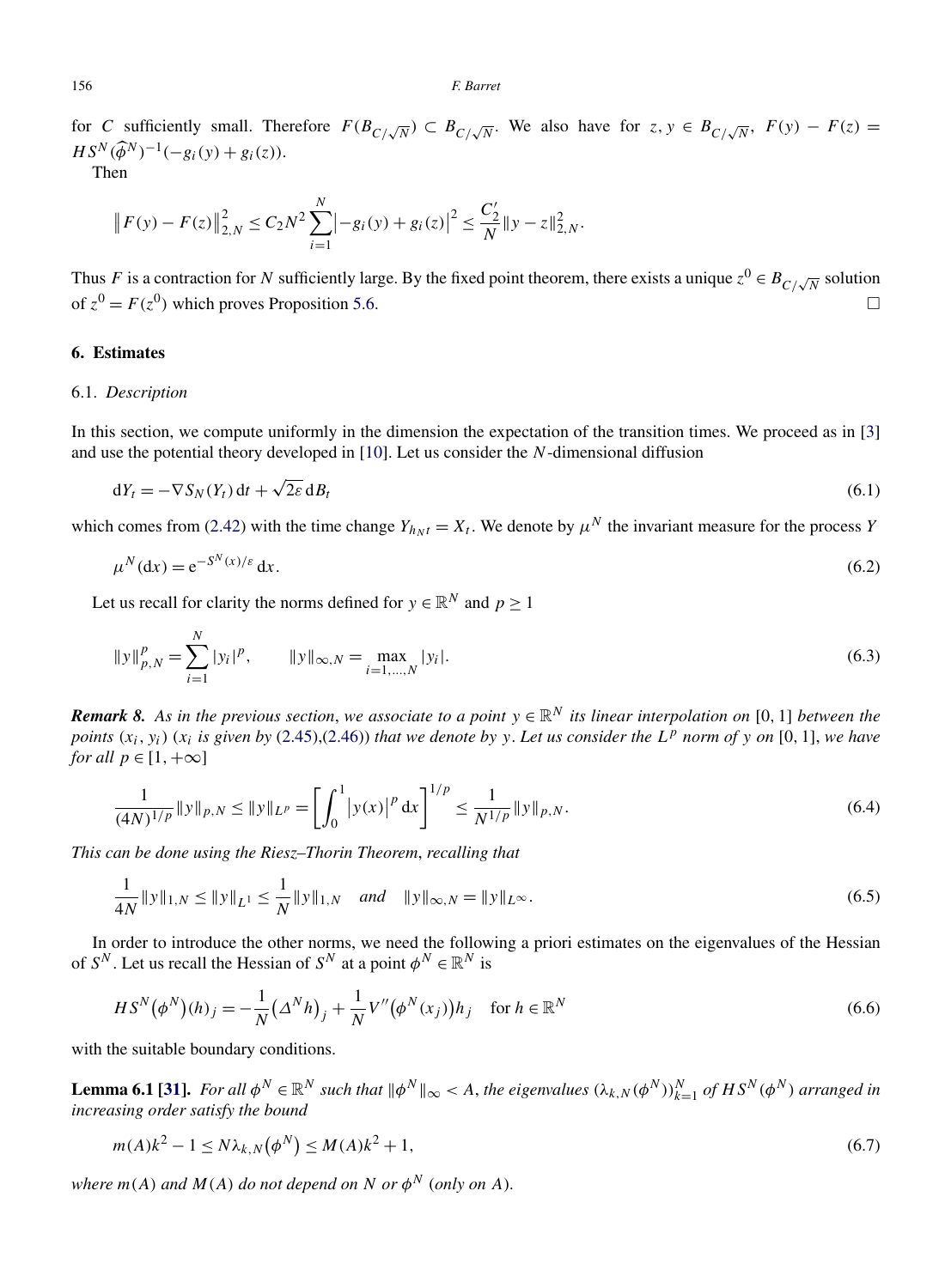<span id="page-27-0"></span>for *C* sufficiently small. Therefore  $F(B_{C/\sqrt{N}}) \subset B_{C/\sqrt{N}}$ . We also have for  $z, y \in B_{C/\sqrt{N}}$ ,  $F(y) - F(z) =$ *H*  $S^N(\widehat{\phi}^N)^{-1}(-g_i(y) + g_i(z)).$ 

Then

$$
\|F(y) - F(z)\|_{2,N}^2 \le C_2 N^2 \sum_{i=1}^N \left| -g_i(y) + g_i(z) \right|^2 \le \frac{C_2'}{N} \|y - z\|_{2,N}^2.
$$

Thus *F* is a contraction for *N* sufficiently large. By the fixed point theorem, there exists a unique  $z^0 \in B_{C/\sqrt{N}}$  solution of  $z^0 = F(z^0)$  which proves Proposition [5.6.](#page-25-0)

# **6. Estimates**

# 6.1. *Description*

In this section, we compute uniformly in the dimension the expectation of the transition times. We proceed as in [\[3\]](#page-36-0) and use the potential theory developed in [\[10\]](#page-36-0). Let us consider the *N*-dimensional diffusion

$$
dY_t = -\nabla S_N(Y_t) dt + \sqrt{2\varepsilon} dB_t
$$
\n(6.1)

which comes from [\(2.42\)](#page-11-0) with the time change  $Y_{h_Nt} = X_t$ . We denote by  $\mu^N$  the invariant measure for the process *Y* 

$$
\mu^N(\mathrm{d}x) = \mathrm{e}^{-S^N(x)/\varepsilon} \,\mathrm{d}x. \tag{6.2}
$$

Let us recall for clarity the norms defined for  $y \in \mathbb{R}^N$  and  $p > 1$ 

$$
||y||_{p,N}^p = \sum_{i=1}^N |y_i|^p, \qquad ||y||_{\infty,N} = \max_{i=1,\dots,N} |y_i|. \tag{6.3}
$$

*Remark 8.* As in the previous section, we associate to a point  $y \in \mathbb{R}^N$  its linear interpolation on [0, 1] between the *points*  $(x_i, y_i)$   $(x_i$  *is given by* [\(2.45\)](#page-12-0),[\(2.46\)](#page-12-0)) *that we denote by y*. Let us consider the  $L^p$  norm of *y* on [0, 1], *we have for all*  $p \in [1, +\infty]$ 

$$
\frac{1}{(4N)^{1/p}} \|y\|_{p,N} \le \|y\|_{L^p} = \left[\int_0^1 |y(x)|^p dx\right]^{1/p} \le \frac{1}{N^{1/p}} \|y\|_{p,N}.
$$
\n(6.4)

*This can be done using the Riesz–Thorin Theorem*, *recalling that*

$$
\frac{1}{4N} ||y||_{1,N} \le ||y||_{L^{1}} \le \frac{1}{N} ||y||_{1,N} \quad and \quad ||y||_{\infty,N} = ||y||_{L^{\infty}}.
$$
\n(6.5)

In order to introduce the other norms, we need the following a priori estimates on the eigenvalues of the Hessian of  $S^N$ . Let us recall the Hessian of  $S^N$  at a point  $\phi^N \in \mathbb{R}^N$  is

$$
HS^{N}(\phi^{N})(h)_{j} = -\frac{1}{N} (\Delta^{N} h)_{j} + \frac{1}{N} V''(\phi^{N}(x_{j})) h_{j} \quad \text{for } h \in \mathbb{R}^{N}
$$
 (6.6)

with the suitable boundary conditions.

**Lemma 6.1** [\[31\]](#page-37-0). For all  $\phi^N \in \mathbb{R}^N$  such that  $\|\phi^N\|_\infty < A$ , the eigenvalues  $(\lambda_{k,N}(\phi^N))_{k=1}^N$  of  $HS^N(\phi^N)$  arranged in *increasing order satisfy the bound*

$$
m(A)k^{2} - 1 \le N\lambda_{k,N}(\phi^{N}) \le M(A)k^{2} + 1,
$$
\n(6.7)

*where*  $m(A)$  *and*  $M(A)$  *do not depend on N or*  $\phi^N$  (*only on A*).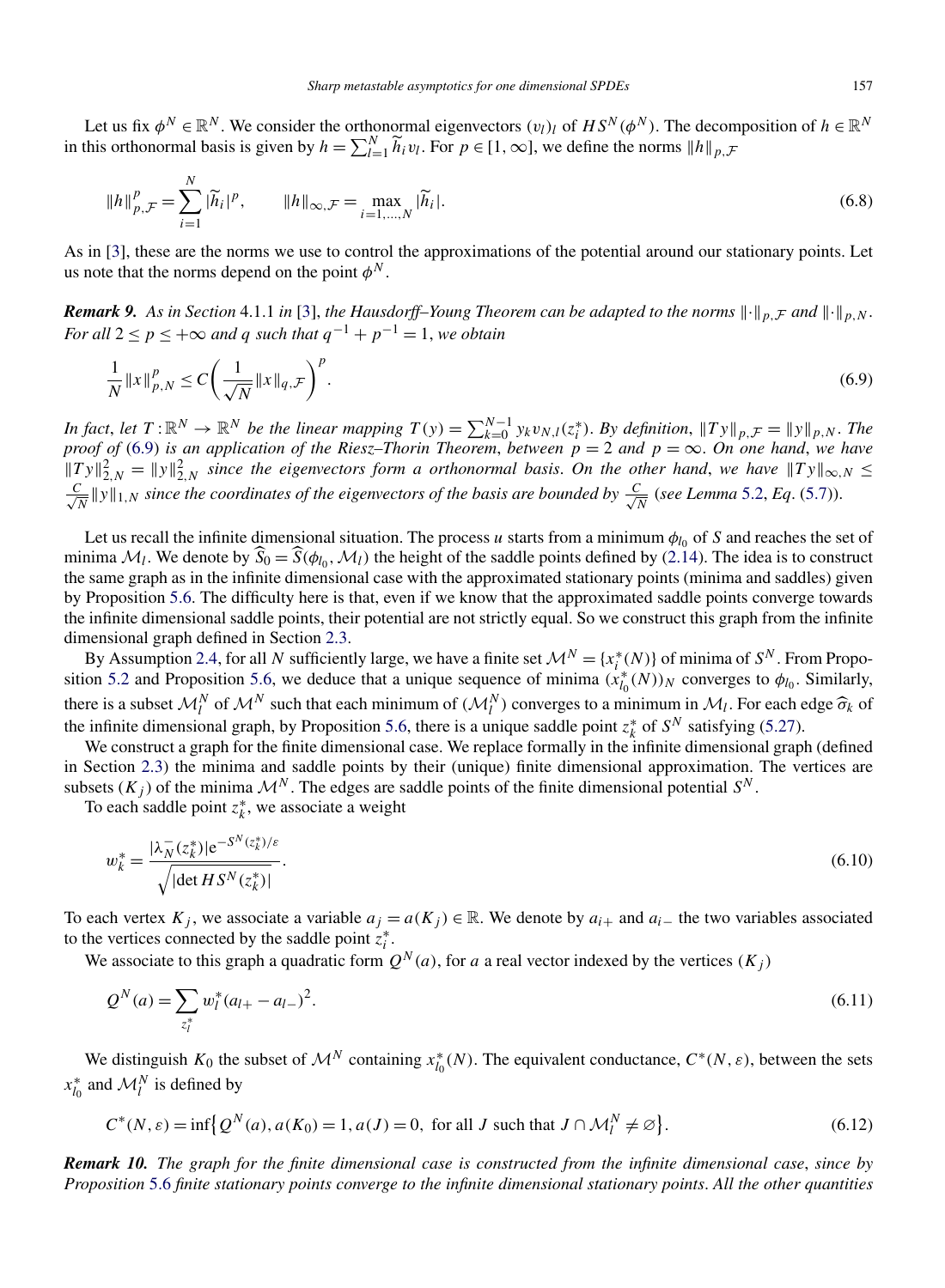<span id="page-28-0"></span>Let us fix  $\phi^N \in \mathbb{R}^N$ . We consider the orthonormal eigenvectors  $(v_l)_l$  of  $HS^N(\phi^N)$ . The decomposition of  $h \in \mathbb{R}^N$ in this orthonormal basis is given by  $h = \sum_{l=1}^{N} \widetilde{h}_l v_l$ . For  $p \in [1, \infty]$ , we define the norms  $||h||_{p,\mathcal{F}}$ 

$$
||h||_{p,\mathcal{F}}^p = \sum_{i=1}^N |\widetilde{h}_i|^p, \qquad ||h||_{\infty,\mathcal{F}} = \max_{i=1,\dots,N} |\widetilde{h}_i|. \tag{6.8}
$$

As in [\[3\]](#page-36-0), these are the norms we use to control the approximations of the potential around our stationary points. Let us note that the norms depend on the point  $\phi^N$ .

*Remark 9.* As in Section 4.1.1 in [\[3\]](#page-36-0), the Hausdorff–Young Theorem can be adapted to the norms  $\|\cdot\|_{p,\mathcal{F}}$  and  $\|\cdot\|_{p,N}$ . *For all*  $2 \le p \le +\infty$  *and q such that*  $q^{-1} + p^{-1} = 1$ *, we obtain* 

$$
\frac{1}{N} ||x||_{p,N}^p \le C \left(\frac{1}{\sqrt{N}} ||x||_{q,\mathcal{F}}\right)^p.
$$
\n
$$
(6.9)
$$

In fact, let  $T: \mathbb{R}^N \to \mathbb{R}^N$  be the linear mapping  $T(y) = \sum_{k=0}^{N-1} y_k v_{N,l}(z_i^*)$ . By definition,  $||Ty||_{p,\mathcal{F}} = ||y||_{p,N}$ . The proof of (6.9) is an application of the Riesz–Thorin Theorem, between  $p = 2$  and  $p = \infty$ .  $||Ty||_{2,N}^2 = ||y||_{2,N}^2$  *since the eigenvectors form a orthonormal basis. On the other hand, we have*  $||Ty||_{\infty,N} \le$  $\frac{C}{\sqrt{N}}$  || y||<sub>1,N</sub> since the coordinates of the eigenvectors of the basis are bounded by  $\frac{C}{\sqrt{N}}$  (see Lemma [5.2,](#page-22-0) Eq. [\(5.7\)](#page-22-0)).

Let us recall the infinite dimensional situation. The process  $u$  starts from a minimum  $\phi_{l_0}$  of  $S$  and reaches the set of minima  $\mathcal{M}_l$ . We denote by  $\hat{S}_0 = \hat{S}(\phi_{l_0}, \mathcal{M}_l)$  the height of the saddle points defined by [\(2.14\)](#page-5-0). The idea is to construct the same graph as in the infinite dimensional case with the approximated stationary points (minima and saddles) given by Proposition [5.6.](#page-25-0) The difficulty here is that, even if we know that the approximated saddle points converge towards the infinite dimensional saddle points, their potential are not strictly equal. So we construct this graph from the infinite dimensional graph defined in Section [2.3.](#page-6-0)

By Assumption [2.4,](#page-5-0) for all *N* sufficiently large, we have a finite set  $\mathcal{M}^N = \{x_i^*(N)\}\$  of minima of  $S^N$ . From Propo-sition [5.2](#page-22-0) and Proposition [5.6,](#page-25-0) we deduce that a unique sequence of minima  $(x_{l_0}^*(N))_N$  converges to  $\phi_{l_0}$ . Similarly, there is a subset  $\mathcal{M}_l^N$  of  $\mathcal{M}^N$  such that each minimum of  $(\mathcal{M}_l^N)$  converges to a minimum in  $\mathcal{M}_l$ . For each edge  $\hat{\sigma}_k$  of the infinite dimensional graph, by Proposition 5.6, there is a unique saddl the infinite dimensional graph, by Proposition [5.6,](#page-25-0) there is a unique saddle point  $z_k^*$  of  $S^N$  satisfying [\(5.27\)](#page-25-0).

We construct a graph for the finite dimensional case. We replace formally in the infinite dimensional graph (defined in Section [2.3\)](#page-6-0) the minima and saddle points by their (unique) finite dimensional approximation. The vertices are subsets  $(K_i)$  of the minima  $\mathcal{M}^N$ . The edges are saddle points of the finite dimensional potential  $S^N$ .

To each saddle point  $z_k^*$ , we associate a weight

$$
w_k^* = \frac{|\lambda_N^-(z_k^*)|e^{-S^N(z_k^*)/\varepsilon}}{\sqrt{|\det HS^N(z_k^*)|}}.
$$
\n(6.10)

To each vertex  $K_j$ , we associate a variable  $a_j = a(K_j) \in \mathbb{R}$ . We denote by  $a_{i+1}$  and  $a_{i-1}$  the two variables associated to the vertices connected by the saddle point  $z_i^*$ .

We associate to this graph a quadratic form  $Q^N(a)$ , for *a* a real vector indexed by the vertices  $(K_i)$ 

$$
Q^N(a) = \sum_{z_l^*} w_l^*(a_{l+} - a_{l-})^2.
$$
\n(6.11)

We distinguish  $K_0$  the subset of  $\mathcal{M}^N$  containing  $x_{l_0}^*(N)$ . The equivalent conductance,  $C^*(N, \varepsilon)$ , between the sets  $x_{l_0}^*$  and  $\mathcal{M}_l^N$  is defined by

$$
C^*(N,\varepsilon) = \inf \{ Q^N(a), a(K_0) = 1, a(J) = 0, \text{ for all } J \text{ such that } J \cap \mathcal{M}_l^N \neq \varnothing \}. \tag{6.12}
$$

*Remark 10. The graph for the finite dimensional case is constructed from the infinite dimensional case*, *since by Proposition* [5.6](#page-25-0) *finite stationary points converge to the infinite dimensional stationary points*. *All the other quantities*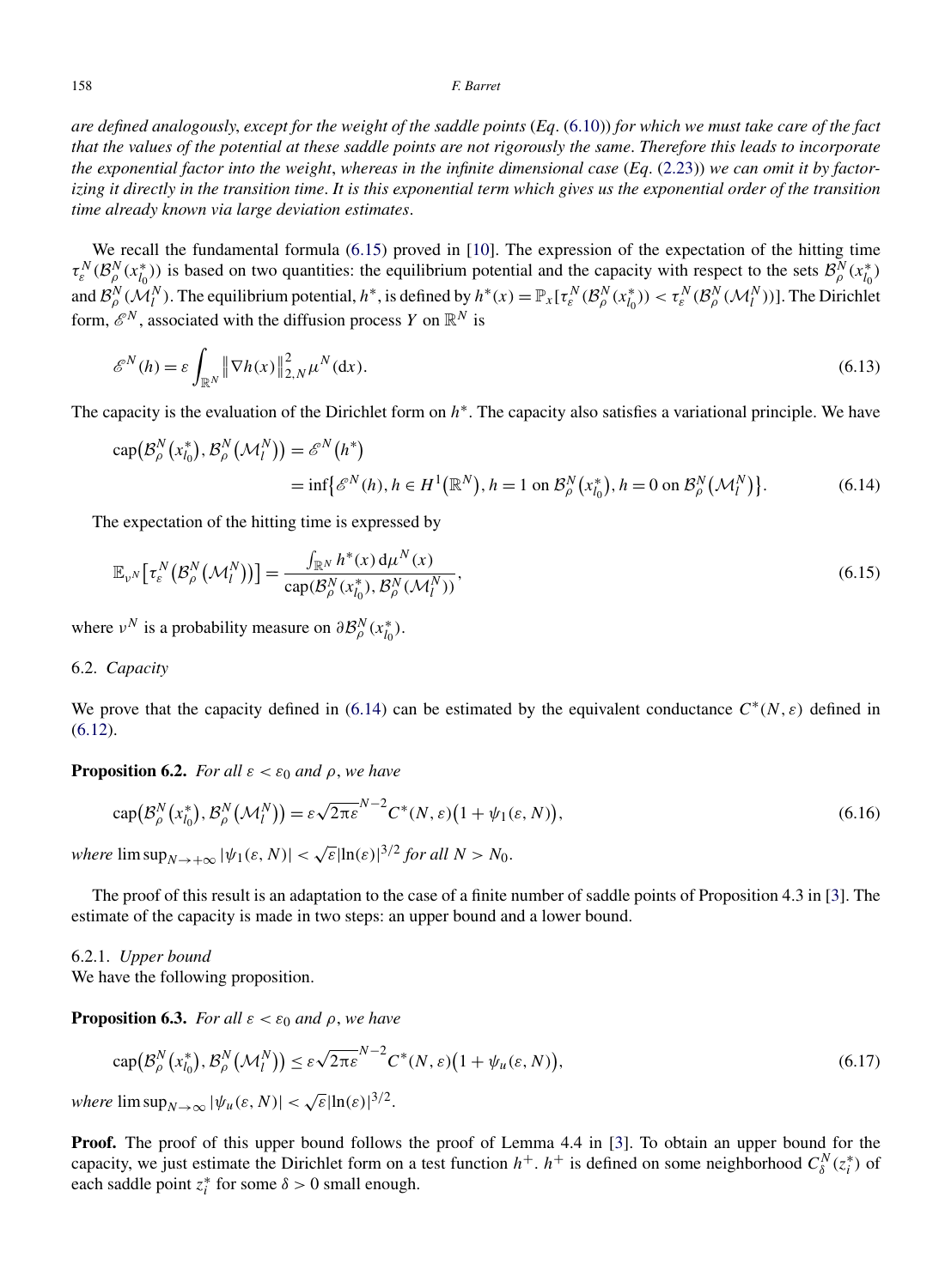<span id="page-29-0"></span>*are defined analogously*, *except for the weight of the saddle points* (*Eq*. [\(6.10\)](#page-28-0)) *for which we must take care of the fact that the values of the potential at these saddle points are not rigorously the same*. *Therefore this leads to incorporate the exponential factor into the weight*, *whereas in the infinite dimensional case* (*Eq*. [\(2.23\)](#page-7-0)) *we can omit it by factorizing it directly in the transition time*. *It is this exponential term which gives us the exponential order of the transition time already known via large deviation estimates*.

We recall the fundamental formula (6.15) proved in [\[10\]](#page-36-0). The expression of the expectation of the hitting time  $\tau_{\varepsilon}^N(\mathcal{B}_{\rho}^N(x_{l_0}^*))$  is based on two quantities: the equilibrium potential and the capacity with respect to the sets  $\mathcal{B}_{\rho}^N(x_{l_0}^*)$ and  $\mathcal{B}_{\rho}^N(\mathcal{M}_l^N)$ . The equilibrium potential,  $h^*$ , is defined by  $h^*(x) = \mathbb{P}_x[\tau_\varepsilon^N(\mathcal{B}_{\rho}^N(x_{l_0}^*)) < \tau_\varepsilon^N(\mathcal{B}_{\rho}^N(\mathcal{M}_l^N))]$ . The Dirichlet form,  $\mathcal{E}^N$ , associated with the diffusion process *Y* on  $\mathbb{R}^N$  is

$$
\mathscr{E}^N(h) = \varepsilon \int_{\mathbb{R}^N} \left\| \nabla h(x) \right\|_{2,N}^2 \mu^N(\mathrm{d}x). \tag{6.13}
$$

The capacity is the evaluation of the Dirichlet form on *h*∗. The capacity also satisfies a variational principle. We have

$$
cap(\mathcal{B}_{\rho}^{N}(x_{l_{0}}^{*}), \mathcal{B}_{\rho}^{N}(\mathcal{M}_{l}^{N})) = \mathcal{E}^{N}(h^{*})
$$
  
= inf{ $\mathcal{E}^{N}(h), h \in H^{1}(\mathbb{R}^{N}), h = 1$  on  $\mathcal{B}_{\rho}^{N}(x_{l_{0}}^{*}), h = 0$  on  $\mathcal{B}_{\rho}^{N}(\mathcal{M}_{l}^{N})$ }. (6.14)

The expectation of the hitting time is expressed by

$$
\mathbb{E}_{\nu^N} \big[ \tau_{\varepsilon}^N \big( \mathcal{B}_{\rho}^N \big( \mathcal{M}_l^N \big) \big) \big] = \frac{\int_{\mathbb{R}^N} h^*(x) \, \mathrm{d} \mu^N(x)}{\operatorname{cap} \big( \mathcal{B}_{\rho}^N \big( x_{l_0}^*) , \, \mathcal{B}_{\rho}^N \big( \mathcal{M}_l^N \big) \big)},\tag{6.15}
$$

where  $v^N$  is a probability measure on  $\partial \mathcal{B}_{\rho}^N(x_{l_0}^*)$ .

# 6.2. *Capacity*

We prove that the capacity defined in (6.14) can be estimated by the equivalent conductance  $C^*(N, \varepsilon)$  defined in [\(6.12\)](#page-28-0).

**Proposition 6.2.** *For all*  $\varepsilon < \varepsilon_0$  *and*  $\rho$ *, we have* 

$$
cap(\mathcal{B}_{\rho}^{N}(x_{l_0}^*),\mathcal{B}_{\rho}^{N}(\mathcal{M}_l^{N})) = \varepsilon \sqrt{2\pi \varepsilon}^{N-2} C^*(N,\varepsilon) \big(1 + \psi_1(\varepsilon,N)\big),\tag{6.16}
$$

*where*  $\limsup_{N\to+\infty} |\psi_1(\varepsilon, N)| < \sqrt{\varepsilon}|\ln(\varepsilon)|^{3/2}$  for all  $N > N_0$ .

The proof of this result is an adaptation to the case of a finite number of saddle points of Proposition 4.3 in [\[3\]](#page-36-0). The estimate of the capacity is made in two steps: an upper bound and a lower bound.

6.2.1. *Upper bound* We have the following proposition.

**Proposition 6.3.** *For all*  $\varepsilon < \varepsilon_0$  *and*  $\rho$ *, we have* 

$$
\operatorname{cap}(\mathcal{B}_{\rho}^{N}(x_{l_{0}}^{*}), \mathcal{B}_{\rho}^{N}(\mathcal{M}_{l}^{N})) \leq \varepsilon \sqrt{2\pi \varepsilon}^{N-2} C^{*}(N, \varepsilon) \big(1 + \psi_{u}(\varepsilon, N)\big),\tag{6.17}
$$

*where*  $\limsup_{N\to\infty} |\psi_u(\varepsilon, N)| < \sqrt{\varepsilon} |\ln(\varepsilon)|^{3/2}$ .

**Proof.** The proof of this upper bound follows the proof of Lemma 4.4 in [\[3\]](#page-36-0). To obtain an upper bound for the capacity, we just estimate the Dirichlet form on a test function  $h^+$ .  $h^+$  is defined on some neighborhood  $C_{\delta}^N(z_i^*)$  of each saddle point  $z_i^*$  for some  $\delta > 0$  small enough.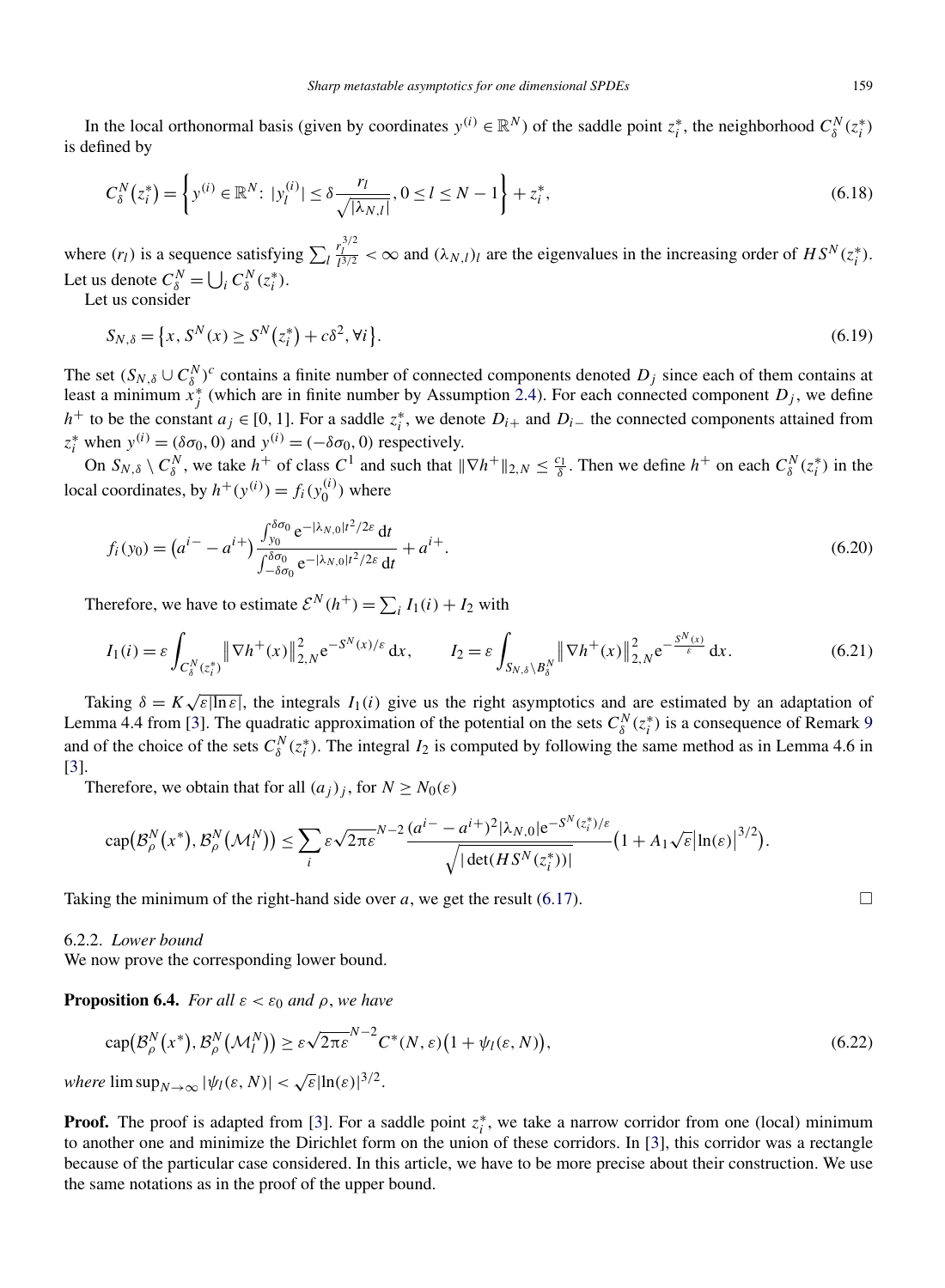<span id="page-30-0"></span>In the local orthonormal basis (given by coordinates  $y^{(i)} \in \mathbb{R}^N$ ) of the saddle point  $z_i^*$ , the neighborhood  $C_{\delta}^N(z_i^*)$ is defined by

$$
C_{\delta}^{N}(z_{i}^{*}) = \left\{ y^{(i)} \in \mathbb{R}^{N} \colon |y_{l}^{(i)}| \le \delta \frac{r_{l}}{\sqrt{|\lambda_{N,l}|}}, 0 \le l \le N - 1 \right\} + z_{i}^{*},
$$
\n(6.18)

where  $(r_l)$  is a sequence satisfying  $\sum_l$  $r_l^{3/2} < \infty$  and  $(\lambda_{N,l})_l$  are the eigenvalues in the increasing order of  $HS^N(z_i^*)$ . Let us denote  $C_{\delta}^N = \bigcup_i C_{\delta}^N(z_i^*)$ .

Let us consider

$$
S_{N,\delta} = \{x, S^N(x) \ge S^N(z_i^*) + c\delta^2, \forall i\}.
$$
\n(6.19)

The set  $(S_{N,\delta} \cup C_{\delta}^N)^c$  contains a finite number of connected components denoted  $D_j$  since each of them contains at least a minimum  $x_j^*$  (which are in finite number by Assumption [2.4\)](#page-5-0). For each connected component  $D_j$ , we define *h*<sup>+</sup> to be the constant *a<sub>j</sub>* ∈ [0, 1]. For a saddle  $z_i^*$ , we denote  $D_{i+}$  and  $D_{i-}$  the connected components attained from  $z_i^*$  when  $y^{(i)} = (\delta \sigma_0, 0)$  and  $y^{(i)} = (-\delta \sigma_0, 0)$  respectively.

On  $S_{N,\delta} \setminus C_{\delta}^N$ , we take  $h^+$  of class  $C^1$  and such that  $\|\nabla h^+\|_{2,N} \leq \frac{c_1}{\delta}$ . Then we define  $h^+$  on each  $C_{\delta}^N(z_i^*)$  in the local coordinates, by  $h^+(y^{(i)}) = f_i(y_0^{(i)})$  where

$$
f_i(y_0) = (a^{i-} - a^{i+}) \frac{\int_{y_0}^{\delta \sigma_0} e^{-|\lambda_{N,0}|t^2/2\varepsilon} dt}{\int_{-\delta \sigma_0}^{\delta \sigma_0} e^{-|\lambda_{N,0}|t^2/2\varepsilon} dt} + a^{i+}.
$$
\n(6.20)

Therefore, we have to estimate  $\mathcal{E}^{N}(h^{+}) = \sum_{i} I_{1}(i) + I_{2}$  with

$$
I_1(i) = \varepsilon \int_{C_\delta^N(z_i^*)} \|\nabla h^+(x)\|_{2,N}^2 e^{-S^N(x)/\varepsilon} dx, \qquad I_2 = \varepsilon \int_{S_{N,\delta}\setminus B_\delta^N} \|\nabla h^+(x)\|_{2,N}^2 e^{-\frac{S^N(x)}{\varepsilon}} dx.
$$
 (6.21)

Taking  $\delta = K \sqrt{\varepsilon |\ln \varepsilon|}$ , the integrals  $I_1(i)$  give us the right asymptotics and are estimated by an adaptation of Lemma 4.4 from [\[3\]](#page-36-0). The quadratic approximation of the potential on the sets  $C_{\delta}^{N}(z_i^*)$  is a consequence of Remark [9](#page-28-0) and of the choice of the sets  $C_{\delta}^{N}(z_i^*)$ . The integral  $I_2$  is computed by following the same method as in Lemma 4.6 in [\[3\]](#page-36-0).

Therefore, we obtain that for all  $(a_i)_i$ , for  $N \geq N_0(\varepsilon)$ 

$$
\operatorname{cap}(\mathcal{B}_{\rho}^{N}(x^*),\mathcal{B}_{\rho}^{N}(\mathcal{M}_{l}^{N}))\leq \sum_{i}\varepsilon\sqrt{2\pi\varepsilon}^{N-2}\frac{(a^{i}-a^{i}+)^{2}|\lambda_{N,0}|e^{-S^{N}(z_{i}^{*})/\varepsilon}}{\sqrt{|\det(HS^{N}(z_{i}^{*}))|}}\big(1+\Lambda_{1}\sqrt{\varepsilon}\big|\ln(\varepsilon)\big|^{3/2}\big).
$$

Taking the minimum of the right-hand side over  $a$ , we get the result [\(6.17\)](#page-29-0).

# 6.2.2. *Lower bound*

We now prove the corresponding lower bound.

**Proposition 6.4.** *For all*  $\varepsilon < \varepsilon_0$  *and*  $\rho$ *, we have* 

$$
\operatorname{cap}(\mathcal{B}_{\rho}^{N}(x^{*}), \mathcal{B}_{\rho}^{N}(\mathcal{M}_{l}^{N})) \geq \varepsilon \sqrt{2\pi \varepsilon}^{N-2} C^{*}(N, \varepsilon) \big(1 + \psi_{l}(\varepsilon, N)\big),\tag{6.22}
$$

*where*  $\limsup_{N\to\infty} |\psi_l(\varepsilon, N)| < \sqrt{\varepsilon} |\ln(\varepsilon)|^{3/2}$ .

**Proof.** The proof is adapted from [\[3\]](#page-36-0). For a saddle point  $z_i^*$ , we take a narrow corridor from one (local) minimum to another one and minimize the Dirichlet form on the union of these corridors. In [\[3\]](#page-36-0), this corridor was a rectangle because of the particular case considered. In this article, we have to be more precise about their construction. We use the same notations as in the proof of the upper bound.

$$
\Box
$$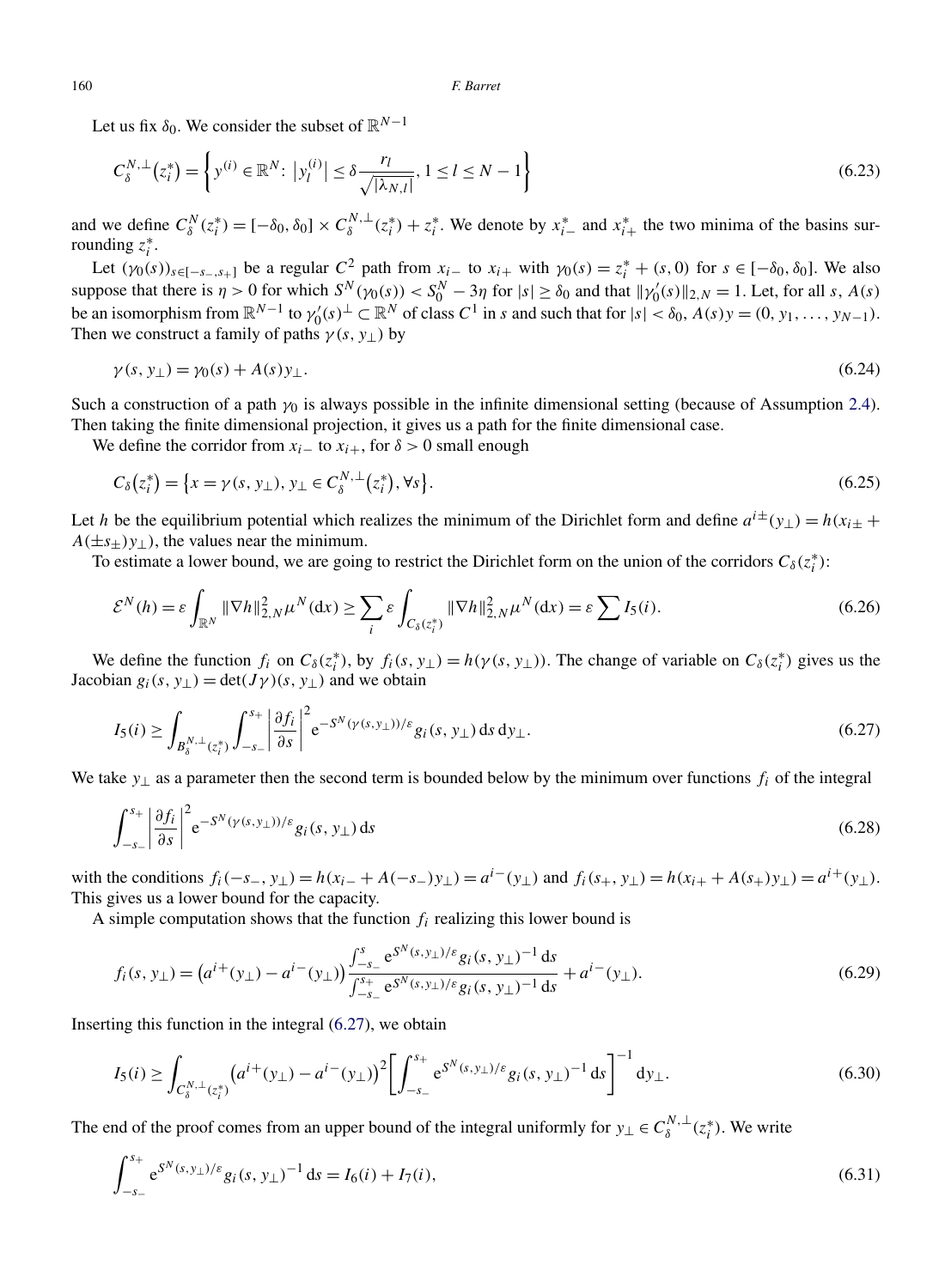Let us fix  $\delta_0$ . We consider the subset of  $\mathbb{R}^{N-1}$ 

$$
C_{\delta}^{N,\perp}(z_i^*) = \left\{ y^{(i)} \in \mathbb{R}^N \colon \left| y_l^{(i)} \right| \le \delta \frac{r_l}{\sqrt{|\lambda_{N,l}|}}, 1 \le l \le N-1 \right\}
$$
\n(6.23)

and we define  $C_{\delta}^{N}(z_i^*) = [-\delta_0, \delta_0] \times C_{\delta}^{N, \perp}(z_i^*) + z_i^*$ . We denote by  $x_{i-}^*$  and  $x_{i+}^*$  the two minima of the basins surrounding  $z_i^*$ .

Let  $(\gamma_0(s))_{s \in [-s_-, s_+]}$  be a regular  $C^2$  path from  $x_i$ <sub>−</sub> to  $x_i$ <sub>+</sub> with  $\gamma_0(s) = z_i^* + (s, 0)$  for  $s \in [-\delta_0, \delta_0]$ . We also suppose that there is  $\eta > 0$  for which  $S^N(\gamma_0(s)) < S_0^N - 3\eta$  for  $|s| \ge \delta_0$  and that  $\|\gamma'_0(s)\|_{2,N} = 1$ . Let, for all *s*,  $A(s)$ be an isomorphism from  $\mathbb{R}^{N-1}$  to  $\gamma_0'(s)^\perp \subset \mathbb{R}^N$  of class  $C^1$  in *s* and such that for  $|s| < \delta_0$ ,  $A(s)y = (0, y_1, \ldots, y_{N-1})$ . Then we construct a family of paths  $\gamma(s, y_1)$  by

$$
\gamma(s, y_{\perp}) = \gamma_0(s) + A(s)y_{\perp}.
$$
\n(6.24)

Such a construction of a path *γ*<sup>0</sup> is always possible in the infinite dimensional setting (because of Assumption [2.4\)](#page-5-0). Then taking the finite dimensional projection, it gives us a path for the finite dimensional case.

We define the corridor from  $x_i$ <sub>−</sub> to  $x_{i+}$ , for  $\delta > 0$  small enough

$$
C_{\delta}(z_i^*) = \{x = \gamma(s, y_{\perp}), y_{\perp} \in C_{\delta}^{N, \perp}(z_i^*), \forall s\}.
$$
\n(6.25)

Let *h* be the equilibrium potential which realizes the minimum of the Dirichlet form and define  $a^{i\pm}(y_{\perp}) = h(x_{i\pm} + y_{i\pm})$  $A(\pm s_+)$  *y*<sub>⊥</sub> ), the values near the minimum.

To estimate a lower bound, we are going to restrict the Dirichlet form on the union of the corridors  $C_{\delta}(z_i^*)$ :

$$
\mathcal{E}^N(h) = \varepsilon \int_{\mathbb{R}^N} \|\nabla h\|_{2,N}^2 \mu^N(\mathrm{d}x) \ge \sum_i \varepsilon \int_{C_\delta(z_i^*)} \|\nabla h\|_{2,N}^2 \mu^N(\mathrm{d}x) = \varepsilon \sum I_5(i). \tag{6.26}
$$

We define the function  $f_i$  on  $C_\delta(z_i^*)$ , by  $f_i(s, y_\perp) = h(\gamma(s, y_\perp))$ . The change of variable on  $C_\delta(z_i^*)$  gives us the Jacobian  $g_i(s, y_\perp) = \det(J\gamma)(s, y_\perp)$  and we obtain

$$
I_5(i) \ge \int_{B_\delta^{N,\perp}(z_i^*)} \int_{-s_-}^{s_+} \left| \frac{\partial f_i}{\partial s} \right|^2 e^{-S^N(\gamma(s,y_\perp))/\varepsilon} g_i(s, y_\perp) \, \mathrm{d} s \, \mathrm{d} y_\perp. \tag{6.27}
$$

We take *y*<sup>⊥</sup> as a parameter then the second term is bounded below by the minimum over functions *fi* of the integral

$$
\int_{-s_-}^{s_+} \left| \frac{\partial f_i}{\partial s} \right|^2 e^{-S^N(\gamma(s, y_\perp))/\varepsilon} g_i(s, y_\perp) \, \mathrm{d}s \tag{6.28}
$$

with the conditions  $f_i(-s_-, y_\perp) = h(x_i + A(-s_-)y_\perp) = a^{i-}(y_\perp)$  and  $f_i(s_+, y_\perp) = h(x_{i+} + A(s_+)y_\perp) = a^{i+}(y_\perp)$ . This gives us a lower bound for the capacity.

A simple computation shows that the function  $f_i$  realizing this lower bound is

$$
f_i(s, y_\perp) = \left(a^{i+}(y_\perp) - a^{i-}(y_\perp)\right) \frac{\int_{-s_-}^s e^{S^N(s, y_\perp)/\varepsilon} g_i(s, y_\perp)^{-1} ds}{\int_{-s_-}^{s_+} e^{S^N(s, y_\perp)/\varepsilon} g_i(s, y_\perp)^{-1} ds} + a^{i-}(y_\perp).
$$
\n(6.29)

Inserting this function in the integral (6.27), we obtain

$$
I_5(i) \ge \int_{C_\delta^{N,\perp}(z_i^*)} \left( a^{i+}(y_\perp) - a^{i-}(y_\perp) \right)^2 \left[ \int_{-s_-}^{s_+} e^{S^N(s,y_\perp)/\varepsilon} g_i(s,y_\perp)^{-1} ds \right]^{-1} dy_\perp.
$$
 (6.30)

The end of the proof comes from an upper bound of the integral uniformly for  $y_\perp \in C^{N,\perp}_\delta(z_i^*)$ . We write

$$
\int_{-s_-}^{s_+} e^{S^N(s,y_\perp)/\varepsilon} g_i(s,y_\perp)^{-1} ds = I_6(i) + I_7(i),\tag{6.31}
$$

<span id="page-31-0"></span>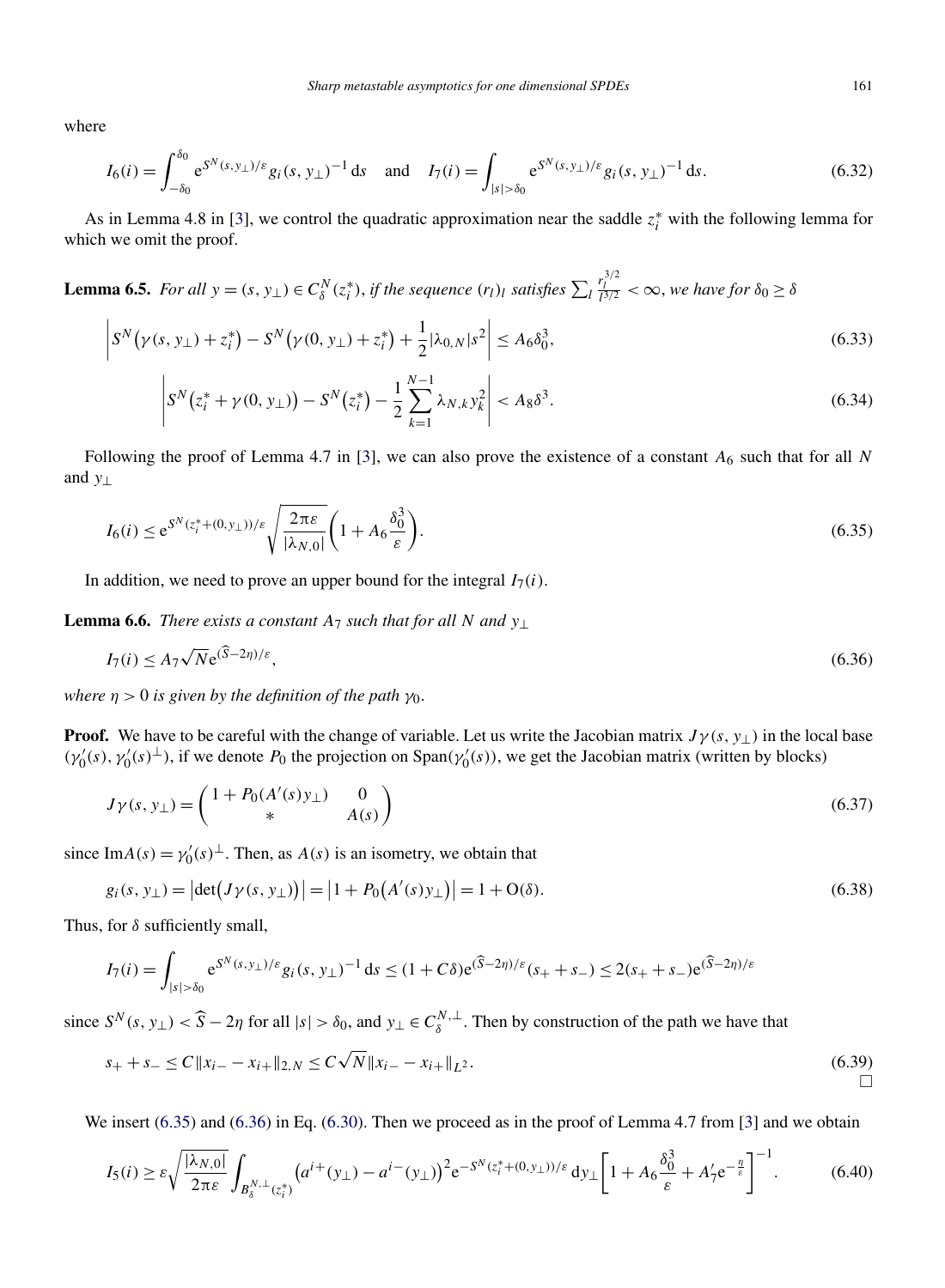<span id="page-32-0"></span>where

$$
I_6(i) = \int_{-\delta_0}^{\delta_0} e^{S^N(s, y_\perp)/\varepsilon} g_i(s, y_\perp)^{-1} ds \quad \text{and} \quad I_7(i) = \int_{|s| > \delta_0} e^{S^N(s, y_\perp)/\varepsilon} g_i(s, y_\perp)^{-1} ds. \tag{6.32}
$$

As in Lemma 4.8 in [\[3\]](#page-36-0), we control the quadratic approximation near the saddle  $z_i^*$  with the following lemma for which we omit the proof.

**Lemma 6.5.** For all 
$$
y = (s, y_\perp) \in C^N_\delta(z_i^*)
$$
, if the sequence  $(r_l)_l$  satisfies  $\sum_l \frac{r_l^{3/2}}{l^{3/2}} < \infty$ , we have for  $\delta_0 \ge \delta$ 

$$
\left| S^{N}(\gamma(s, y_{\perp}) + z_{i}^{*}) - S^{N}(\gamma(0, y_{\perp}) + z_{i}^{*}) + \frac{1}{2} |\lambda_{0, N}| s^{2} \right| \le A_{6} \delta_{0}^{3}, \tag{6.33}
$$

$$
\left| S^{N}(z_{i}^{*} + \gamma(0, y_{\perp})) - S^{N}(z_{i}^{*}) - \frac{1}{2} \sum_{k=1}^{N-1} \lambda_{N,k} y_{k}^{2} \right| < A_{8} \delta^{3}.\tag{6.34}
$$

Following the proof of Lemma 4.7 in [\[3\]](#page-36-0), we can also prove the existence of a constant  $A_6$  such that for all  $N$ and *y*⊥

$$
I_6(i) \le e^{S^N(z_i^* + (0, y_\perp))/\varepsilon} \sqrt{\frac{2\pi\varepsilon}{|\lambda_{N,0}|}} \left(1 + A_6 \frac{\delta_0^3}{\varepsilon}\right).
$$
\n(6.35)

In addition, we need to prove an upper bound for the integral  $I_7(i)$ .

**Lemma 6.6.** *There exists a constant*  $A_7$  *such that for all*  $N$  *and*  $y_{\perp}$ 

$$
I_7(i) \le A_7 \sqrt{N} e^{(\widehat{S} - 2\eta)/\varepsilon},\tag{6.36}
$$

*where*  $\eta > 0$  *is given by the definition of the path*  $\gamma_0$ *.* 

**Proof.** We have to be careful with the change of variable. Let us write the Jacobian matrix  $J\gamma(s, y_\perp)$  in the local base  $(\gamma_0'(s), \gamma_0'(s)^{\perp})$ , if we denote  $P_0$  the projection on Span $(\gamma_0'(s))$ , we get the Jacobian matrix (written by blocks)

$$
J\gamma(s, y_\perp) = \begin{pmatrix} 1 + P_0(A'(s)y_\perp) & 0\\ * & A(s) \end{pmatrix}
$$
\n(6.37)

since Im $A(s) = \gamma_0'(s)^\perp$ . Then, as  $A(s)$  is an isometry, we obtain that

$$
g_i(s, y_\perp) = |\det(J\gamma(s, y_\perp))| = |1 + P_0(A'(s)y_\perp)| = 1 + O(\delta).
$$
\n(6.38)

Thus, for *δ* sufficiently small,

$$
I_7(i) = \int_{|s| > \delta_0} e^{S^N(s, y_\perp)/\varepsilon} g_i(s, y_\perp)^{-1} ds \le (1 + C\delta) e^{(\widehat{S} - 2\eta)/\varepsilon} (s_+ + s_-) \le 2(s_+ + s_-) e^{(\widehat{S} - 2\eta)/\varepsilon}
$$

since  $S^N(s, y_\perp) < \widehat{S} - 2\eta$  for all  $|s| > \delta_0$ , and  $y_\perp \in C^{N, \perp}_{\delta}$ . Then by construction of the path we have that

$$
s_{+} + s_{-} \le C \|x_{i-} - x_{i+}\|_{2,N} \le C\sqrt{N} \|x_{i-} - x_{i+}\|_{L^{2}}.
$$
\n
$$
\Box
$$
\n(6.39)

We insert (6.35) and (6.36) in Eq. [\(6.30\)](#page-31-0). Then we proceed as in the proof of Lemma 4.7 from [\[3\]](#page-36-0) and we obtain

$$
I_5(i) \ge \varepsilon \sqrt{\frac{|\lambda_{N,0}|}{2\pi\varepsilon}} \int_{B_\delta^{N,\perp}(z_i^*)} \left( a^{i+}(y_\perp) - a^{i-}(y_\perp) \right)^2 e^{-S^N(z_i^* + (0,y_\perp))/\varepsilon} \, dy_\perp \left[ 1 + A_6 \frac{\delta_0^3}{\varepsilon} + A_7' e^{-\frac{\eta}{\varepsilon}} \right]^{-1} . \tag{6.40}
$$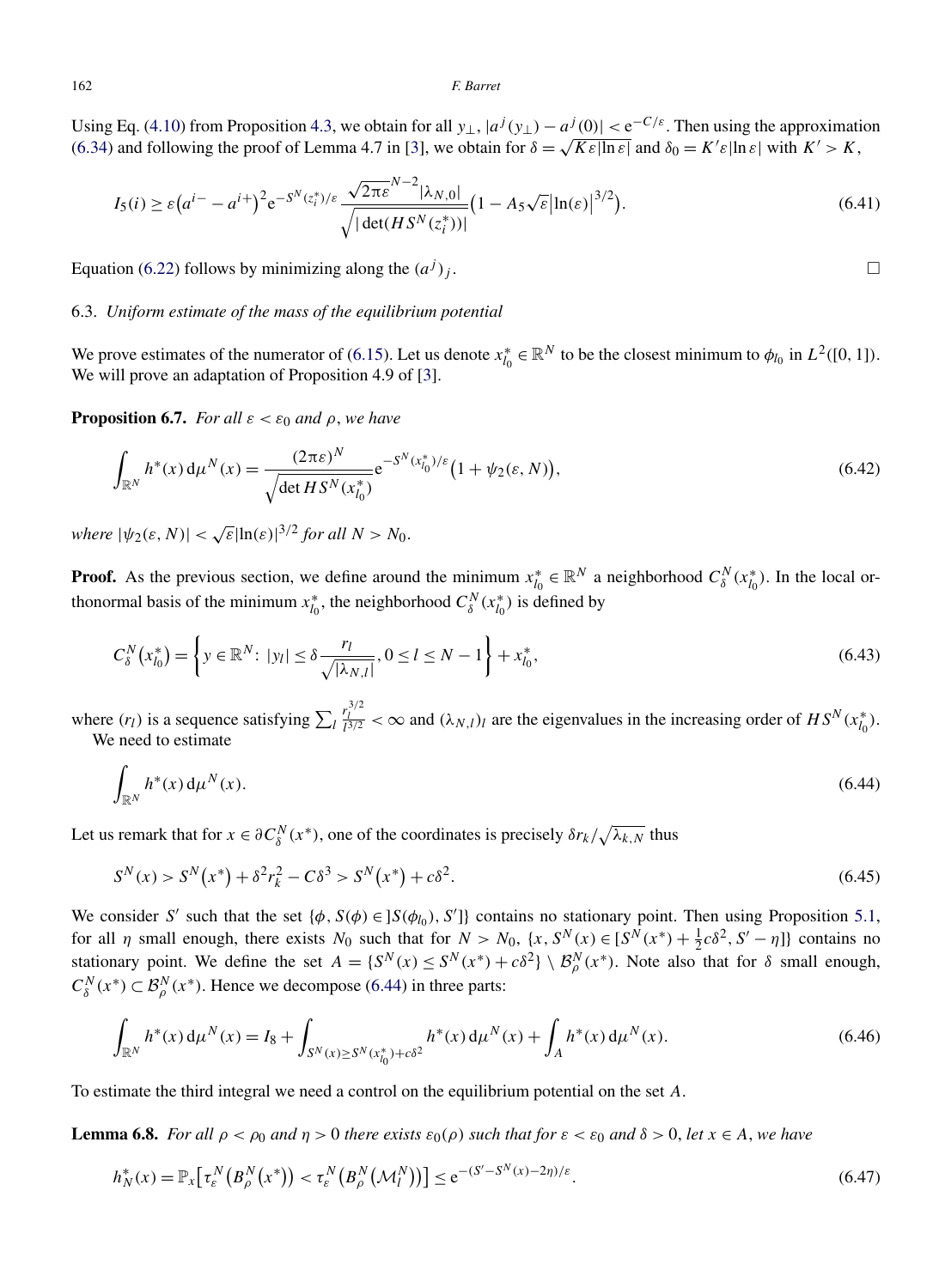<span id="page-33-0"></span>Using Eq. [\(4.10\)](#page-20-0) from Proposition [4.3,](#page-19-0) we obtain for all  $y_{\perp}$ ,  $|a^j(y_{\perp}) - a^j(0)| < e^{-C/\varepsilon}$ . Then using the approximation [\(6.34\)](#page-32-0) and following the proof of Lemma 4.7 in [\[3\]](#page-36-0), we obtain for  $\delta = \sqrt{K \varepsilon |\ln \varepsilon|}$  and  $\delta_0 = K' \varepsilon |\ln \varepsilon|$  with  $K' > K$ ,

$$
I_5(i) \ge \varepsilon (a^{i-} - a^{i+})^2 e^{-S^N(z_i^*)/\varepsilon} \frac{\sqrt{2\pi \varepsilon}^{N-2} |\lambda_{N,0}|}{\sqrt{|\det(HS^N(z_i^*))|}} \left(1 - A_5 \sqrt{\varepsilon} |\ln(\varepsilon)|^{3/2}\right).
$$
 (6.41)

Equation [\(6.22\)](#page-30-0) follows by minimizing along the  $(a<sup>j</sup>)<sub>j</sub>$ .

# 6.3. *Uniform estimate of the mass of the equilibrium potential*

We prove estimates of the numerator of [\(6.15\)](#page-29-0). Let us denote  $x_{l_0}^* \in \mathbb{R}^N$  to be the closest minimum to  $\phi_{l_0}$  in  $L^2([0, 1])$ . We will prove an adaptation of Proposition 4.9 of [\[3\]](#page-36-0).

**Proposition 6.7.** *For all*  $\varepsilon < \varepsilon_0$  *and*  $\rho$ *, we have* 

$$
\int_{\mathbb{R}^N} h^*(x) d\mu^N(x) = \frac{(2\pi\varepsilon)^N}{\sqrt{\det H S^N(x_{l_0}^*)}} e^{-S^N(x_{l_0}^*)/\varepsilon} \left(1 + \psi_2(\varepsilon, N)\right),\tag{6.42}
$$

*where*  $|\psi_2(\varepsilon, N)| < \sqrt{\varepsilon}|\ln(\varepsilon)|^{3/2}$  *for all*  $N > N_0$ .

**Proof.** As the previous section, we define around the minimum  $x_{l_0}^* \in \mathbb{R}^N$  a neighborhood  $C_{\delta}^N(x_{l_0}^*)$ . In the local orthonormal basis of the minimum  $x_{l_0}^*$ , the neighborhood  $C_\delta^N(x_{l_0}^*)$  is defined by

$$
C_{\delta}^{N}(x_{l_0}^{*}) = \left\{ y \in \mathbb{R}^{N} \colon |y_{l}| \leq \delta \frac{r_{l}}{\sqrt{|\lambda_{N,l}|}}, 0 \leq l \leq N-1 \right\} + x_{l_0}^{*},\tag{6.43}
$$

where  $(r_l)$  is a sequence satisfying  $\sum_l$  $r_1^{3/2}$  < ∞ and  $(\lambda_{N,l})_l$  are the eigenvalues in the increasing order of  $HS^N(x_{l_0}^*)$ . We need to estimate

$$
\int_{\mathbb{R}^N} h^*(x) \, \mathrm{d}\mu^N(x). \tag{6.44}
$$

Let us remark that for  $x \in \partial C_\delta^N(x^*)$ , one of the coordinates is precisely  $\delta r_k / \sqrt{\lambda_{k,N}}$  thus

$$
S^{N}(x) > S^{N}(x^{*}) + \delta^{2} r_{k}^{2} - C \delta^{3} > S^{N}(x^{*}) + c \delta^{2}.
$$
\n(6.45)

We consider *S'* such that the set  $\{\phi, S(\phi) \in ]S(\phi_{l_0}), S']\}$  contains no stationary point. Then using Proposition [5.1,](#page-21-0) for all *η* small enough, there exists  $N_0$  such that for  $N > N_0$ ,  $\{x, S^N(x) \in [S^N(x^*) + \frac{1}{2}c\delta^2, S' - \eta\}$  contains no stationary point. We define the set  $A = \{S^N(x) \le S^N(x^*) + c\delta^2\} \setminus \mathcal{B}_{\rho}^N(x^*)$ . Note also that for  $\delta$  small enough,  $C_{\delta}^{N}(x^*) \subset \mathcal{B}_{\rho}^{N}(x^*)$ . Hence we decompose (6.44) in three parts:

$$
\int_{\mathbb{R}^N} h^*(x) d\mu^N(x) = I_8 + \int_{S^N(x) \ge S^N(x_{i_0}^*) + c\delta^2} h^*(x) d\mu^N(x) + \int_A h^*(x) d\mu^N(x).
$$
\n(6.46)

To estimate the third integral we need a control on the equilibrium potential on the set *A*.

**Lemma 6.8.** *For all*  $\rho < \rho_0$  *and*  $\eta > 0$  *there exists*  $\varepsilon_0(\rho)$  *such that for*  $\varepsilon < \varepsilon_0$  *and*  $\delta > 0$ , *let*  $x \in A$ , *we have* 

$$
h_N^*(x) = \mathbb{P}_x \big[ \tau_s^N \big( B_{\rho}^N \big( x^* \big) \big) < \tau_s^N \big( B_{\rho}^N \big( \mathcal{M}_l^N \big) \big) \big] \le e^{-(S' - S^N(x) - 2\eta)/\varepsilon} . \tag{6.47}
$$

 $\Box$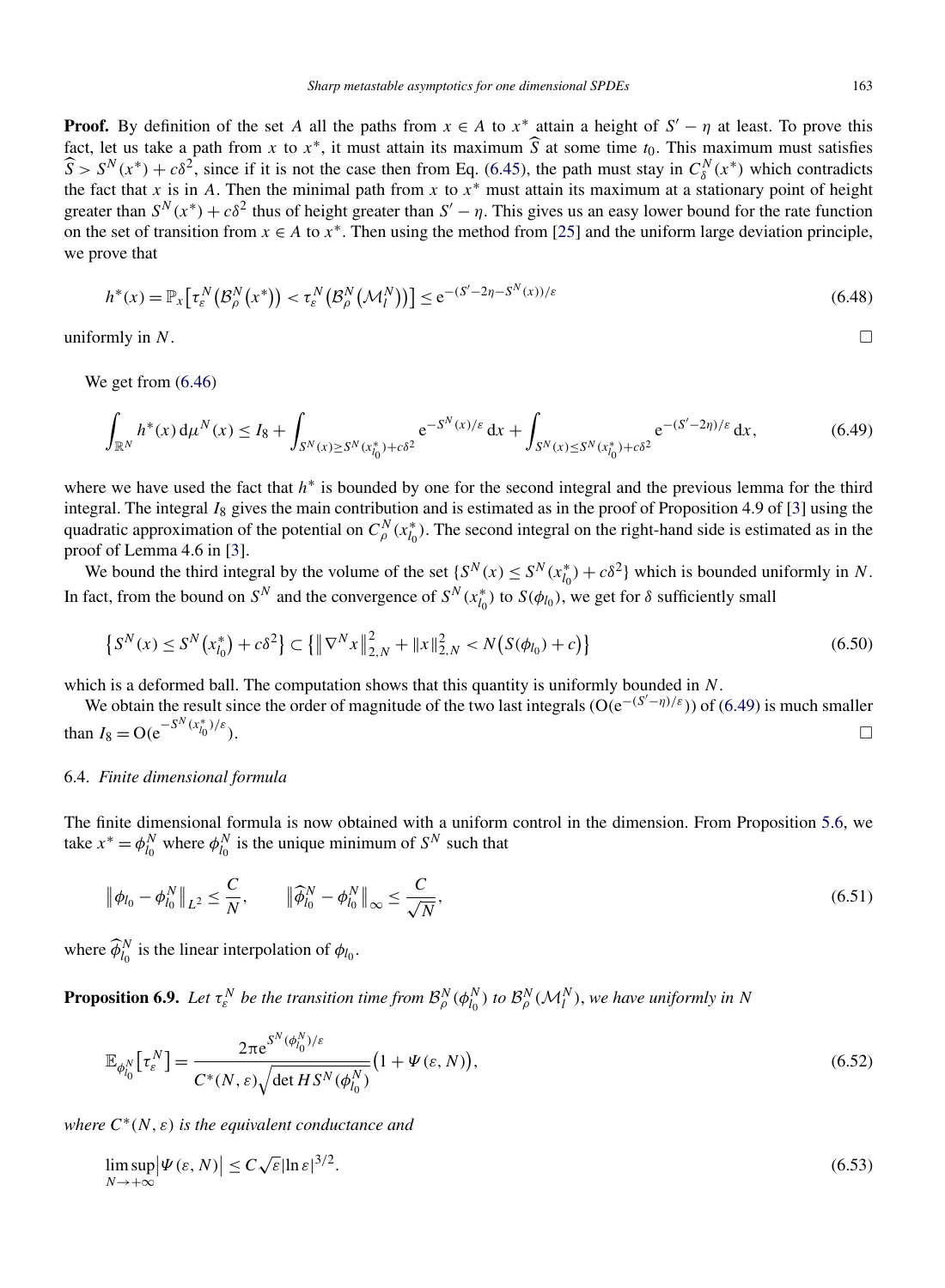<span id="page-34-0"></span>**Proof.** By definition of the set *A* all the paths from  $x \in A$  to  $x^*$  attain a height of  $S' - \eta$  at least. To prove this fact, let us take a path from *x* to  $x^*$ , it must attain its maximum  $\hat{S}$  at some time  $t_0$ . This maximum must satisfies  $\hat{S} > S^N(x^*) + c\delta^2$ , since if it is not the case then from Eq. [\(6.45\)](#page-33-0), the path must stay in  $C^N_\delta(x^*)$  which contradicts the fact that *x* is in *A*. Then the minimal path from *x* to  $x^*$  must attain its maximum at a stationary point of height greater than  $S^N(x^*) + c\delta^2$  thus of height greater than  $S' - \eta$ . This gives us an easy lower bound for the rate function on the set of transition from  $x \in A$  to  $x^*$ . Then using the method from [\[25\]](#page-36-0) and the uniform large deviation principle, we prove that

$$
h^*(x) = \mathbb{P}_x\big[\tau_\varepsilon^N\big(\mathcal{B}_\rho^N\big(x^*\big)\big) < \tau_\varepsilon^N\big(\mathcal{B}_\rho^N\big(\mathcal{M}_l^N\big)\big)\big] \le e^{-(S'-2\eta - S^N(x))/\varepsilon} \tag{6.48}
$$

uniformly in  $N$ .

We get from [\(6.46\)](#page-33-0)

$$
\int_{\mathbb{R}^N} h^*(x) \, d\mu^N(x) \le I_8 + \int_{S^N(x) \ge S^N(x_{i_0}^*) + c\delta^2} e^{-S^N(x)/\varepsilon} \, dx + \int_{S^N(x) \le S^N(x_{i_0}^*) + c\delta^2} e^{-(S'-2\eta)/\varepsilon} \, dx,\tag{6.49}
$$

where we have used the fact that *h*<sup>∗</sup> is bounded by one for the second integral and the previous lemma for the third integral. The integral *I*<sub>8</sub> gives the main contribution and is estimated as in the proof of Proposition 4.9 of [\[3\]](#page-36-0) using the quadratic approximation of the potential on  $C_{\rho}^{N}(x_{l_0}^*)$ . The second integral on the right-hand side is estimated as in the proof of Lemma 4.6 in [\[3\]](#page-36-0).

We bound the third integral by the volume of the set  ${S^N(x) \le S^N(x_{l_0}^*) + c\delta^2}$  which is bounded uniformly in *N*. In fact, from the bound on  $S^N$  and the convergence of  $S^N(x_{l_0}^*)$  to  $S(\phi_{l_0})$ , we get for  $\delta$  sufficiently small

$$
\left\{S^{N}(x) \leq S^{N}\left(x_{l_{0}}^{*}\right) + c\delta^{2}\right\} \subset \left\{\left\|\nabla^{N}x\right\|_{2,N}^{2} + \left\|x\right\|_{2,N}^{2} < N\left(S(\phi_{l_{0}}) + c\right)\right\} \tag{6.50}
$$

which is a deformed ball. The computation shows that this quantity is uniformly bounded in *N*.

We obtain the result since the order of magnitude of the two last integrals (O*(*e−*(S* <sup>−</sup>*η)/ε)*) of (6.49) is much smaller than  $I_8 = O(e^{-S^N(x_{l_0}^*)})$ *)/ε)*. -

# 6.4. *Finite dimensional formula*

The finite dimensional formula is now obtained with a uniform control in the dimension. From Proposition [5.6,](#page-25-0) we take  $x^* = \phi_{l_0}^N$  where  $\phi_{l_0}^N$  is the unique minimum of  $S^N$  such that

$$
\|\phi_{l_0} - \phi_{l_0}^N\|_{L^2} \le \frac{C}{N}, \qquad \|\widehat{\phi}_{l_0}^N - \phi_{l_0}^N\|_{\infty} \le \frac{C}{\sqrt{N}},
$$
\n(6.51)

where  $\widehat{\phi}_{l_0}^N$  is the linear interpolation of  $\phi_{l_0}$ .

**Proposition 6.9.** Let  $\tau_{\varepsilon}^N$  be the transition time from  $\mathcal{B}_{\rho}^N(\phi_{l_0}^N)$  to  $\mathcal{B}_{\rho}^N(\mathcal{M}_l^N)$ , we have uniformly in N

$$
\mathbb{E}_{\phi_{l_0}^N} \left[ \tau_{\varepsilon}^N \right] = \frac{2\pi e^{S^N(\phi_{l_0}^N)/\varepsilon}}{C^*(N,\varepsilon)\sqrt{\det HS^N(\phi_{l_0}^N)}} \left( 1 + \Psi(\varepsilon, N) \right),\tag{6.52}
$$

*where*  $C^*(N, \varepsilon)$  *is the equivalent conductance and* 

$$
\limsup_{N \to +\infty} |\Psi(\varepsilon, N)| \le C \sqrt{\varepsilon} |\ln \varepsilon|^{3/2}.
$$
\n(6.53)

 $\Box$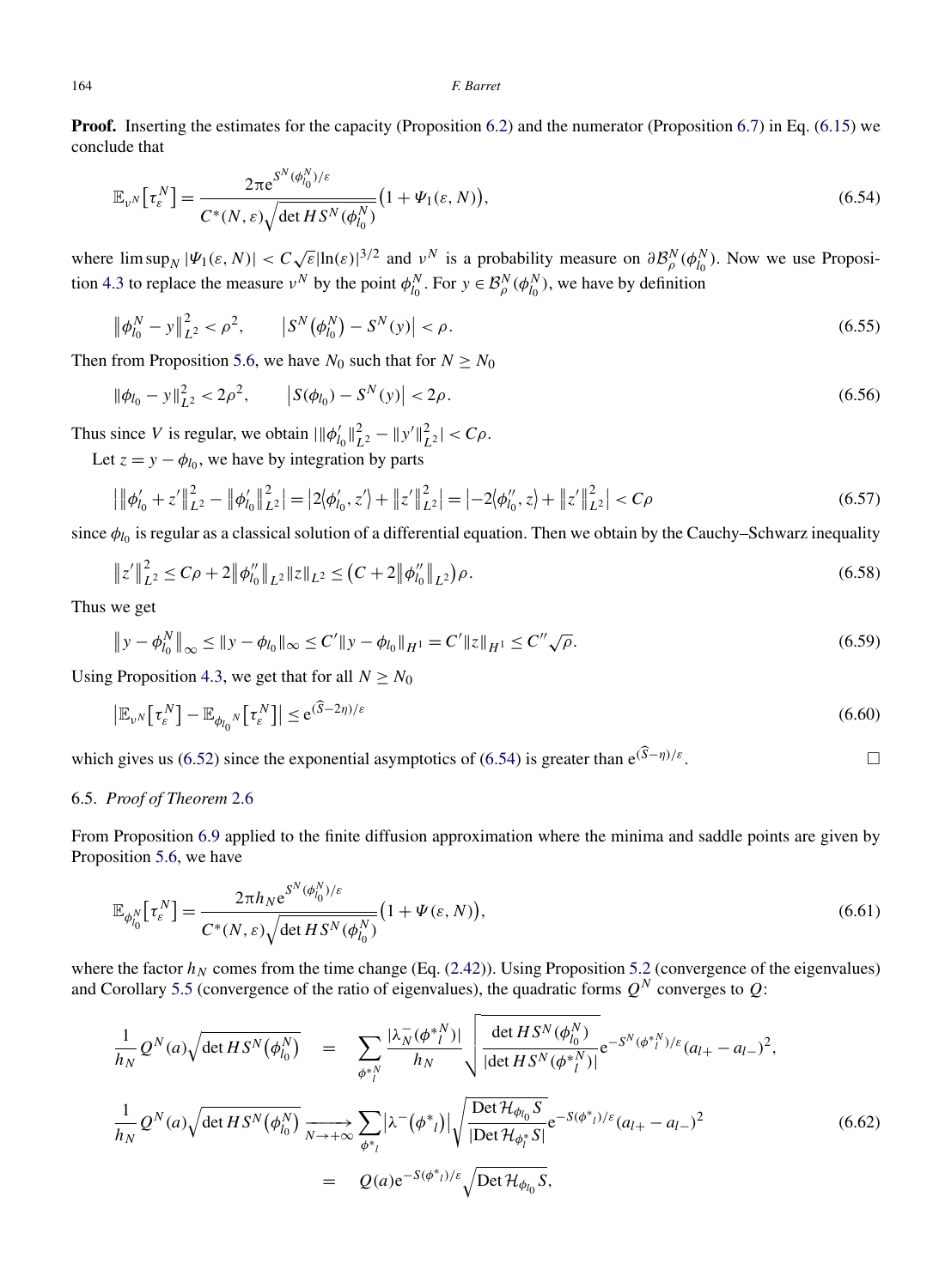**Proof.** Inserting the estimates for the capacity (Proposition [6.2\)](#page-29-0) and the numerator (Proposition [6.7\)](#page-33-0) in Eq. [\(6.15\)](#page-29-0) we conclude that

$$
\mathbb{E}_{\nu^N} \left[ \tau_{\varepsilon}^N \right] = \frac{2\pi e^{S^N(\phi_{l_0}^N)/\varepsilon}}{C^*(N,\varepsilon)\sqrt{\det HS^N(\phi_{l_0}^N)}} \big( 1 + \Psi_1(\varepsilon, N) \big),\tag{6.54}
$$

where  $\limsup_N |\Psi_1(\varepsilon, N)| < C \sqrt{\varepsilon} |\ln(\varepsilon)|^{3/2}$  and  $v^N$  is a probability measure on  $\partial \mathcal{B}_{\rho}^N(\phi_{l_0}^N)$ . Now we use Proposi-tion [4.3](#page-19-0) to replace the measure  $v^N$  by the point  $\phi_{l_0}^N$ . For  $y \in \mathcal{B}_{\rho}^N(\phi_{l_0}^N)$ , we have by definition

$$
\left\|\phi_{l_0}^N - y\right\|_{L^2}^2 < \rho^2, \qquad \left|S^N\left(\phi_{l_0}^N\right) - S^N(y)\right| < \rho. \tag{6.55}
$$

Then from Proposition [5.6,](#page-25-0) we have  $N_0$  such that for  $N \ge N_0$ 

$$
\|\phi_{l_0} - y\|_{L^2}^2 < 2\rho^2, \qquad \left| S(\phi_{l_0}) - S^N(y) \right| < 2\rho. \tag{6.56}
$$

Thus since *V* is regular, we obtain  $\|\phi'_{l_0}\|_{L^2}^2 - \|y'\|_{L^2}^2| < C\rho$ .

Let  $z = y - \phi_{l_0}$ , we have by integration by parts

$$
\left| \left\| \phi'_{l_0} + z' \right\|_{L^2}^2 - \left\| \phi'_{l_0} \right\|_{L^2}^2 \right| = \left| 2 \langle \phi'_{l_0}, z' \rangle + \left\| z' \right\|_{L^2}^2 \right| = \left| -2 \langle \phi''_{l_0}, z \rangle + \left\| z' \right\|_{L^2}^2 \right| < C\rho \tag{6.57}
$$

since  $\phi_{l_0}$  is regular as a classical solution of a differential equation. Then we obtain by the Cauchy–Schwarz inequality

$$
\|z'\|_{L^2}^2 \le C\rho + 2\|\phi_{l_0}\|_{L^2} \|z\|_{L^2} \le (C+2\|\phi_{l_0}\|_{L^2})\rho.
$$
\n(6.58)

Thus we get

$$
\|y - \phi_{l_0}^N\|_{\infty} \le \|y - \phi_{l_0}\|_{\infty} \le C' \|y - \phi_{l_0}\|_{H^1} = C' \|z\|_{H^1} \le C'' \sqrt{\rho}.
$$
\n(6.59)

Using Proposition [4.3,](#page-19-0) we get that for all  $N \geq N_0$ 

$$
\left| \mathbb{E}_{\nu^N} \left[ \tau_{\varepsilon}^N \right] - \mathbb{E}_{\phi_{l_0}^N} \left[ \tau_{\varepsilon}^N \right] \right| \le e^{(\widehat{S} - 2\eta)/\varepsilon} \tag{6.60}
$$

which gives us [\(6.52\)](#page-34-0) since the exponential asymptotics of (6.54) is greater than  $e^{(\hat{S}-\eta)/\varepsilon}$ .

# 6.5. *Proof of Theorem* [2.6](#page-8-0)

From Proposition [6.9](#page-34-0) applied to the finite diffusion approximation where the minima and saddle points are given by Proposition [5.6,](#page-25-0) we have

$$
\mathbb{E}_{\phi_{l_0}^N} \left[ \tau_{\varepsilon}^N \right] = \frac{2\pi h_N e^{S^N(\phi_{l_0}^N)/\varepsilon}}{C^*(N,\varepsilon)\sqrt{\det HS^N(\phi_{l_0}^N)}} \big( 1 + \Psi(\varepsilon, N) \big),\tag{6.61}
$$

where the factor  $h_N$  comes from the time change (Eq. [\(2.42\)](#page-11-0)). Using Proposition [5.2](#page-22-0) (convergence of the eigenvalues) and Corollary [5.5](#page-24-0) (convergence of the ratio of eigenvalues), the quadratic forms  $Q^N$  converges to  $Q$ :

$$
\frac{1}{h_N} Q^N(a) \sqrt{\det HS^N(\phi_{l_0}^N)} = \sum_{\phi^*_{l}^N} \frac{|\lambda_N^-(\phi^*_{l}^N)|}{h_N} \sqrt{\frac{\det HS^N(\phi_{l_0}^N)}{|\det HS^N(\phi^*_{l}^N)|}} e^{-S^N(\phi^*_{l}^N)/\varepsilon} (a_{l+} - a_{l-})^2},
$$
\n
$$
\frac{1}{h_N} Q^N(a) \sqrt{\det HS^N(\phi_{l_0}^N)} \xrightarrow[N \to +\infty]{N \to +\infty} \sum_{\phi^*_{l}} |\lambda^-(\phi^*_{l})| \sqrt{\frac{\det \mathcal{H}_{\phi_{l_0}} S}{|\det \mathcal{H}_{\phi_l^*} S|}} e^{-S(\phi^*_{l})/\varepsilon} (a_{l+} - a_{l-})^2}
$$
\n
$$
= Q(a) e^{-S(\phi^*_{l})/\varepsilon} \sqrt{\det \mathcal{H}_{\phi_{l_0}} S},
$$
\n(6.62)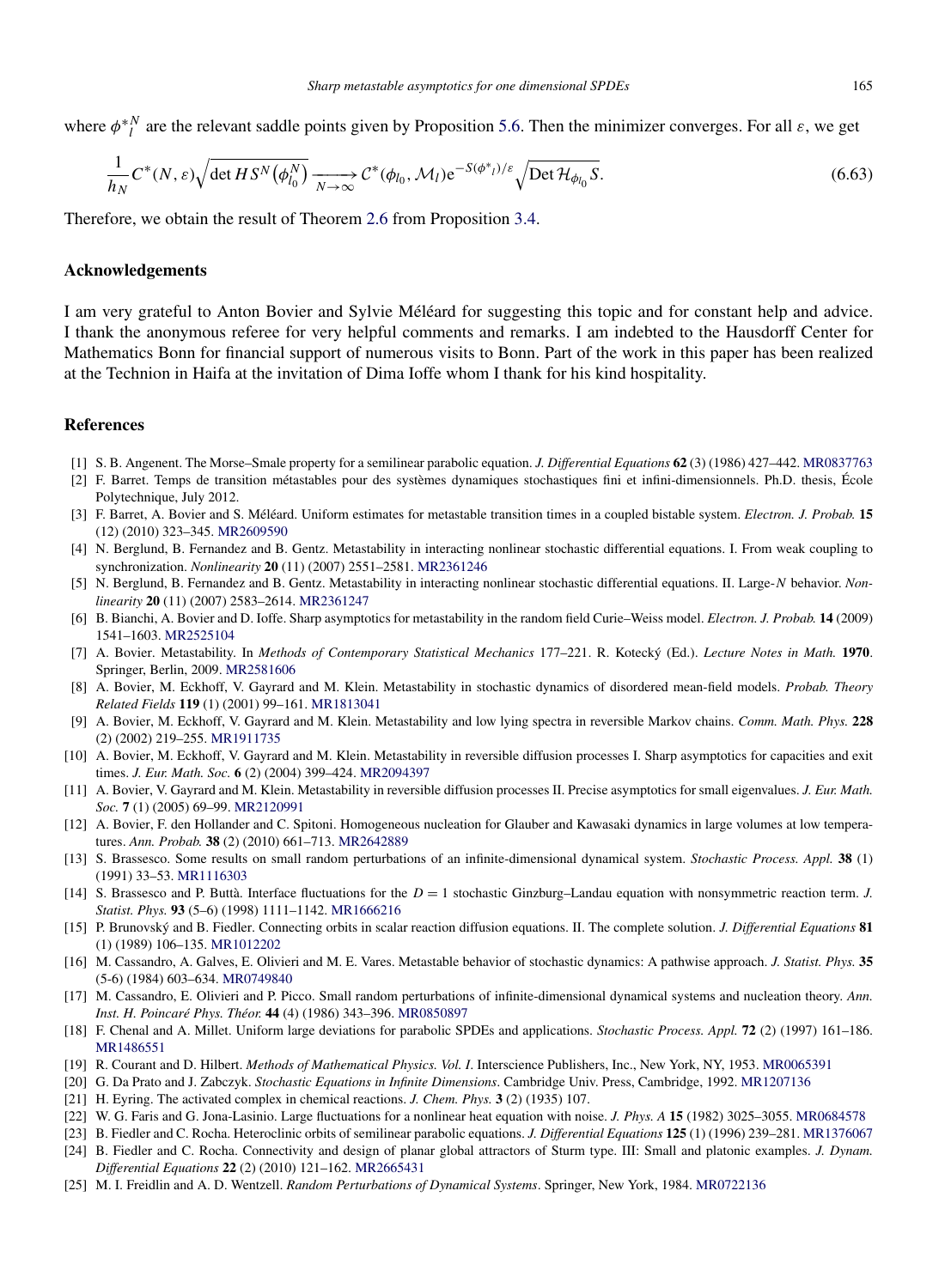<span id="page-36-0"></span>where  $\phi^*$ <sup>*N*</sup> are the relevant saddle points given by Proposition [5.6.](#page-25-0) Then the minimizer converges. For all  $\varepsilon$ , we get

$$
\frac{1}{h_N} C^*(N, \varepsilon) \sqrt{\det H S^N(\phi_{l_0}^N)} \xrightarrow[N \to \infty]{} C^*(\phi_{l_0}, \mathcal{M}_l) e^{-S(\phi_{l_0}^*)/\varepsilon} \sqrt{\det \mathcal{H}_{\phi_{l_0}} S}.
$$
\n(6.63)

Therefore, we obtain the result of Theorem [2.6](#page-8-0) from Proposition [3.4.](#page-17-0)

# **Acknowledgements**

I am very grateful to Anton Bovier and Sylvie Méléard for suggesting this topic and for constant help and advice. I thank the anonymous referee for very helpful comments and remarks. I am indebted to the Hausdorff Center for Mathematics Bonn for financial support of numerous visits to Bonn. Part of the work in this paper has been realized at the Technion in Haifa at the invitation of Dima Ioffe whom I thank for his kind hospitality.

# **References**

- [1] S. B. Angenent. The Morse–Smale property for a semilinear parabolic equation. *J. Differential Equations* **62** (3) (1986) 427–442. [MR0837763](http://www.ams.org/mathscinet-getitem?mr=0837763)
- [2] F. Barret. Temps de transition métastables pour des systèmes dynamiques stochastiques fini et infini-dimensionnels. Ph.D. thesis, École Polytechnique, July 2012.
- [3] F. Barret, A. Bovier and S. Méléard. Uniform estimates for metastable transition times in a coupled bistable system. *Electron. J. Probab.* **15** (12) (2010) 323–345. [MR2609590](http://www.ams.org/mathscinet-getitem?mr=2609590)
- [4] N. Berglund, B. Fernandez and B. Gentz. Metastability in interacting nonlinear stochastic differential equations. I. From weak coupling to synchronization. *Nonlinearity* **20** (11) (2007) 2551–2581. [MR2361246](http://www.ams.org/mathscinet-getitem?mr=2361246)
- [5] N. Berglund, B. Fernandez and B. Gentz. Metastability in interacting nonlinear stochastic differential equations. II. Large-*N* behavior. *Nonlinearity* **20** (11) (2007) 2583–2614. [MR2361247](http://www.ams.org/mathscinet-getitem?mr=2361247)
- [6] B. Bianchi, A. Bovier and D. Ioffe. Sharp asymptotics for metastability in the random field Curie–Weiss model. *Electron. J. Probab.* **14** (2009) 1541–1603. [MR2525104](http://www.ams.org/mathscinet-getitem?mr=2525104)
- [7] A. Bovier. Metastability. In *Methods of Contemporary Statistical Mechanics* 177–221. R. Kotecký (Ed.). *Lecture Notes in Math.* **1970**. Springer, Berlin, 2009. [MR2581606](http://www.ams.org/mathscinet-getitem?mr=2581606)
- [8] A. Bovier, M. Eckhoff, V. Gayrard and M. Klein. Metastability in stochastic dynamics of disordered mean-field models. *Probab. Theory Related Fields* **119** (1) (2001) 99–161. [MR1813041](http://www.ams.org/mathscinet-getitem?mr=1813041)
- [9] A. Bovier, M. Eckhoff, V. Gayrard and M. Klein. Metastability and low lying spectra in reversible Markov chains. *Comm. Math. Phys.* **228** (2) (2002) 219–255. [MR1911735](http://www.ams.org/mathscinet-getitem?mr=1911735)
- [10] A. Bovier, M. Eckhoff, V. Gayrard and M. Klein. Metastability in reversible diffusion processes I. Sharp asymptotics for capacities and exit times. *J. Eur. Math. Soc.* **6** (2) (2004) 399–424. [MR2094397](http://www.ams.org/mathscinet-getitem?mr=2094397)
- [11] A. Bovier, V. Gayrard and M. Klein. Metastability in reversible diffusion processes II. Precise asymptotics for small eigenvalues. *J. Eur. Math. Soc.* **7** (1) (2005) 69–99. [MR2120991](http://www.ams.org/mathscinet-getitem?mr=2120991)
- [12] A. Bovier, F. den Hollander and C. Spitoni. Homogeneous nucleation for Glauber and Kawasaki dynamics in large volumes at low temperatures. *Ann. Probab.* **38** (2) (2010) 661–713. [MR2642889](http://www.ams.org/mathscinet-getitem?mr=2642889)
- [13] S. Brassesco. Some results on small random perturbations of an infinite-dimensional dynamical system. *Stochastic Process. Appl.* **38** (1) (1991) 33–53. [MR1116303](http://www.ams.org/mathscinet-getitem?mr=1116303)
- [14] S. Brassesco and P. Buttà. Interface fluctuations for the *D* = 1 stochastic Ginzburg–Landau equation with nonsymmetric reaction term. *J. Statist. Phys.* **93** (5–6) (1998) 1111–1142. [MR1666216](http://www.ams.org/mathscinet-getitem?mr=1666216)
- [15] P. Brunovský and B. Fiedler. Connecting orbits in scalar reaction diffusion equations. II. The complete solution. *J. Differential Equations* **81** (1) (1989) 106–135. [MR1012202](http://www.ams.org/mathscinet-getitem?mr=1012202)
- [16] M. Cassandro, A. Galves, E. Olivieri and M. E. Vares. Metastable behavior of stochastic dynamics: A pathwise approach. *J. Statist. Phys.* **35** (5-6) (1984) 603–634. [MR0749840](http://www.ams.org/mathscinet-getitem?mr=0749840)
- [17] M. Cassandro, E. Olivieri and P. Picco. Small random perturbations of infinite-dimensional dynamical systems and nucleation theory. *Ann. Inst. H. Poincaré Phys. Théor.* **44** (4) (1986) 343–396. [MR0850897](http://www.ams.org/mathscinet-getitem?mr=0850897)
- [18] F. Chenal and A. Millet. Uniform large deviations for parabolic SPDEs and applications. *Stochastic Process. Appl.* **72** (2) (1997) 161–186. [MR1486551](http://www.ams.org/mathscinet-getitem?mr=1486551)
- [19] R. Courant and D. Hilbert. *Methods of Mathematical Physics. Vol. I*. Interscience Publishers, Inc., New York, NY, 1953. [MR0065391](http://www.ams.org/mathscinet-getitem?mr=0065391)
- [20] G. Da Prato and J. Zabczyk. *Stochastic Equations in Infinite Dimensions*. Cambridge Univ. Press, Cambridge, 1992. [MR1207136](http://www.ams.org/mathscinet-getitem?mr=1207136)
- [21] H. Eyring. The activated complex in chemical reactions. *J. Chem. Phys.* **3** (2) (1935) 107.
- [22] W. G. Faris and G. Jona-Lasinio. Large fluctuations for a nonlinear heat equation with noise. *J. Phys. A* **15** (1982) 3025–3055. [MR0684578](http://www.ams.org/mathscinet-getitem?mr=0684578)
- [23] B. Fiedler and C. Rocha. Heteroclinic orbits of semilinear parabolic equations. *J. Differential Equations* **125** (1) (1996) 239–281. [MR1376067](http://www.ams.org/mathscinet-getitem?mr=1376067)
- [24] B. Fiedler and C. Rocha. Connectivity and design of planar global attractors of Sturm type. III: Small and platonic examples. *J. Dynam. Differential Equations* **22** (2) (2010) 121–162. [MR2665431](http://www.ams.org/mathscinet-getitem?mr=2665431)
- [25] M. I. Freidlin and A. D. Wentzell. *Random Perturbations of Dynamical Systems*. Springer, New York, 1984. [MR0722136](http://www.ams.org/mathscinet-getitem?mr=0722136)